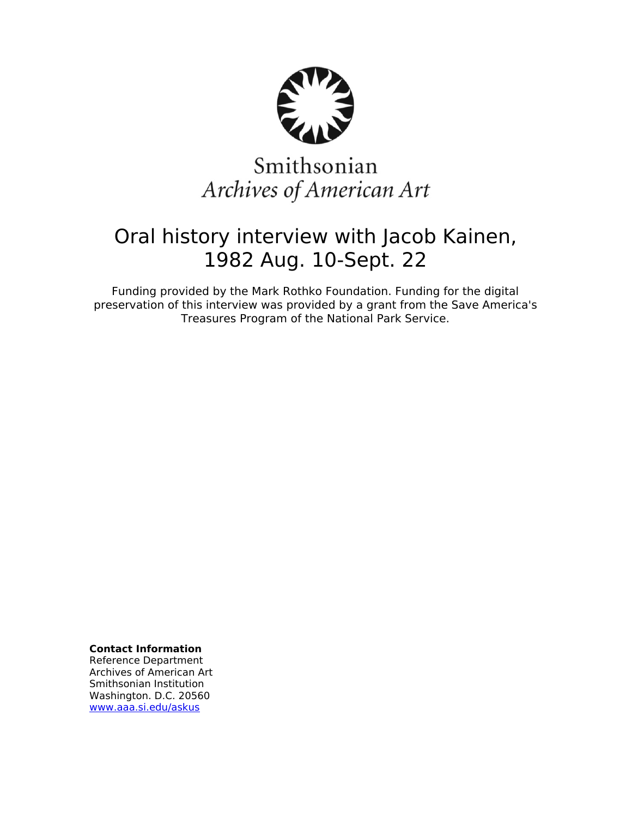

# Smithsonian Archives of American Art

## Oral history interview with Jacob Kainen, 1982 Aug. 10-Sept. 22

Funding provided by the Mark Rothko Foundation. Funding for the digital preservation of this interview was provided by a grant from the Save America's Treasures Program of the National Park Service.

**Contact Information**

Reference Department Archives of American Art Smithsonian Institution Washington. D.C. 20560 [www.aaa.si.edu/askus](http://www.aaa.si.edu/askus)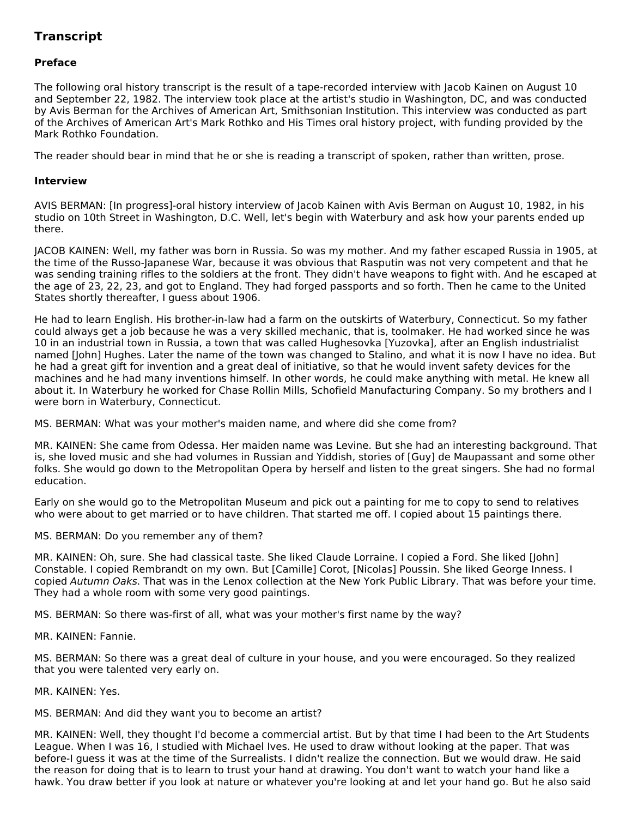### **Transcript**

#### **Preface**

The following oral history transcript is the result of a tape-recorded interview with Jacob Kainen on August 10 and September 22, 1982. The interview took place at the artist's studio in Washington, DC, and was conducted by Avis Berman for the Archives of American Art, Smithsonian Institution. This interview was conducted as part of the Archives of American Art's Mark Rothko and His Times oral history project, with funding provided by the Mark Rothko Foundation.

The reader should bear in mind that he or she is reading a transcript of spoken, rather than written, prose.

#### **Interview**

AVIS BERMAN: [In progress]-oral history interview of Jacob Kainen with Avis Berman on August 10, 1982, in his studio on 10th Street in Washington, D.C. Well, let's begin with Waterbury and ask how your parents ended up there.

JACOB KAINEN: Well, my father was born in Russia. So was my mother. And my father escaped Russia in 1905, at the time of the Russo-Japanese War, because it was obvious that Rasputin was not very competent and that he was sending training rifles to the soldiers at the front. They didn't have weapons to fight with. And he escaped at the age of 23, 22, 23, and got to England. They had forged passports and so forth. Then he came to the United States shortly thereafter, I guess about 1906.

He had to learn English. His brother-in-law had a farm on the outskirts of Waterbury, Connecticut. So my father could always get a job because he was a very skilled mechanic, that is, toolmaker. He had worked since he was 10 in an industrial town in Russia, a town that was called Hughesovka [Yuzovka], after an English industrialist named [John] Hughes. Later the name of the town was changed to Stalino, and what it is now I have no idea. But he had a great gift for invention and a great deal of initiative, so that he would invent safety devices for the machines and he had many inventions himself. In other words, he could make anything with metal. He knew all about it. In Waterbury he worked for Chase Rollin Mills, Schofield Manufacturing Company. So my brothers and I were born in Waterbury, Connecticut.

MS. BERMAN: What was your mother's maiden name, and where did she come from?

MR. KAINEN: She came from Odessa. Her maiden name was Levine. But she had an interesting background. That is, she loved music and she had volumes in Russian and Yiddish, stories of [Guy] de Maupassant and some other folks. She would go down to the Metropolitan Opera by herself and listen to the great singers. She had no formal education.

Early on she would go to the Metropolitan Museum and pick out a painting for me to copy to send to relatives who were about to get married or to have children. That started me off. I copied about 15 paintings there.

MS. BERMAN: Do you remember any of them?

MR. KAINEN: Oh, sure. She had classical taste. She liked Claude Lorraine. I copied a Ford. She liked [John] Constable. I copied Rembrandt on my own. But [Camille] Corot, [Nicolas] Poussin. She liked George Inness. I copied Autumn Oaks. That was in the Lenox collection at the New York Public Library. That was before your time. They had a whole room with some very good paintings.

MS. BERMAN: So there was-first of all, what was your mother's first name by the way?

MR. KAINEN: Fannie.

MS. BERMAN: So there was a great deal of culture in your house, and you were encouraged. So they realized that you were talented very early on.

MR. KAINEN: Yes.

MS. BERMAN: And did they want you to become an artist?

MR. KAINEN: Well, they thought I'd become a commercial artist. But by that time I had been to the Art Students League. When I was 16, I studied with Michael Ives. He used to draw without looking at the paper. That was before-I guess it was at the time of the Surrealists. I didn't realize the connection. But we would draw. He said the reason for doing that is to learn to trust your hand at drawing. You don't want to watch your hand like a hawk. You draw better if you look at nature or whatever you're looking at and let your hand go. But he also said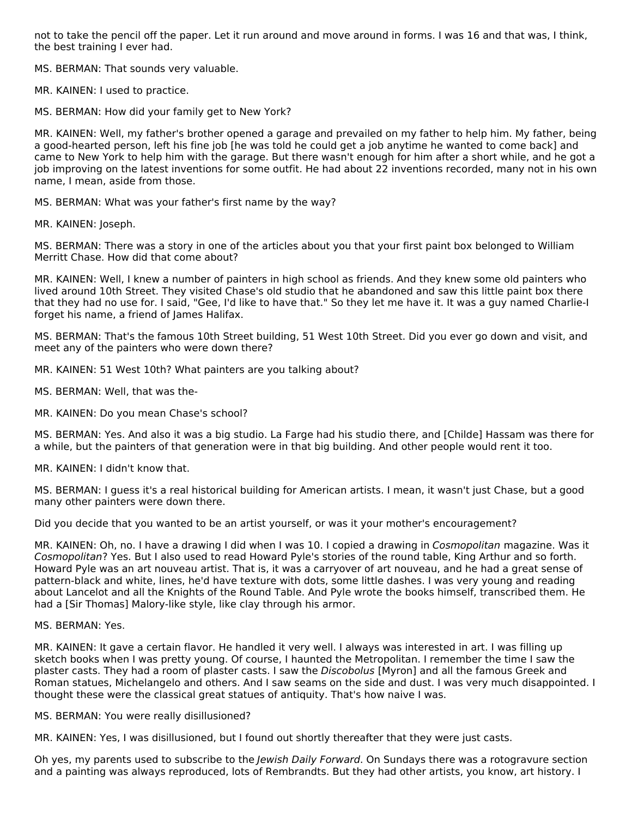not to take the pencil off the paper. Let it run around and move around in forms. I was 16 and that was, I think, the best training I ever had.

MS. BERMAN: That sounds very valuable.

MR. KAINEN: I used to practice.

MS. BERMAN: How did your family get to New York?

MR. KAINEN: Well, my father's brother opened a garage and prevailed on my father to help him. My father, being a good-hearted person, left his fine job [he was told he could get a job anytime he wanted to come back] and came to New York to help him with the garage. But there wasn't enough for him after a short while, and he got a job improving on the latest inventions for some outfit. He had about 22 inventions recorded, many not in his own name, I mean, aside from those.

MS. BERMAN: What was your father's first name by the way?

MR. KAINEN: Joseph.

MS. BERMAN: There was a story in one of the articles about you that your first paint box belonged to William Merritt Chase. How did that come about?

MR. KAINEN: Well, I knew a number of painters in high school as friends. And they knew some old painters who lived around 10th Street. They visited Chase's old studio that he abandoned and saw this little paint box there that they had no use for. I said, "Gee, I'd like to have that." So they let me have it. It was a guy named Charlie-I forget his name, a friend of James Halifax.

MS. BERMAN: That's the famous 10th Street building, 51 West 10th Street. Did you ever go down and visit, and meet any of the painters who were down there?

MR. KAINEN: 51 West 10th? What painters are you talking about?

MS. BERMAN: Well, that was the-

MR. KAINEN: Do you mean Chase's school?

MS. BERMAN: Yes. And also it was a big studio. La Farge had his studio there, and [Childe] Hassam was there for a while, but the painters of that generation were in that big building. And other people would rent it too.

MR. KAINEN: I didn't know that.

MS. BERMAN: I guess it's a real historical building for American artists. I mean, it wasn't just Chase, but a good many other painters were down there.

Did you decide that you wanted to be an artist yourself, or was it your mother's encouragement?

MR. KAINEN: Oh, no. I have a drawing I did when I was 10. I copied a drawing in Cosmopolitan magazine. Was it Cosmopolitan? Yes. But I also used to read Howard Pyle's stories of the round table, King Arthur and so forth. Howard Pyle was an art nouveau artist. That is, it was a carryover of art nouveau, and he had a great sense of pattern-black and white, lines, he'd have texture with dots, some little dashes. I was very young and reading about Lancelot and all the Knights of the Round Table. And Pyle wrote the books himself, transcribed them. He had a [Sir Thomas] Malory-like style, like clay through his armor.

MS. BERMAN: Yes.

MR. KAINEN: It gave a certain flavor. He handled it very well. I always was interested in art. I was filling up sketch books when I was pretty young. Of course, I haunted the Metropolitan. I remember the time I saw the plaster casts. They had a room of plaster casts. I saw the Discobolus [Myron] and all the famous Greek and Roman statues, Michelangelo and others. And I saw seams on the side and dust. I was very much disappointed. I thought these were the classical great statues of antiquity. That's how naive I was.

MS. BERMAN: You were really disillusioned?

MR. KAINEN: Yes, I was disillusioned, but I found out shortly thereafter that they were just casts.

Oh yes, my parents used to subscribe to the Jewish Daily Forward. On Sundays there was a rotogravure section and a painting was always reproduced, lots of Rembrandts. But they had other artists, you know, art history. I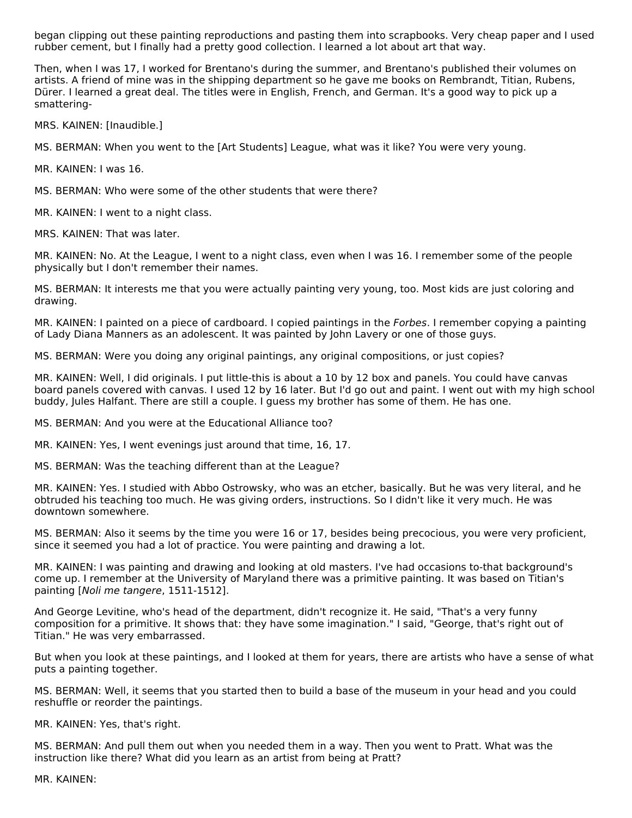began clipping out these painting reproductions and pasting them into scrapbooks. Very cheap paper and I used rubber cement, but I finally had a pretty good collection. I learned a lot about art that way.

Then, when I was 17, I worked for Brentano's during the summer, and Brentano's published their volumes on artists. A friend of mine was in the shipping department so he gave me books on Rembrandt, Titian, Rubens, Dürer. I learned a great deal. The titles were in English, French, and German. It's a good way to pick up a smattering-

MRS. KAINEN: [Inaudible.]

MS. BERMAN: When you went to the [Art Students] League, what was it like? You were very young.

MR. KAINEN: I was 16.

MS. BERMAN: Who were some of the other students that were there?

MR. KAINEN: I went to a night class.

MRS. KAINEN: That was later.

MR. KAINEN: No. At the League, I went to a night class, even when I was 16. I remember some of the people physically but I don't remember their names.

MS. BERMAN: It interests me that you were actually painting very young, too. Most kids are just coloring and drawing.

MR. KAINEN: I painted on a piece of cardboard. I copied paintings in the Forbes. I remember copying a painting of Lady Diana Manners as an adolescent. It was painted by John Lavery or one of those guys.

MS. BERMAN: Were you doing any original paintings, any original compositions, or just copies?

MR. KAINEN: Well, I did originals. I put little-this is about a 10 by 12 box and panels. You could have canvas board panels covered with canvas. I used 12 by 16 later. But I'd go out and paint. I went out with my high school buddy, Jules Halfant. There are still a couple. I guess my brother has some of them. He has one.

MS. BERMAN: And you were at the Educational Alliance too?

MR. KAINEN: Yes, I went evenings just around that time, 16, 17.

MS. BERMAN: Was the teaching different than at the League?

MR. KAINEN: Yes. I studied with Abbo Ostrowsky, who was an etcher, basically. But he was very literal, and he obtruded his teaching too much. He was giving orders, instructions. So I didn't like it very much. He was downtown somewhere.

MS. BERMAN: Also it seems by the time you were 16 or 17, besides being precocious, you were very proficient, since it seemed you had a lot of practice. You were painting and drawing a lot.

MR. KAINEN: I was painting and drawing and looking at old masters. I've had occasions to-that background's come up. I remember at the University of Maryland there was a primitive painting. It was based on Titian's painting [Noli me tangere, 1511-1512].

And George Levitine, who's head of the department, didn't recognize it. He said, "That's a very funny composition for a primitive. It shows that: they have some imagination." I said, "George, that's right out of Titian." He was very embarrassed.

But when you look at these paintings, and I looked at them for years, there are artists who have a sense of what puts a painting together.

MS. BERMAN: Well, it seems that you started then to build a base of the museum in your head and you could reshuffle or reorder the paintings.

MR. KAINEN: Yes, that's right.

MS. BERMAN: And pull them out when you needed them in a way. Then you went to Pratt. What was the instruction like there? What did you learn as an artist from being at Pratt?

MR. KAINEN: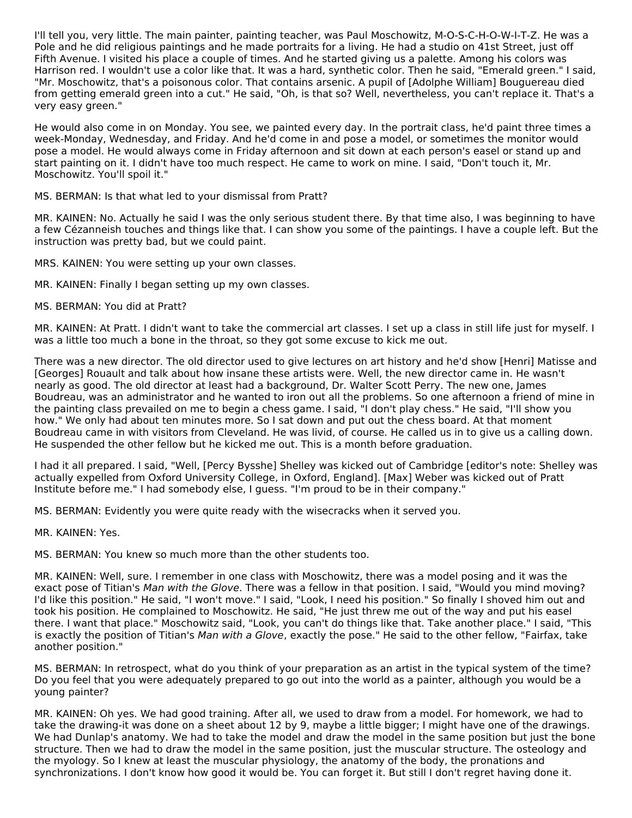I'll tell you, very little. The main painter, painting teacher, was Paul Moschowitz, M-O-S-C-H-O-W-I-T-Z. He was a Pole and he did religious paintings and he made portraits for a living. He had a studio on 41st Street, just off Fifth Avenue. I visited his place a couple of times. And he started giving us a palette. Among his colors was Harrison red. I wouldn't use a color like that. It was a hard, synthetic color. Then he said, "Emerald green." I said, "Mr. Moschowitz, that's a poisonous color. That contains arsenic. A pupil of [Adolphe William] Bouguereau died from getting emerald green into a cut." He said, "Oh, is that so? Well, nevertheless, you can't replace it. That's a very easy green."

He would also come in on Monday. You see, we painted every day. In the portrait class, he'd paint three times a week-Monday, Wednesday, and Friday. And he'd come in and pose a model, or sometimes the monitor would pose a model. He would always come in Friday afternoon and sit down at each person's easel or stand up and start painting on it. I didn't have too much respect. He came to work on mine. I said, "Don't touch it, Mr. Moschowitz. You'll spoil it."

#### MS. BERMAN: Is that what led to your dismissal from Pratt?

MR. KAINEN: No. Actually he said I was the only serious student there. By that time also, I was beginning to have a few Cézanneish touches and things like that. I can show you some of the paintings. I have a couple left. But the instruction was pretty bad, but we could paint.

MRS. KAINEN: You were setting up your own classes.

MR. KAINEN: Finally I began setting up my own classes.

#### MS. BERMAN: You did at Pratt?

MR. KAINEN: At Pratt. I didn't want to take the commercial art classes. I set up a class in still life just for myself. I was a little too much a bone in the throat, so they got some excuse to kick me out.

There was a new director. The old director used to give lectures on art history and he'd show [Henri] Matisse and [Georges] Rouault and talk about how insane these artists were. Well, the new director came in. He wasn't nearly as good. The old director at least had a background, Dr. Walter Scott Perry. The new one, James Boudreau, was an administrator and he wanted to iron out all the problems. So one afternoon a friend of mine in the painting class prevailed on me to begin a chess game. I said, "I don't play chess." He said, "I'll show you how." We only had about ten minutes more. So I sat down and put out the chess board. At that moment Boudreau came in with visitors from Cleveland. He was livid, of course. He called us in to give us a calling down. He suspended the other fellow but he kicked me out. This is a month before graduation.

I had it all prepared. I said, "Well, [Percy Bysshe] Shelley was kicked out of Cambridge [editor's note: Shelley was actually expelled from Oxford University College, in Oxford, England]. [Max] Weber was kicked out of Pratt Institute before me." I had somebody else, I guess. "I'm proud to be in their company."

MS. BERMAN: Evidently you were quite ready with the wisecracks when it served you.

MR. KAINEN: Yes.

MS. BERMAN: You knew so much more than the other students too.

MR. KAINEN: Well, sure. I remember in one class with Moschowitz, there was a model posing and it was the exact pose of Titian's Man with the Glove. There was a fellow in that position. I said, "Would you mind moving? I'd like this position." He said, "I won't move." I said, "Look, I need his position." So finally I shoved him out and took his position. He complained to Moschowitz. He said, "He just threw me out of the way and put his easel there. I want that place." Moschowitz said, "Look, you can't do things like that. Take another place." I said, "This is exactly the position of Titian's Man with a Glove, exactly the pose." He said to the other fellow, "Fairfax, take another position."

MS. BERMAN: In retrospect, what do you think of your preparation as an artist in the typical system of the time? Do you feel that you were adequately prepared to go out into the world as a painter, although you would be a young painter?

MR. KAINEN: Oh yes. We had good training. After all, we used to draw from a model. For homework, we had to take the drawing-it was done on a sheet about 12 by 9, maybe a little bigger; I might have one of the drawings. We had Dunlap's anatomy. We had to take the model and draw the model in the same position but just the bone structure. Then we had to draw the model in the same position, just the muscular structure. The osteology and the myology. So I knew at least the muscular physiology, the anatomy of the body, the pronations and synchronizations. I don't know how good it would be. You can forget it. But still I don't regret having done it.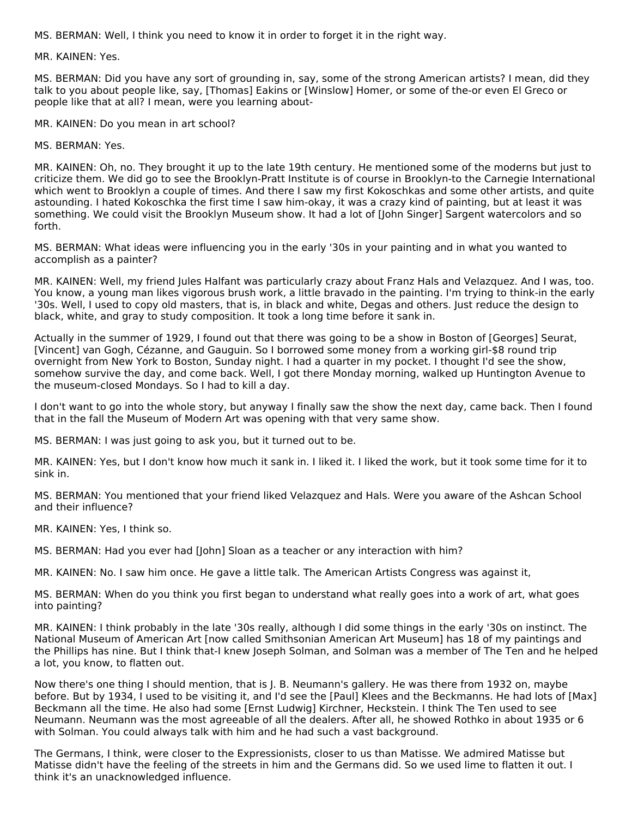MS. BERMAN: Well, I think you need to know it in order to forget it in the right way.

MR. KAINEN: Yes.

MS. BERMAN: Did you have any sort of grounding in, say, some of the strong American artists? I mean, did they talk to you about people like, say, [Thomas] Eakins or [Winslow] Homer, or some of the-or even El Greco or people like that at all? I mean, were you learning about-

MR. KAINEN: Do you mean in art school?

MS. BERMAN: Yes.

MR. KAINEN: Oh, no. They brought it up to the late 19th century. He mentioned some of the moderns but just to criticize them. We did go to see the Brooklyn-Pratt Institute is of course in Brooklyn-to the Carnegie International which went to Brooklyn a couple of times. And there I saw my first Kokoschkas and some other artists, and quite astounding. I hated Kokoschka the first time I saw him-okay, it was a crazy kind of painting, but at least it was something. We could visit the Brooklyn Museum show. It had a lot of [John Singer] Sargent watercolors and so forth.

MS. BERMAN: What ideas were influencing you in the early '30s in your painting and in what you wanted to accomplish as a painter?

MR. KAINEN: Well, my friend Jules Halfant was particularly crazy about Franz Hals and Velazquez. And I was, too. You know, a young man likes vigorous brush work, a little bravado in the painting. I'm trying to think-in the early '30s. Well, I used to copy old masters, that is, in black and white, Degas and others. Just reduce the design to black, white, and gray to study composition. It took a long time before it sank in.

Actually in the summer of 1929, I found out that there was going to be a show in Boston of [Georges] Seurat, [Vincent] van Gogh, Cézanne, and Gauguin. So I borrowed some money from a working girl-\$8 round trip overnight from New York to Boston, Sunday night. I had a quarter in my pocket. I thought I'd see the show, somehow survive the day, and come back. Well, I got there Monday morning, walked up Huntington Avenue to the museum-closed Mondays. So I had to kill a day.

I don't want to go into the whole story, but anyway I finally saw the show the next day, came back. Then I found that in the fall the Museum of Modern Art was opening with that very same show.

MS. BERMAN: I was just going to ask you, but it turned out to be.

MR. KAINEN: Yes, but I don't know how much it sank in. I liked it. I liked the work, but it took some time for it to sink in.

MS. BERMAN: You mentioned that your friend liked Velazquez and Hals. Were you aware of the Ashcan School and their influence?

MR. KAINEN: Yes, I think so.

MS. BERMAN: Had you ever had [John] Sloan as a teacher or any interaction with him?

MR. KAINEN: No. I saw him once. He gave a little talk. The American Artists Congress was against it,

MS. BERMAN: When do you think you first began to understand what really goes into a work of art, what goes into painting?

MR. KAINEN: I think probably in the late '30s really, although I did some things in the early '30s on instinct. The National Museum of American Art [now called Smithsonian American Art Museum] has 18 of my paintings and the Phillips has nine. But I think that-I knew Joseph Solman, and Solman was a member of The Ten and he helped a lot, you know, to flatten out.

Now there's one thing I should mention, that is J. B. Neumann's gallery. He was there from 1932 on, maybe before. But by 1934, I used to be visiting it, and I'd see the [Paul] Klees and the Beckmanns. He had lots of [Max] Beckmann all the time. He also had some [Ernst Ludwig] Kirchner, Heckstein. I think The Ten used to see Neumann. Neumann was the most agreeable of all the dealers. After all, he showed Rothko in about 1935 or 6 with Solman. You could always talk with him and he had such a vast background.

The Germans, I think, were closer to the Expressionists, closer to us than Matisse. We admired Matisse but Matisse didn't have the feeling of the streets in him and the Germans did. So we used lime to flatten it out. I think it's an unacknowledged influence.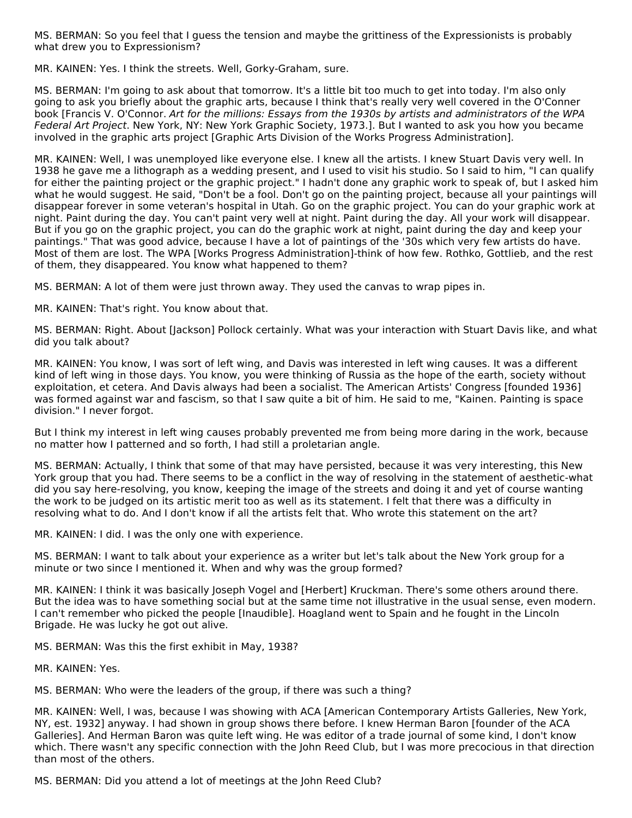MS. BERMAN: So you feel that I guess the tension and maybe the grittiness of the Expressionists is probably what drew you to Expressionism?

MR. KAINEN: Yes. I think the streets. Well, Gorky-Graham, sure.

MS. BERMAN: I'm going to ask about that tomorrow. It's a little bit too much to get into today. I'm also only going to ask you briefly about the graphic arts, because I think that's really very well covered in the O'Conner book [Francis V. O'Connor. Art for the millions: Essays from the 1930s by artists and administrators of the WPA Federal Art Project. New York, NY: New York Graphic Society, 1973.]. But I wanted to ask you how you became involved in the graphic arts project [Graphic Arts Division of the Works Progress Administration].

MR. KAINEN: Well, I was unemployed like everyone else. I knew all the artists. I knew Stuart Davis very well. In 1938 he gave me a lithograph as a wedding present, and I used to visit his studio. So I said to him, "I can qualify for either the painting project or the graphic project." I hadn't done any graphic work to speak of, but I asked him what he would suggest. He said, "Don't be a fool. Don't go on the painting project, because all your paintings will disappear forever in some veteran's hospital in Utah. Go on the graphic project. You can do your graphic work at night. Paint during the day. You can't paint very well at night. Paint during the day. All your work will disappear. But if you go on the graphic project, you can do the graphic work at night, paint during the day and keep your paintings." That was good advice, because I have a lot of paintings of the '30s which very few artists do have. Most of them are lost. The WPA [Works Progress Administration]-think of how few. Rothko, Gottlieb, and the rest of them, they disappeared. You know what happened to them?

MS. BERMAN: A lot of them were just thrown away. They used the canvas to wrap pipes in.

MR. KAINEN: That's right. You know about that.

MS. BERMAN: Right. About [Jackson] Pollock certainly. What was your interaction with Stuart Davis like, and what did you talk about?

MR. KAINEN: You know, I was sort of left wing, and Davis was interested in left wing causes. It was a different kind of left wing in those days. You know, you were thinking of Russia as the hope of the earth, society without exploitation, et cetera. And Davis always had been a socialist. The American Artists' Congress [founded 1936] was formed against war and fascism, so that I saw quite a bit of him. He said to me, "Kainen. Painting is space division." I never forgot.

But I think my interest in left wing causes probably prevented me from being more daring in the work, because no matter how I patterned and so forth, I had still a proletarian angle.

MS. BERMAN: Actually, I think that some of that may have persisted, because it was very interesting, this New York group that you had. There seems to be a conflict in the way of resolving in the statement of aesthetic-what did you say here-resolving, you know, keeping the image of the streets and doing it and yet of course wanting the work to be judged on its artistic merit too as well as its statement. I felt that there was a difficulty in resolving what to do. And I don't know if all the artists felt that. Who wrote this statement on the art?

MR. KAINEN: I did. I was the only one with experience.

MS. BERMAN: I want to talk about your experience as a writer but let's talk about the New York group for a minute or two since I mentioned it. When and why was the group formed?

MR. KAINEN: I think it was basically Joseph Vogel and [Herbert] Kruckman. There's some others around there. But the idea was to have something social but at the same time not illustrative in the usual sense, even modern. I can't remember who picked the people [Inaudible]. Hoagland went to Spain and he fought in the Lincoln Brigade. He was lucky he got out alive.

MS. BERMAN: Was this the first exhibit in May, 1938?

MR. KAINEN: Yes.

MS. BERMAN: Who were the leaders of the group, if there was such a thing?

MR. KAINEN: Well, I was, because I was showing with ACA [American Contemporary Artists Galleries, New York, NY, est. 1932] anyway. I had shown in group shows there before. I knew Herman Baron [founder of the ACA Galleries]. And Herman Baron was quite left wing. He was editor of a trade journal of some kind, I don't know which. There wasn't any specific connection with the John Reed Club, but I was more precocious in that direction than most of the others.

MS. BERMAN: Did you attend a lot of meetings at the John Reed Club?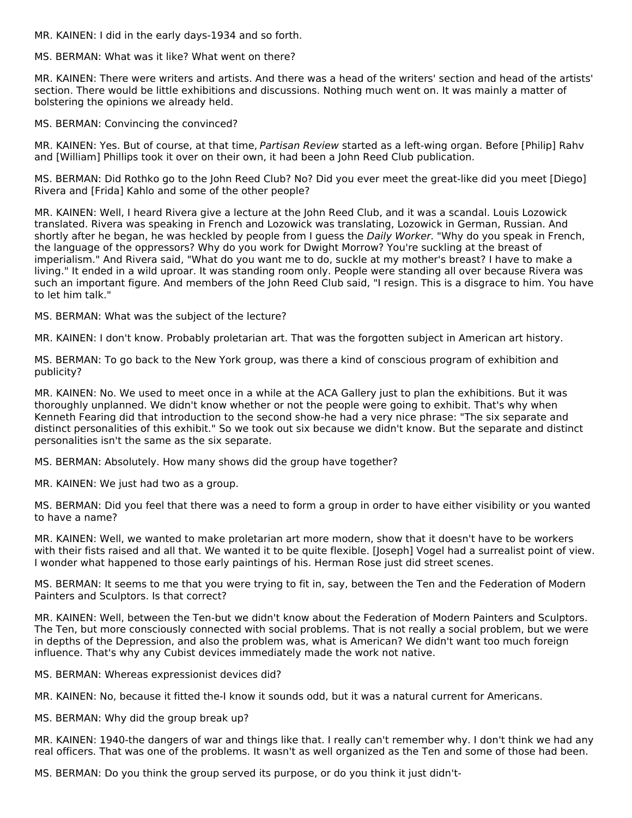MR. KAINEN: I did in the early days-1934 and so forth.

MS. BERMAN: What was it like? What went on there?

MR. KAINEN: There were writers and artists. And there was a head of the writers' section and head of the artists' section. There would be little exhibitions and discussions. Nothing much went on. It was mainly a matter of bolstering the opinions we already held.

MS. BERMAN: Convincing the convinced?

MR. KAINEN: Yes. But of course, at that time, Partisan Review started as a left-wing organ. Before [Philip] Rahv and [William] Phillips took it over on their own, it had been a John Reed Club publication.

MS. BERMAN: Did Rothko go to the John Reed Club? No? Did you ever meet the great-like did you meet [Diego] Rivera and [Frida] Kahlo and some of the other people?

MR. KAINEN: Well, I heard Rivera give a lecture at the John Reed Club, and it was a scandal. Louis Lozowick translated. Rivera was speaking in French and Lozowick was translating, Lozowick in German, Russian. And shortly after he began, he was heckled by people from I guess the Daily Worker. "Why do you speak in French, the language of the oppressors? Why do you work for Dwight Morrow? You're suckling at the breast of imperialism." And Rivera said, "What do you want me to do, suckle at my mother's breast? I have to make a living." It ended in a wild uproar. It was standing room only. People were standing all over because Rivera was such an important figure. And members of the John Reed Club said, "I resign. This is a disgrace to him. You have to let him talk."

MS. BERMAN: What was the subject of the lecture?

MR. KAINEN: I don't know. Probably proletarian art. That was the forgotten subject in American art history.

MS. BERMAN: To go back to the New York group, was there a kind of conscious program of exhibition and publicity?

MR. KAINEN: No. We used to meet once in a while at the ACA Gallery just to plan the exhibitions. But it was thoroughly unplanned. We didn't know whether or not the people were going to exhibit. That's why when Kenneth Fearing did that introduction to the second show-he had a very nice phrase: "The six separate and distinct personalities of this exhibit." So we took out six because we didn't know. But the separate and distinct personalities isn't the same as the six separate.

MS. BERMAN: Absolutely. How many shows did the group have together?

MR. KAINEN: We just had two as a group.

MS. BERMAN: Did you feel that there was a need to form a group in order to have either visibility or you wanted to have a name?

MR. KAINEN: Well, we wanted to make proletarian art more modern, show that it doesn't have to be workers with their fists raised and all that. We wanted it to be quite flexible. [Joseph] Vogel had a surrealist point of view. I wonder what happened to those early paintings of his. Herman Rose just did street scenes.

MS. BERMAN: It seems to me that you were trying to fit in, say, between the Ten and the Federation of Modern Painters and Sculptors. Is that correct?

MR. KAINEN: Well, between the Ten-but we didn't know about the Federation of Modern Painters and Sculptors. The Ten, but more consciously connected with social problems. That is not really a social problem, but we were in depths of the Depression, and also the problem was, what is American? We didn't want too much foreign influence. That's why any Cubist devices immediately made the work not native.

MS. BERMAN: Whereas expressionist devices did?

MR. KAINEN: No, because it fitted the-I know it sounds odd, but it was a natural current for Americans.

MS. BERMAN: Why did the group break up?

MR. KAINEN: 1940-the dangers of war and things like that. I really can't remember why. I don't think we had any real officers. That was one of the problems. It wasn't as well organized as the Ten and some of those had been.

MS. BERMAN: Do you think the group served its purpose, or do you think it just didn't-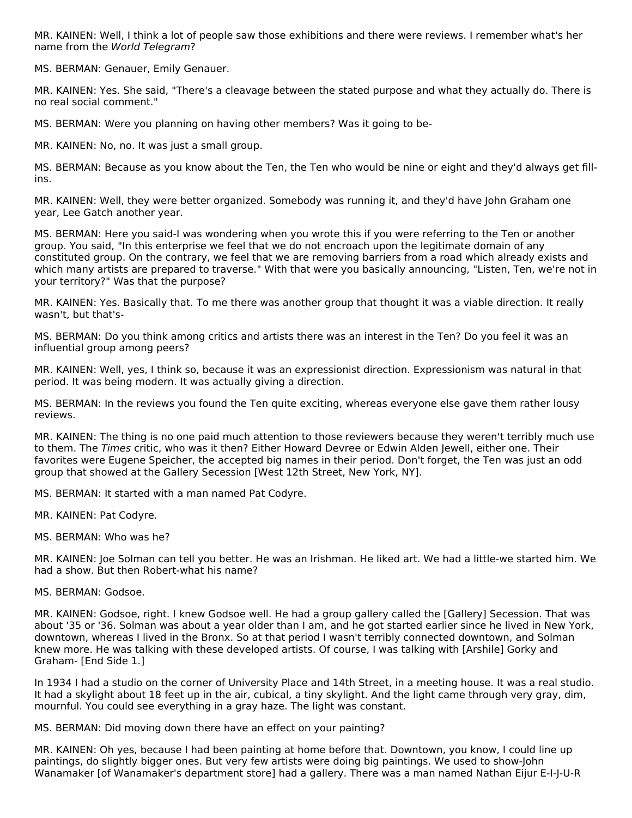MR. KAINEN: Well, I think a lot of people saw those exhibitions and there were reviews. I remember what's her name from the World Telegram?

MS. BERMAN: Genauer, Emily Genauer.

MR. KAINEN: Yes. She said, "There's a cleavage between the stated purpose and what they actually do. There is no real social comment."

MS. BERMAN: Were you planning on having other members? Was it going to be-

MR. KAINEN: No, no. It was just a small group.

MS. BERMAN: Because as you know about the Ten, the Ten who would be nine or eight and they'd always get fillins.

MR. KAINEN: Well, they were better organized. Somebody was running it, and they'd have John Graham one year, Lee Gatch another year.

MS. BERMAN: Here you said-I was wondering when you wrote this if you were referring to the Ten or another group. You said, "In this enterprise we feel that we do not encroach upon the legitimate domain of any constituted group. On the contrary, we feel that we are removing barriers from a road which already exists and which many artists are prepared to traverse." With that were you basically announcing, "Listen, Ten, we're not in your territory?" Was that the purpose?

MR. KAINEN: Yes. Basically that. To me there was another group that thought it was a viable direction. It really wasn't, but that's-

MS. BERMAN: Do you think among critics and artists there was an interest in the Ten? Do you feel it was an influential group among peers?

MR. KAINEN: Well, yes, I think so, because it was an expressionist direction. Expressionism was natural in that period. It was being modern. It was actually giving a direction.

MS. BERMAN: In the reviews you found the Ten quite exciting, whereas everyone else gave them rather lousy reviews.

MR. KAINEN: The thing is no one paid much attention to those reviewers because they weren't terribly much use to them. The Times critic, who was it then? Either Howard Devree or Edwin Alden Jewell, either one. Their favorites were Eugene Speicher, the accepted big names in their period. Don't forget, the Ten was just an odd group that showed at the Gallery Secession [West 12th Street, New York, NY].

MS. BERMAN: It started with a man named Pat Codyre.

MR. KAINEN: Pat Codyre.

MS. BERMAN: Who was he?

MR. KAINEN: Joe Solman can tell you better. He was an Irishman. He liked art. We had a little-we started him. We had a show. But then Robert-what his name?

MS. BERMAN: Godsoe.

MR. KAINEN: Godsoe, right. I knew Godsoe well. He had a group gallery called the [Gallery] Secession. That was about '35 or '36. Solman was about a year older than I am, and he got started earlier since he lived in New York, downtown, whereas I lived in the Bronx. So at that period I wasn't terribly connected downtown, and Solman knew more. He was talking with these developed artists. Of course, I was talking with [Arshile] Gorky and Graham- [End Side 1.]

In 1934 I had a studio on the corner of University Place and 14th Street, in a meeting house. It was a real studio. It had a skylight about 18 feet up in the air, cubical, a tiny skylight. And the light came through very gray, dim, mournful. You could see everything in a gray haze. The light was constant.

MS. BERMAN: Did moving down there have an effect on your painting?

MR. KAINEN: Oh yes, because I had been painting at home before that. Downtown, you know, I could line up paintings, do slightly bigger ones. But very few artists were doing big paintings. We used to show-John Wanamaker [of Wanamaker's department store] had a gallery. There was a man named Nathan Eijur E-I-J-U-R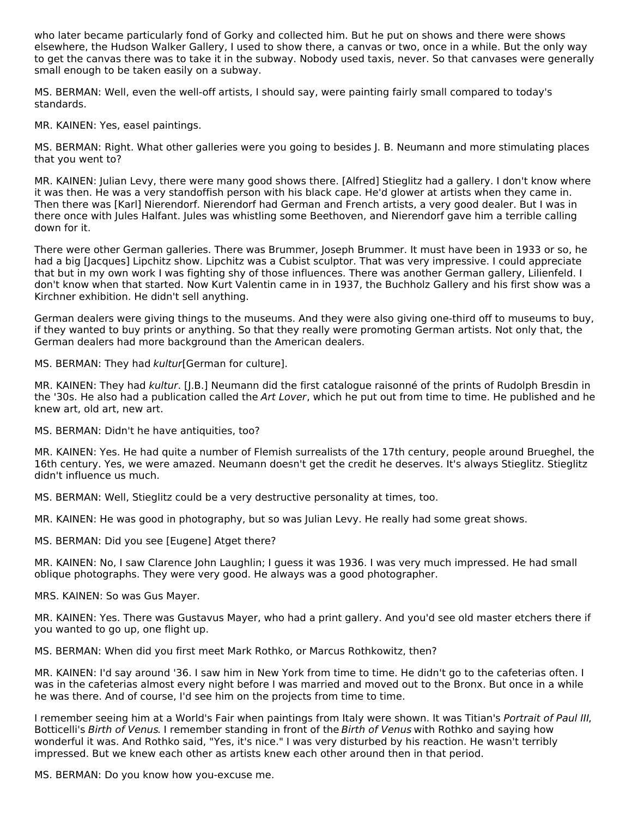who later became particularly fond of Gorky and collected him. But he put on shows and there were shows elsewhere, the Hudson Walker Gallery, I used to show there, a canvas or two, once in a while. But the only way to get the canvas there was to take it in the subway. Nobody used taxis, never. So that canvases were generally small enough to be taken easily on a subway.

MS. BERMAN: Well, even the well-off artists, I should say, were painting fairly small compared to today's standards.

MR. KAINEN: Yes, easel paintings.

MS. BERMAN: Right. What other galleries were you going to besides J. B. Neumann and more stimulating places that you went to?

MR. KAINEN: Julian Levy, there were many good shows there. [Alfred] Stieglitz had a gallery. I don't know where it was then. He was a very standoffish person with his black cape. He'd glower at artists when they came in. Then there was [Karl] Nierendorf. Nierendorf had German and French artists, a very good dealer. But I was in there once with Jules Halfant. Jules was whistling some Beethoven, and Nierendorf gave him a terrible calling down for it.

There were other German galleries. There was Brummer, Joseph Brummer. It must have been in 1933 or so, he had a big [Jacques] Lipchitz show. Lipchitz was a Cubist sculptor. That was very impressive. I could appreciate that but in my own work I was fighting shy of those influences. There was another German gallery, Lilienfeld. I don't know when that started. Now Kurt Valentin came in in 1937, the Buchholz Gallery and his first show was a Kirchner exhibition. He didn't sell anything.

German dealers were giving things to the museums. And they were also giving one-third off to museums to buy, if they wanted to buy prints or anything. So that they really were promoting German artists. Not only that, the German dealers had more background than the American dealers.

MS. BERMAN: They had kultur[German for culture].

MR. KAINEN: They had kultur. [I.B.] Neumann did the first catalogue raisonné of the prints of Rudolph Bresdin in the '30s. He also had a publication called the Art Lover, which he put out from time to time. He published and he knew art, old art, new art.

MS. BERMAN: Didn't he have antiquities, too?

MR. KAINEN: Yes. He had quite a number of Flemish surrealists of the 17th century, people around Brueghel, the 16th century. Yes, we were amazed. Neumann doesn't get the credit he deserves. It's always Stieglitz. Stieglitz didn't influence us much.

MS. BERMAN: Well, Stieglitz could be a very destructive personality at times, too.

MR. KAINEN: He was good in photography, but so was Julian Levy. He really had some great shows.

MS. BERMAN: Did you see [Eugene] Atget there?

MR. KAINEN: No, I saw Clarence John Laughlin; I guess it was 1936. I was very much impressed. He had small oblique photographs. They were very good. He always was a good photographer.

MRS. KAINEN: So was Gus Mayer.

MR. KAINEN: Yes. There was Gustavus Mayer, who had a print gallery. And you'd see old master etchers there if you wanted to go up, one flight up.

MS. BERMAN: When did you first meet Mark Rothko, or Marcus Rothkowitz, then?

MR. KAINEN: I'd say around '36. I saw him in New York from time to time. He didn't go to the cafeterias often. I was in the cafeterias almost every night before I was married and moved out to the Bronx. But once in a while he was there. And of course, I'd see him on the projects from time to time.

I remember seeing him at a World's Fair when paintings from Italy were shown. It was Titian's Portrait of Paul III, Botticelli's Birth of Venus. I remember standing in front of the Birth of Venus with Rothko and saying how wonderful it was. And Rothko said, "Yes, it's nice." I was very disturbed by his reaction. He wasn't terribly impressed. But we knew each other as artists knew each other around then in that period.

MS. BERMAN: Do you know how you-excuse me.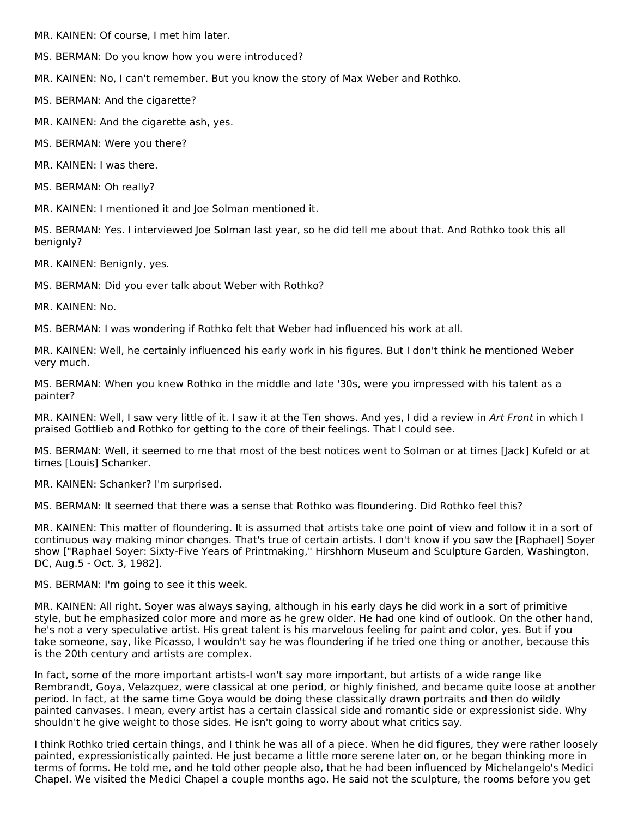MR. KAINEN: Of course, I met him later.

MS. BERMAN: Do you know how you were introduced?

MR. KAINEN: No, I can't remember. But you know the story of Max Weber and Rothko.

MS. BERMAN: And the cigarette?

MR. KAINEN: And the cigarette ash, yes.

MS. BERMAN: Were you there?

MR. KAINEN: I was there.

MS. BERMAN: Oh really?

MR. KAINEN: I mentioned it and Joe Solman mentioned it.

MS. BERMAN: Yes. I interviewed Joe Solman last year, so he did tell me about that. And Rothko took this all benignly?

MR. KAINEN: Benignly, yes.

MS. BERMAN: Did you ever talk about Weber with Rothko?

MR. KAINEN: No.

MS. BERMAN: I was wondering if Rothko felt that Weber had influenced his work at all.

MR. KAINEN: Well, he certainly influenced his early work in his figures. But I don't think he mentioned Weber very much.

MS. BERMAN: When you knew Rothko in the middle and late '30s, were you impressed with his talent as a painter?

MR. KAINEN: Well, I saw very little of it. I saw it at the Ten shows. And yes, I did a review in Art Front in which I praised Gottlieb and Rothko for getting to the core of their feelings. That I could see.

MS. BERMAN: Well, it seemed to me that most of the best notices went to Solman or at times [Jack] Kufeld or at times [Louis] Schanker.

MR. KAINEN: Schanker? I'm surprised.

MS. BERMAN: It seemed that there was a sense that Rothko was floundering. Did Rothko feel this?

MR. KAINEN: This matter of floundering. It is assumed that artists take one point of view and follow it in a sort of continuous way making minor changes. That's true of certain artists. I don't know if you saw the [Raphael] Soyer show ["Raphael Soyer: Sixty-Five Years of Printmaking," Hirshhorn Museum and Sculpture Garden, Washington, DC, Aug.5 - Oct. 3, 1982].

MS. BERMAN: I'm going to see it this week.

MR. KAINEN: All right. Soyer was always saying, although in his early days he did work in a sort of primitive style, but he emphasized color more and more as he grew older. He had one kind of outlook. On the other hand, he's not a very speculative artist. His great talent is his marvelous feeling for paint and color, yes. But if you take someone, say, like Picasso, I wouldn't say he was floundering if he tried one thing or another, because this is the 20th century and artists are complex.

In fact, some of the more important artists-I won't say more important, but artists of a wide range like Rembrandt, Goya, Velazquez, were classical at one period, or highly finished, and became quite loose at another period. In fact, at the same time Goya would be doing these classically drawn portraits and then do wildly painted canvases. I mean, every artist has a certain classical side and romantic side or expressionist side. Why shouldn't he give weight to those sides. He isn't going to worry about what critics say.

I think Rothko tried certain things, and I think he was all of a piece. When he did figures, they were rather loosely painted, expressionistically painted. He just became a little more serene later on, or he began thinking more in terms of forms. He told me, and he told other people also, that he had been influenced by Michelangelo's Medici Chapel. We visited the Medici Chapel a couple months ago. He said not the sculpture, the rooms before you get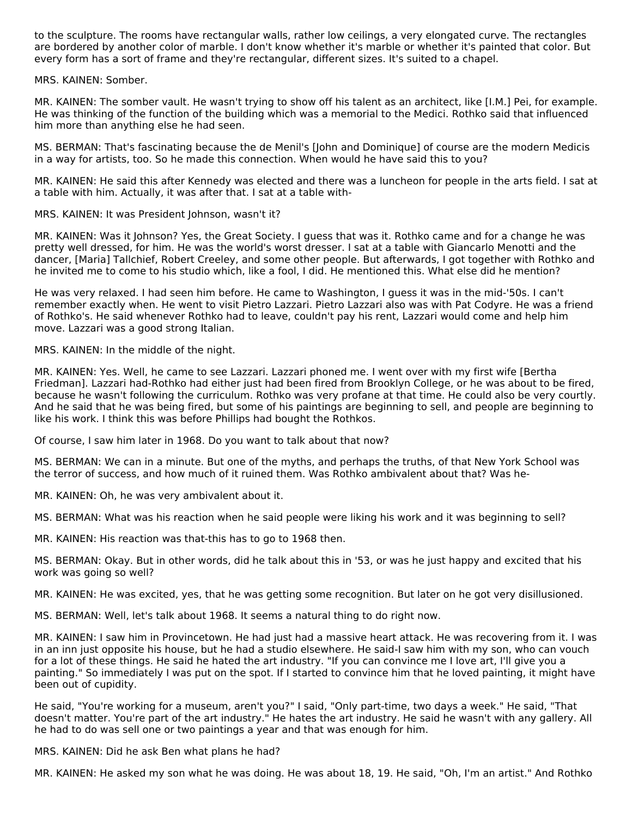to the sculpture. The rooms have rectangular walls, rather low ceilings, a very elongated curve. The rectangles are bordered by another color of marble. I don't know whether it's marble or whether it's painted that color. But every form has a sort of frame and they're rectangular, different sizes. It's suited to a chapel.

MRS. KAINEN: Somber.

MR. KAINEN: The somber vault. He wasn't trying to show off his talent as an architect, like [I.M.] Pei, for example. He was thinking of the function of the building which was a memorial to the Medici. Rothko said that influenced him more than anything else he had seen.

MS. BERMAN: That's fascinating because the de Menil's [John and Dominique] of course are the modern Medicis in a way for artists, too. So he made this connection. When would he have said this to you?

MR. KAINEN: He said this after Kennedy was elected and there was a luncheon for people in the arts field. I sat at a table with him. Actually, it was after that. I sat at a table with-

MRS. KAINEN: It was President Johnson, wasn't it?

MR. KAINEN: Was it Johnson? Yes, the Great Society. I guess that was it. Rothko came and for a change he was pretty well dressed, for him. He was the world's worst dresser. I sat at a table with Giancarlo Menotti and the dancer, [Maria] Tallchief, Robert Creeley, and some other people. But afterwards, I got together with Rothko and he invited me to come to his studio which, like a fool, I did. He mentioned this. What else did he mention?

He was very relaxed. I had seen him before. He came to Washington, I guess it was in the mid-'50s. I can't remember exactly when. He went to visit Pietro Lazzari. Pietro Lazzari also was with Pat Codyre. He was a friend of Rothko's. He said whenever Rothko had to leave, couldn't pay his rent, Lazzari would come and help him move. Lazzari was a good strong Italian.

MRS. KAINEN: In the middle of the night.

MR. KAINEN: Yes. Well, he came to see Lazzari. Lazzari phoned me. I went over with my first wife [Bertha Friedman]. Lazzari had-Rothko had either just had been fired from Brooklyn College, or he was about to be fired, because he wasn't following the curriculum. Rothko was very profane at that time. He could also be very courtly. And he said that he was being fired, but some of his paintings are beginning to sell, and people are beginning to like his work. I think this was before Phillips had bought the Rothkos.

Of course, I saw him later in 1968. Do you want to talk about that now?

MS. BERMAN: We can in a minute. But one of the myths, and perhaps the truths, of that New York School was the terror of success, and how much of it ruined them. Was Rothko ambivalent about that? Was he-

MR. KAINEN: Oh, he was very ambivalent about it.

MS. BERMAN: What was his reaction when he said people were liking his work and it was beginning to sell?

MR. KAINEN: His reaction was that-this has to go to 1968 then.

MS. BERMAN: Okay. But in other words, did he talk about this in '53, or was he just happy and excited that his work was going so well?

MR. KAINEN: He was excited, yes, that he was getting some recognition. But later on he got very disillusioned.

MS. BERMAN: Well, let's talk about 1968. It seems a natural thing to do right now.

MR. KAINEN: I saw him in Provincetown. He had just had a massive heart attack. He was recovering from it. I was in an inn just opposite his house, but he had a studio elsewhere. He said-I saw him with my son, who can vouch for a lot of these things. He said he hated the art industry. "If you can convince me I love art, I'll give you a painting." So immediately I was put on the spot. If I started to convince him that he loved painting, it might have been out of cupidity.

He said, "You're working for a museum, aren't you?" I said, "Only part-time, two days a week." He said, "That doesn't matter. You're part of the art industry." He hates the art industry. He said he wasn't with any gallery. All he had to do was sell one or two paintings a year and that was enough for him.

MRS. KAINEN: Did he ask Ben what plans he had?

MR. KAINEN: He asked my son what he was doing. He was about 18, 19. He said, "Oh, I'm an artist." And Rothko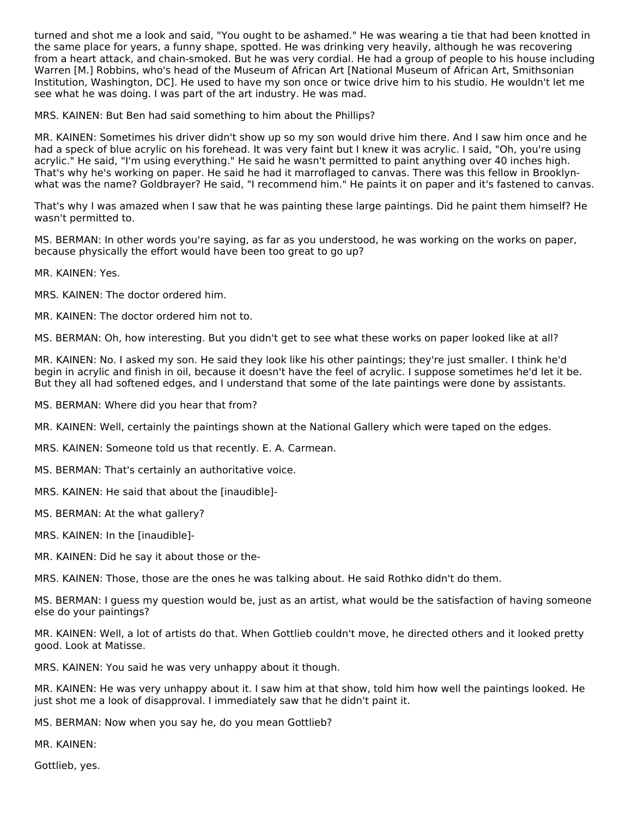turned and shot me a look and said, "You ought to be ashamed." He was wearing a tie that had been knotted in the same place for years, a funny shape, spotted. He was drinking very heavily, although he was recovering from a heart attack, and chain-smoked. But he was very cordial. He had a group of people to his house including Warren [M.] Robbins, who's head of the Museum of African Art [National Museum of African Art, Smithsonian Institution, Washington, DC]. He used to have my son once or twice drive him to his studio. He wouldn't let me see what he was doing. I was part of the art industry. He was mad.

MRS. KAINEN: But Ben had said something to him about the Phillips?

MR. KAINEN: Sometimes his driver didn't show up so my son would drive him there. And I saw him once and he had a speck of blue acrylic on his forehead. It was very faint but I knew it was acrylic. I said, "Oh, you're using acrylic." He said, "I'm using everything." He said he wasn't permitted to paint anything over 40 inches high. That's why he's working on paper. He said he had it marroflaged to canvas. There was this fellow in Brooklynwhat was the name? Goldbrayer? He said, "I recommend him." He paints it on paper and it's fastened to canvas.

That's why I was amazed when I saw that he was painting these large paintings. Did he paint them himself? He wasn't permitted to.

MS. BERMAN: In other words you're saying, as far as you understood, he was working on the works on paper, because physically the effort would have been too great to go up?

MR. KAINEN: Yes.

MRS. KAINEN: The doctor ordered him.

MR. KAINEN: The doctor ordered him not to.

MS. BERMAN: Oh, how interesting. But you didn't get to see what these works on paper looked like at all?

MR. KAINEN: No. I asked my son. He said they look like his other paintings; they're just smaller. I think he'd begin in acrylic and finish in oil, because it doesn't have the feel of acrylic. I suppose sometimes he'd let it be. But they all had softened edges, and I understand that some of the late paintings were done by assistants.

MS. BERMAN: Where did you hear that from?

MR. KAINEN: Well, certainly the paintings shown at the National Gallery which were taped on the edges.

MRS. KAINEN: Someone told us that recently. E. A. Carmean.

MS. BERMAN: That's certainly an authoritative voice.

MRS. KAINEN: He said that about the [inaudible]-

MS. BERMAN: At the what gallery?

MRS. KAINEN: In the [inaudible]-

MR. KAINEN: Did he say it about those or the-

MRS. KAINEN: Those, those are the ones he was talking about. He said Rothko didn't do them.

MS. BERMAN: I guess my question would be, just as an artist, what would be the satisfaction of having someone else do your paintings?

MR. KAINEN: Well, a lot of artists do that. When Gottlieb couldn't move, he directed others and it looked pretty good. Look at Matisse.

MRS. KAINEN: You said he was very unhappy about it though.

MR. KAINEN: He was very unhappy about it. I saw him at that show, told him how well the paintings looked. He just shot me a look of disapproval. I immediately saw that he didn't paint it.

MS. BERMAN: Now when you say he, do you mean Gottlieb?

MR. KAINEN:

Gottlieb, yes.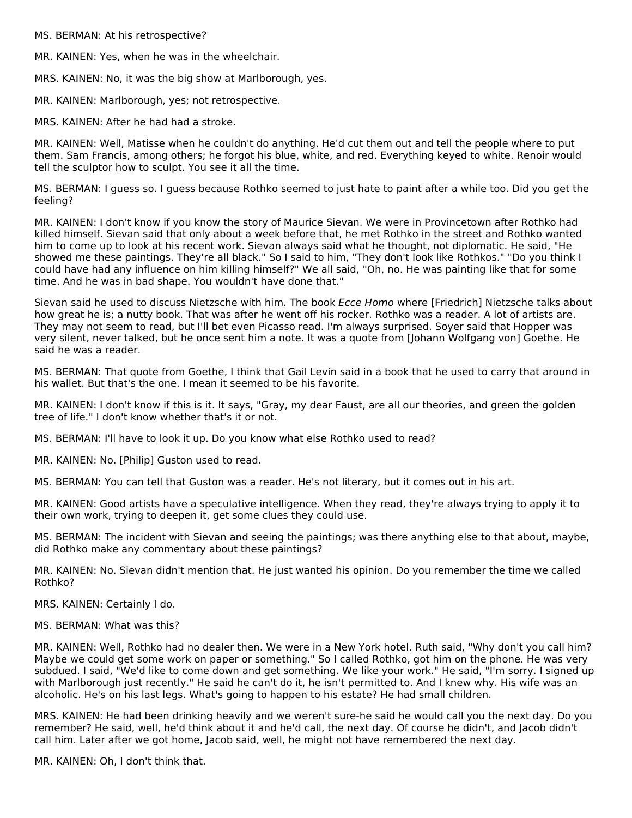MS. BERMAN: At his retrospective?

MR. KAINEN: Yes, when he was in the wheelchair.

MRS. KAINEN: No, it was the big show at Marlborough, yes.

MR. KAINEN: Marlborough, yes; not retrospective.

MRS. KAINEN: After he had had a stroke.

MR. KAINEN: Well, Matisse when he couldn't do anything. He'd cut them out and tell the people where to put them. Sam Francis, among others; he forgot his blue, white, and red. Everything keyed to white. Renoir would tell the sculptor how to sculpt. You see it all the time.

MS. BERMAN: I guess so. I guess because Rothko seemed to just hate to paint after a while too. Did you get the feeling?

MR. KAINEN: I don't know if you know the story of Maurice Sievan. We were in Provincetown after Rothko had killed himself. Sievan said that only about a week before that, he met Rothko in the street and Rothko wanted him to come up to look at his recent work. Sievan always said what he thought, not diplomatic. He said, "He showed me these paintings. They're all black." So I said to him, "They don't look like Rothkos." "Do you think I could have had any influence on him killing himself?" We all said, "Oh, no. He was painting like that for some time. And he was in bad shape. You wouldn't have done that."

Sievan said he used to discuss Nietzsche with him. The book Ecce Homo where [Friedrich] Nietzsche talks about how great he is; a nutty book. That was after he went off his rocker. Rothko was a reader. A lot of artists are. They may not seem to read, but I'll bet even Picasso read. I'm always surprised. Soyer said that Hopper was very silent, never talked, but he once sent him a note. It was a quote from [Johann Wolfgang von] Goethe. He said he was a reader.

MS. BERMAN: That quote from Goethe, I think that Gail Levin said in a book that he used to carry that around in his wallet. But that's the one. I mean it seemed to be his favorite.

MR. KAINEN: I don't know if this is it. It says, "Gray, my dear Faust, are all our theories, and green the golden tree of life." I don't know whether that's it or not.

MS. BERMAN: I'll have to look it up. Do you know what else Rothko used to read?

MR. KAINEN: No. [Philip] Guston used to read.

MS. BERMAN: You can tell that Guston was a reader. He's not literary, but it comes out in his art.

MR. KAINEN: Good artists have a speculative intelligence. When they read, they're always trying to apply it to their own work, trying to deepen it, get some clues they could use.

MS. BERMAN: The incident with Sievan and seeing the paintings; was there anything else to that about, maybe, did Rothko make any commentary about these paintings?

MR. KAINEN: No. Sievan didn't mention that. He just wanted his opinion. Do you remember the time we called Rothko?

MRS. KAINEN: Certainly I do.

MS. BERMAN: What was this?

MR. KAINEN: Well, Rothko had no dealer then. We were in a New York hotel. Ruth said, "Why don't you call him? Maybe we could get some work on paper or something." So I called Rothko, got him on the phone. He was very subdued. I said, "We'd like to come down and get something. We like your work." He said, "I'm sorry. I signed up with Marlborough just recently." He said he can't do it, he isn't permitted to. And I knew why. His wife was an alcoholic. He's on his last legs. What's going to happen to his estate? He had small children.

MRS. KAINEN: He had been drinking heavily and we weren't sure-he said he would call you the next day. Do you remember? He said, well, he'd think about it and he'd call, the next day. Of course he didn't, and Jacob didn't call him. Later after we got home, Jacob said, well, he might not have remembered the next day.

MR. KAINEN: Oh, I don't think that.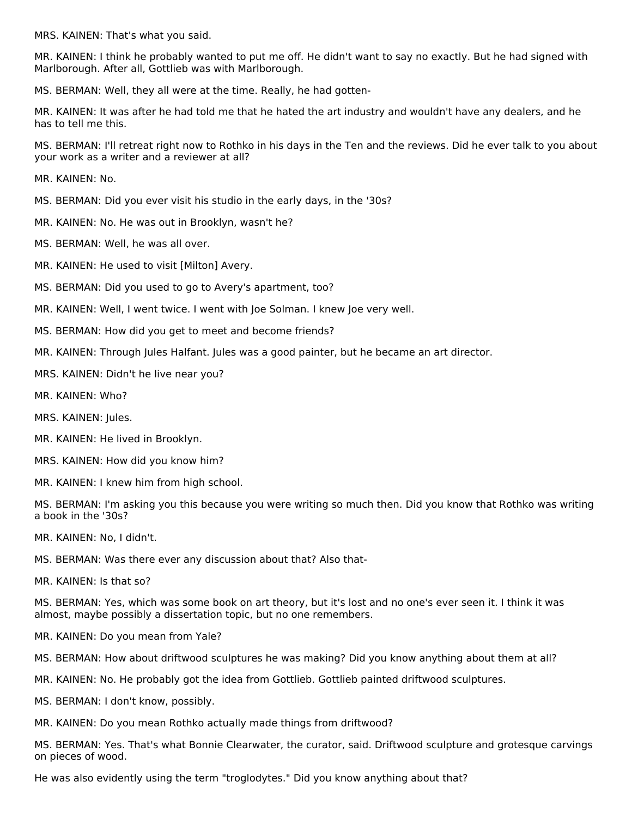MRS. KAINEN: That's what you said.

MR. KAINEN: I think he probably wanted to put me off. He didn't want to say no exactly. But he had signed with Marlborough. After all, Gottlieb was with Marlborough.

MS. BERMAN: Well, they all were at the time. Really, he had gotten-

MR. KAINEN: It was after he had told me that he hated the art industry and wouldn't have any dealers, and he has to tell me this.

MS. BERMAN: I'll retreat right now to Rothko in his days in the Ten and the reviews. Did he ever talk to you about your work as a writer and a reviewer at all?

MR. KAINEN: No.

- MS. BERMAN: Did you ever visit his studio in the early days, in the '30s?
- MR. KAINEN: No. He was out in Brooklyn, wasn't he?
- MS. BERMAN: Well, he was all over.
- MR. KAINEN: He used to visit [Milton] Avery.
- MS. BERMAN: Did you used to go to Avery's apartment, too?
- MR. KAINEN: Well, I went twice. I went with Joe Solman. I knew Joe very well.
- MS. BERMAN: How did you get to meet and become friends?
- MR. KAINEN: Through Jules Halfant. Jules was a good painter, but he became an art director.
- MRS. KAINEN: Didn't he live near you?
- MR. KAINEN: Who?
- MRS. KAINEN: Jules.
- MR. KAINEN: He lived in Brooklyn.
- MRS. KAINEN: How did you know him?
- MR. KAINEN: I knew him from high school.

MS. BERMAN: I'm asking you this because you were writing so much then. Did you know that Rothko was writing a book in the '30s?

MR. KAINEN: No, I didn't.

MS. BERMAN: Was there ever any discussion about that? Also that-

MR. KAINEN: Is that so?

MS. BERMAN: Yes, which was some book on art theory, but it's lost and no one's ever seen it. I think it was almost, maybe possibly a dissertation topic, but no one remembers.

- MR. KAINEN: Do you mean from Yale?
- MS. BERMAN: How about driftwood sculptures he was making? Did you know anything about them at all?
- MR. KAINEN: No. He probably got the idea from Gottlieb. Gottlieb painted driftwood sculptures.
- MS. BERMAN: I don't know, possibly.
- MR. KAINEN: Do you mean Rothko actually made things from driftwood?

MS. BERMAN: Yes. That's what Bonnie Clearwater, the curator, said. Driftwood sculpture and grotesque carvings on pieces of wood.

He was also evidently using the term "troglodytes." Did you know anything about that?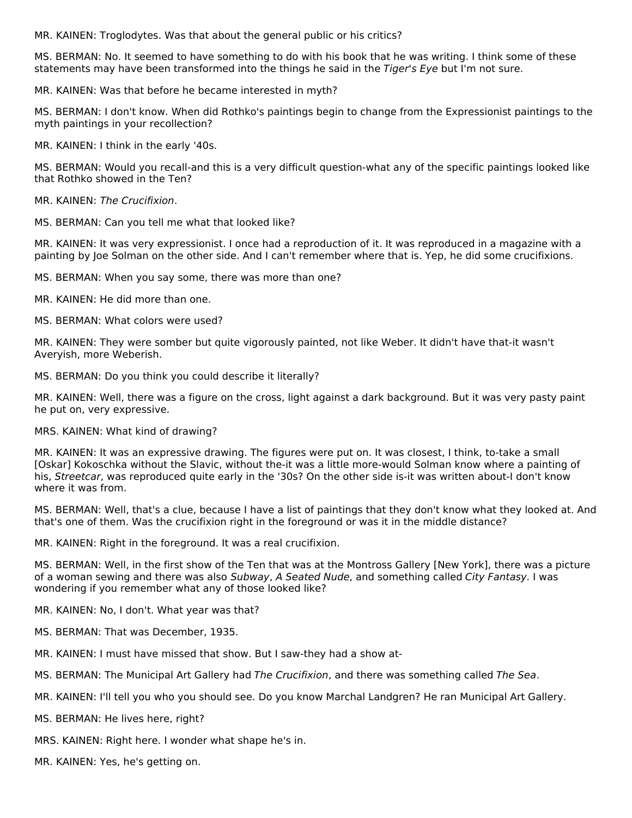MR. KAINEN: Troglodytes. Was that about the general public or his critics?

MS. BERMAN: No. It seemed to have something to do with his book that he was writing. I think some of these statements may have been transformed into the things he said in the Tiger's Eye but I'm not sure.

MR. KAINEN: Was that before he became interested in myth?

MS. BERMAN: I don't know. When did Rothko's paintings begin to change from the Expressionist paintings to the myth paintings in your recollection?

MR. KAINEN: I think in the early '40s.

MS. BERMAN: Would you recall-and this is a very difficult question-what any of the specific paintings looked like that Rothko showed in the Ten?

MR. KAINEN: The Crucifixion.

MS. BERMAN: Can you tell me what that looked like?

MR. KAINEN: It was very expressionist. I once had a reproduction of it. It was reproduced in a magazine with a painting by Joe Solman on the other side. And I can't remember where that is. Yep, he did some crucifixions.

MS. BERMAN: When you say some, there was more than one?

MR. KAINEN: He did more than one.

MS. BERMAN: What colors were used?

MR. KAINEN: They were somber but quite vigorously painted, not like Weber. It didn't have that-it wasn't Averyish, more Weberish.

MS. BERMAN: Do you think you could describe it literally?

MR. KAINEN: Well, there was a figure on the cross, light against a dark background. But it was very pasty paint he put on, very expressive.

MRS. KAINEN: What kind of drawing?

MR. KAINEN: It was an expressive drawing. The figures were put on. It was closest, I think, to-take a small [Oskar] Kokoschka without the Slavic, without the-it was a little more-would Solman know where a painting of his, Streetcar, was reproduced quite early in the '30s? On the other side is-it was written about-I don't know where it was from.

MS. BERMAN: Well, that's a clue, because I have a list of paintings that they don't know what they looked at. And that's one of them. Was the crucifixion right in the foreground or was it in the middle distance?

MR. KAINEN: Right in the foreground. It was a real crucifixion.

MS. BERMAN: Well, in the first show of the Ten that was at the Montross Gallery [New York], there was a picture of a woman sewing and there was also Subway, A Seated Nude, and something called City Fantasy. I was wondering if you remember what any of those looked like?

MR. KAINEN: No, I don't. What year was that?

MS. BERMAN: That was December, 1935.

MR. KAINEN: I must have missed that show. But I saw-they had a show at-

MS. BERMAN: The Municipal Art Gallery had The Crucifixion, and there was something called The Sea.

MR. KAINEN: I'll tell you who you should see. Do you know Marchal Landgren? He ran Municipal Art Gallery.

MS. BERMAN: He lives here, right?

MRS. KAINEN: Right here. I wonder what shape he's in.

MR. KAINEN: Yes, he's getting on.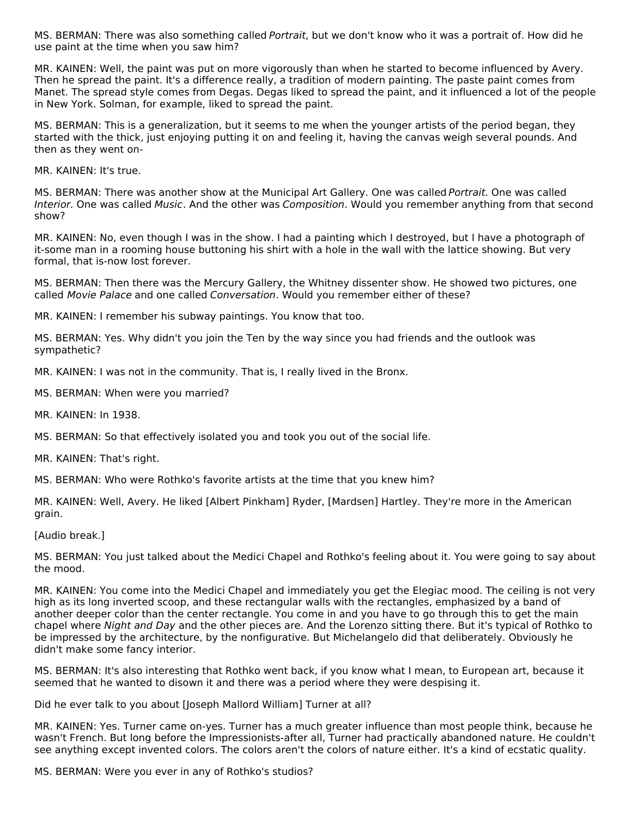MS. BERMAN: There was also something called Portrait, but we don't know who it was a portrait of. How did he use paint at the time when you saw him?

MR. KAINEN: Well, the paint was put on more vigorously than when he started to become influenced by Avery. Then he spread the paint. It's a difference really, a tradition of modern painting. The paste paint comes from Manet. The spread style comes from Degas. Degas liked to spread the paint, and it influenced a lot of the people in New York. Solman, for example, liked to spread the paint.

MS. BERMAN: This is a generalization, but it seems to me when the younger artists of the period began, they started with the thick, just enjoying putting it on and feeling it, having the canvas weigh several pounds. And then as they went on-

MR. KAINEN: It's true.

MS. BERMAN: There was another show at the Municipal Art Gallery. One was called Portrait. One was called Interior. One was called Music. And the other was Composition. Would you remember anything from that second show?

MR. KAINEN: No, even though I was in the show. I had a painting which I destroyed, but I have a photograph of it-some man in a rooming house buttoning his shirt with a hole in the wall with the lattice showing. But very formal, that is-now lost forever.

MS. BERMAN: Then there was the Mercury Gallery, the Whitney dissenter show. He showed two pictures, one called Movie Palace and one called Conversation. Would you remember either of these?

MR. KAINEN: I remember his subway paintings. You know that too.

MS. BERMAN: Yes. Why didn't you join the Ten by the way since you had friends and the outlook was sympathetic?

MR. KAINEN: I was not in the community. That is, I really lived in the Bronx.

MS. BERMAN: When were you married?

MR. KAINEN: In 1938.

MS. BERMAN: So that effectively isolated you and took you out of the social life.

MR. KAINEN: That's right.

MS. BERMAN: Who were Rothko's favorite artists at the time that you knew him?

MR. KAINEN: Well, Avery. He liked [Albert Pinkham] Ryder, [Mardsen] Hartley. They're more in the American grain.

[Audio break.]

MS. BERMAN: You just talked about the Medici Chapel and Rothko's feeling about it. You were going to say about the mood.

MR. KAINEN: You come into the Medici Chapel and immediately you get the Elegiac mood. The ceiling is not very high as its long inverted scoop, and these rectangular walls with the rectangles, emphasized by a band of another deeper color than the center rectangle. You come in and you have to go through this to get the main chapel where Night and Day and the other pieces are. And the Lorenzo sitting there. But it's typical of Rothko to be impressed by the architecture, by the nonfigurative. But Michelangelo did that deliberately. Obviously he didn't make some fancy interior.

MS. BERMAN: It's also interesting that Rothko went back, if you know what I mean, to European art, because it seemed that he wanted to disown it and there was a period where they were despising it.

Did he ever talk to you about [Joseph Mallord William] Turner at all?

MR. KAINEN: Yes. Turner came on-yes. Turner has a much greater influence than most people think, because he wasn't French. But long before the Impressionists-after all, Turner had practically abandoned nature. He couldn't see anything except invented colors. The colors aren't the colors of nature either. It's a kind of ecstatic quality.

MS. BERMAN: Were you ever in any of Rothko's studios?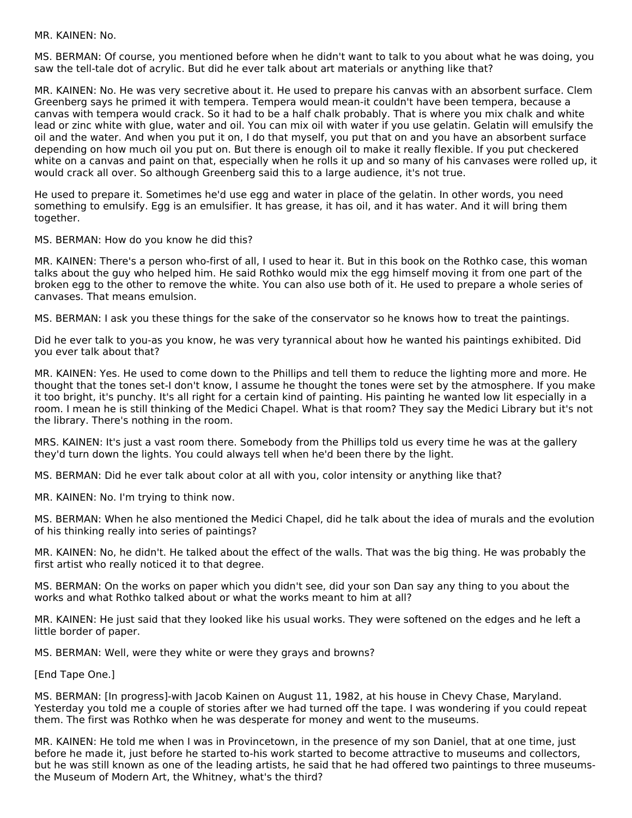MR. KAINEN: No.

MS. BERMAN: Of course, you mentioned before when he didn't want to talk to you about what he was doing, you saw the tell-tale dot of acrylic. But did he ever talk about art materials or anything like that?

MR. KAINEN: No. He was very secretive about it. He used to prepare his canvas with an absorbent surface. Clem Greenberg says he primed it with tempera. Tempera would mean-it couldn't have been tempera, because a canvas with tempera would crack. So it had to be a half chalk probably. That is where you mix chalk and white lead or zinc white with glue, water and oil. You can mix oil with water if you use gelatin. Gelatin will emulsify the oil and the water. And when you put it on, I do that myself, you put that on and you have an absorbent surface depending on how much oil you put on. But there is enough oil to make it really flexible. If you put checkered white on a canvas and paint on that, especially when he rolls it up and so many of his canvases were rolled up, it would crack all over. So although Greenberg said this to a large audience, it's not true.

He used to prepare it. Sometimes he'd use egg and water in place of the gelatin. In other words, you need something to emulsify. Egg is an emulsifier. It has grease, it has oil, and it has water. And it will bring them together.

MS. BERMAN: How do you know he did this?

MR. KAINEN: There's a person who-first of all, I used to hear it. But in this book on the Rothko case, this woman talks about the guy who helped him. He said Rothko would mix the egg himself moving it from one part of the broken egg to the other to remove the white. You can also use both of it. He used to prepare a whole series of canvases. That means emulsion.

MS. BERMAN: I ask you these things for the sake of the conservator so he knows how to treat the paintings.

Did he ever talk to you-as you know, he was very tyrannical about how he wanted his paintings exhibited. Did you ever talk about that?

MR. KAINEN: Yes. He used to come down to the Phillips and tell them to reduce the lighting more and more. He thought that the tones set-I don't know, I assume he thought the tones were set by the atmosphere. If you make it too bright, it's punchy. It's all right for a certain kind of painting. His painting he wanted low lit especially in a room. I mean he is still thinking of the Medici Chapel. What is that room? They say the Medici Library but it's not the library. There's nothing in the room.

MRS. KAINEN: It's just a vast room there. Somebody from the Phillips told us every time he was at the gallery they'd turn down the lights. You could always tell when he'd been there by the light.

MS. BERMAN: Did he ever talk about color at all with you, color intensity or anything like that?

MR. KAINEN: No. I'm trying to think now.

MS. BERMAN: When he also mentioned the Medici Chapel, did he talk about the idea of murals and the evolution of his thinking really into series of paintings?

MR. KAINEN: No, he didn't. He talked about the effect of the walls. That was the big thing. He was probably the first artist who really noticed it to that degree.

MS. BERMAN: On the works on paper which you didn't see, did your son Dan say any thing to you about the works and what Rothko talked about or what the works meant to him at all?

MR. KAINEN: He just said that they looked like his usual works. They were softened on the edges and he left a little border of paper.

MS. BERMAN: Well, were they white or were they grays and browns?

[End Tape One.]

MS. BERMAN: [In progress]-with Jacob Kainen on August 11, 1982, at his house in Chevy Chase, Maryland. Yesterday you told me a couple of stories after we had turned off the tape. I was wondering if you could repeat them. The first was Rothko when he was desperate for money and went to the museums.

MR. KAINEN: He told me when I was in Provincetown, in the presence of my son Daniel, that at one time, just before he made it, just before he started to-his work started to become attractive to museums and collectors, but he was still known as one of the leading artists, he said that he had offered two paintings to three museumsthe Museum of Modern Art, the Whitney, what's the third?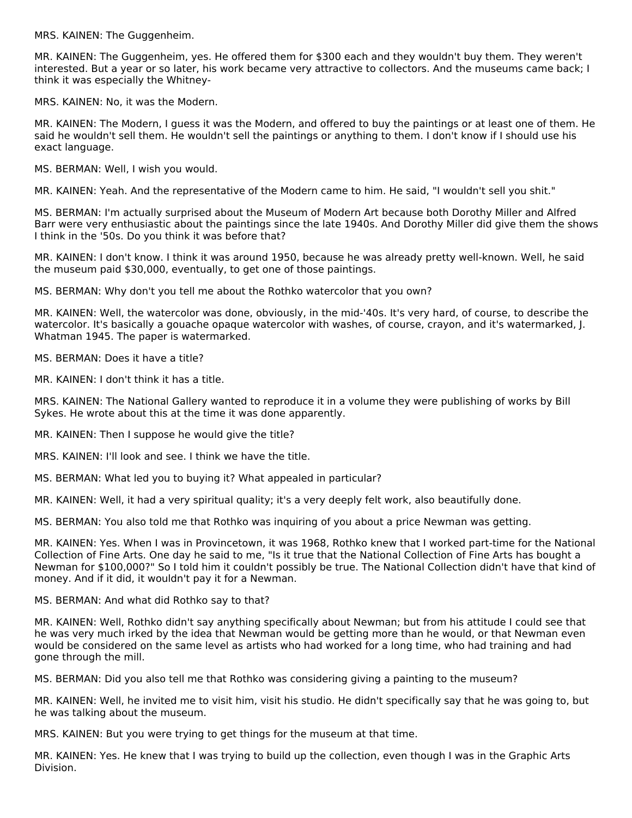MRS. KAINEN: The Guggenheim.

MR. KAINEN: The Guggenheim, yes. He offered them for \$300 each and they wouldn't buy them. They weren't interested. But a year or so later, his work became very attractive to collectors. And the museums came back; I think it was especially the Whitney-

MRS. KAINEN: No, it was the Modern.

MR. KAINEN: The Modern, I guess it was the Modern, and offered to buy the paintings or at least one of them. He said he wouldn't sell them. He wouldn't sell the paintings or anything to them. I don't know if I should use his exact language.

MS. BERMAN: Well, I wish you would.

MR. KAINEN: Yeah. And the representative of the Modern came to him. He said, "I wouldn't sell you shit."

MS. BERMAN: I'm actually surprised about the Museum of Modern Art because both Dorothy Miller and Alfred Barr were very enthusiastic about the paintings since the late 1940s. And Dorothy Miller did give them the shows I think in the '50s. Do you think it was before that?

MR. KAINEN: I don't know. I think it was around 1950, because he was already pretty well-known. Well, he said the museum paid \$30,000, eventually, to get one of those paintings.

MS. BERMAN: Why don't you tell me about the Rothko watercolor that you own?

MR. KAINEN: Well, the watercolor was done, obviously, in the mid-'40s. It's very hard, of course, to describe the watercolor. It's basically a gouache opaque watercolor with washes, of course, crayon, and it's watermarked, J. Whatman 1945. The paper is watermarked.

MS. BERMAN: Does it have a title?

MR. KAINEN: I don't think it has a title.

MRS. KAINEN: The National Gallery wanted to reproduce it in a volume they were publishing of works by Bill Sykes. He wrote about this at the time it was done apparently.

MR. KAINEN: Then I suppose he would give the title?

MRS. KAINEN: I'll look and see. I think we have the title.

MS. BERMAN: What led you to buying it? What appealed in particular?

MR. KAINEN: Well, it had a very spiritual quality; it's a very deeply felt work, also beautifully done.

MS. BERMAN: You also told me that Rothko was inquiring of you about a price Newman was getting.

MR. KAINEN: Yes. When I was in Provincetown, it was 1968, Rothko knew that I worked part-time for the National Collection of Fine Arts. One day he said to me, "Is it true that the National Collection of Fine Arts has bought a Newman for \$100,000?" So I told him it couldn't possibly be true. The National Collection didn't have that kind of money. And if it did, it wouldn't pay it for a Newman.

MS. BERMAN: And what did Rothko say to that?

MR. KAINEN: Well, Rothko didn't say anything specifically about Newman; but from his attitude I could see that he was very much irked by the idea that Newman would be getting more than he would, or that Newman even would be considered on the same level as artists who had worked for a long time, who had training and had gone through the mill.

MS. BERMAN: Did you also tell me that Rothko was considering giving a painting to the museum?

MR. KAINEN: Well, he invited me to visit him, visit his studio. He didn't specifically say that he was going to, but he was talking about the museum.

MRS. KAINEN: But you were trying to get things for the museum at that time.

MR. KAINEN: Yes. He knew that I was trying to build up the collection, even though I was in the Graphic Arts Division.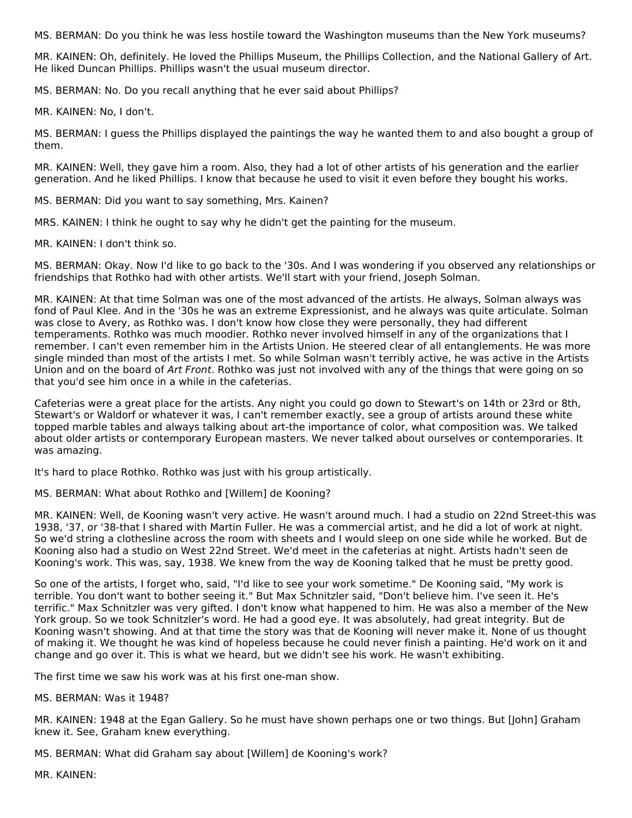MS. BERMAN: Do you think he was less hostile toward the Washington museums than the New York museums?

MR. KAINEN: Oh, definitely. He loved the Phillips Museum, the Phillips Collection, and the National Gallery of Art. He liked Duncan Phillips. Phillips wasn't the usual museum director.

MS. BERMAN: No. Do you recall anything that he ever said about Phillips?

MR. KAINEN: No, I don't.

MS. BERMAN: I guess the Phillips displayed the paintings the way he wanted them to and also bought a group of them.

MR. KAINEN: Well, they gave him a room. Also, they had a lot of other artists of his generation and the earlier generation. And he liked Phillips. I know that because he used to visit it even before they bought his works.

MS. BERMAN: Did you want to say something, Mrs. Kainen?

MRS. KAINEN: I think he ought to say why he didn't get the painting for the museum.

MR. KAINEN: I don't think so.

MS. BERMAN: Okay. Now I'd like to go back to the '30s. And I was wondering if you observed any relationships or friendships that Rothko had with other artists. We'll start with your friend, Joseph Solman.

MR. KAINEN: At that time Solman was one of the most advanced of the artists. He always, Solman always was fond of Paul Klee. And in the '30s he was an extreme Expressionist, and he always was quite articulate. Solman was close to Avery, as Rothko was. I don't know how close they were personally, they had different temperaments. Rothko was much moodier. Rothko never involved himself in any of the organizations that I remember. I can't even remember him in the Artists Union. He steered clear of all entanglements. He was more single minded than most of the artists I met. So while Solman wasn't terribly active, he was active in the Artists Union and on the board of Art Front. Rothko was just not involved with any of the things that were going on so that you'd see him once in a while in the cafeterias.

Cafeterias were a great place for the artists. Any night you could go down to Stewart's on 14th or 23rd or 8th, Stewart's or Waldorf or whatever it was, I can't remember exactly, see a group of artists around these white topped marble tables and always talking about art-the importance of color, what composition was. We talked about older artists or contemporary European masters. We never talked about ourselves or contemporaries. It was amazing.

It's hard to place Rothko. Rothko was just with his group artistically.

MS. BERMAN: What about Rothko and [Willem] de Kooning?

MR. KAINEN: Well, de Kooning wasn't very active. He wasn't around much. I had a studio on 22nd Street-this was 1938, '37, or '38-that I shared with Martin Fuller. He was a commercial artist, and he did a lot of work at night. So we'd string a clothesline across the room with sheets and I would sleep on one side while he worked. But de Kooning also had a studio on West 22nd Street. We'd meet in the cafeterias at night. Artists hadn't seen de Kooning's work. This was, say, 1938. We knew from the way de Kooning talked that he must be pretty good.

So one of the artists, I forget who, said, "I'd like to see your work sometime." De Kooning said, "My work is terrible. You don't want to bother seeing it." But Max Schnitzler said, "Don't believe him. I've seen it. He's terrific." Max Schnitzler was very gifted. I don't know what happened to him. He was also a member of the New York group. So we took Schnitzler's word. He had a good eye. It was absolutely, had great integrity. But de Kooning wasn't showing. And at that time the story was that de Kooning will never make it. None of us thought of making it. We thought he was kind of hopeless because he could never finish a painting. He'd work on it and change and go over it. This is what we heard, but we didn't see his work. He wasn't exhibiting.

The first time we saw his work was at his first one-man show.

#### MS. BERMAN: Was it 1948?

MR. KAINEN: 1948 at the Egan Gallery. So he must have shown perhaps one or two things. But [John] Graham knew it. See, Graham knew everything.

MS. BERMAN: What did Graham say about [Willem] de Kooning's work?

MR. KAINEN: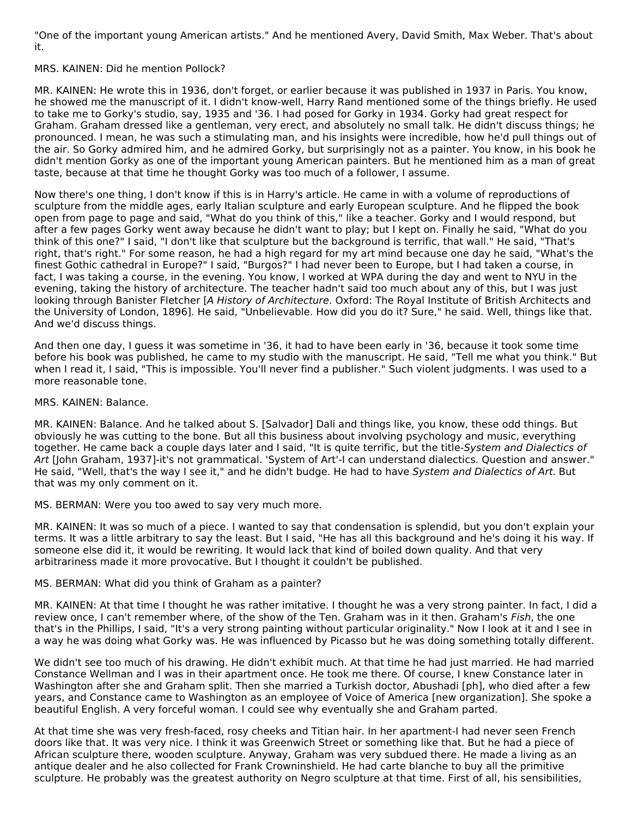"One of the important young American artists." And he mentioned Avery, David Smith, Max Weber. That's about it.

#### MRS. KAINEN: Did he mention Pollock?

MR. KAINEN: He wrote this in 1936, don't forget, or earlier because it was published in 1937 in Paris. You know, he showed me the manuscript of it. I didn't know-well, Harry Rand mentioned some of the things briefly. He used to take me to Gorky's studio, say, 1935 and '36. I had posed for Gorky in 1934. Gorky had great respect for Graham. Graham dressed like a gentleman, very erect, and absolutely no small talk. He didn't discuss things; he pronounced. I mean, he was such a stimulating man, and his insights were incredible, how he'd pull things out of the air. So Gorky admired him, and he admired Gorky, but surprisingly not as a painter. You know, in his book he didn't mention Gorky as one of the important young American painters. But he mentioned him as a man of great taste, because at that time he thought Gorky was too much of a follower, I assume.

Now there's one thing, I don't know if this is in Harry's article. He came in with a volume of reproductions of sculpture from the middle ages, early Italian sculpture and early European sculpture. And he flipped the book open from page to page and said, "What do you think of this," like a teacher. Gorky and I would respond, but after a few pages Gorky went away because he didn't want to play; but I kept on. Finally he said, "What do you think of this one?" I said, "I don't like that sculpture but the background is terrific, that wall." He said, "That's right, that's right." For some reason, he had a high regard for my art mind because one day he said, "What's the finest Gothic cathedral in Europe?" I said, "Burgos?" I had never been to Europe, but I had taken a course, in fact, I was taking a course, in the evening. You know, I worked at WPA during the day and went to NYU in the evening, taking the history of architecture. The teacher hadn't said too much about any of this, but I was just looking through Banister Fletcher [A History of Architecture. Oxford: The Royal Institute of British Architects and the University of London, 1896]. He said, "Unbelievable. How did you do it? Sure," he said. Well, things like that. And we'd discuss things.

And then one day, I guess it was sometime in '36, it had to have been early in '36, because it took some time before his book was published, he came to my studio with the manuscript. He said, "Tell me what you think." But when I read it, I said, "This is impossible. You'll never find a publisher." Such violent judgments. I was used to a more reasonable tone.

MRS. KAINEN: Balance.

MR. KAINEN: Balance. And he talked about S. [Salvador] Dali and things like, you know, these odd things. But obviously he was cutting to the bone. But all this business about involving psychology and music, everything together. He came back a couple days later and I said, "It is quite terrific, but the title-System and Dialectics of Art [John Graham, 1937]-it's not grammatical. 'System of Art'-I can understand dialectics. Question and answer." He said, "Well, that's the way I see it," and he didn't budge. He had to have System and Dialectics of Art. But that was my only comment on it.

MS. BERMAN: Were you too awed to say very much more.

MR. KAINEN: It was so much of a piece. I wanted to say that condensation is splendid, but you don't explain your terms. It was a little arbitrary to say the least. But I said, "He has all this background and he's doing it his way. If someone else did it, it would be rewriting. It would lack that kind of boiled down quality. And that very arbitrariness made it more provocative. But I thought it couldn't be published.

#### MS. BERMAN: What did you think of Graham as a painter?

MR. KAINEN: At that time I thought he was rather imitative. I thought he was a very strong painter. In fact, I did a review once, I can't remember where, of the show of the Ten. Graham was in it then. Graham's Fish, the one that's in the Phillips, I said, "It's a very strong painting without particular originality." Now I look at it and I see in a way he was doing what Gorky was. He was influenced by Picasso but he was doing something totally different.

We didn't see too much of his drawing. He didn't exhibit much. At that time he had just married. He had married Constance Wellman and I was in their apartment once. He took me there. Of course, I knew Constance later in Washington after she and Graham split. Then she married a Turkish doctor, Abushadi [ph], who died after a few years, and Constance came to Washington as an employee of Voice of America [new organization]. She spoke a beautiful English. A very forceful woman. I could see why eventually she and Graham parted.

At that time she was very fresh-faced, rosy cheeks and Titian hair. In her apartment-I had never seen French doors like that. It was very nice. I think it was Greenwich Street or something like that. But he had a piece of African sculpture there, wooden sculpture. Anyway, Graham was very subdued there. He made a living as an antique dealer and he also collected for Frank Crowninshield. He had carte blanche to buy all the primitive sculpture. He probably was the greatest authority on Negro sculpture at that time. First of all, his sensibilities,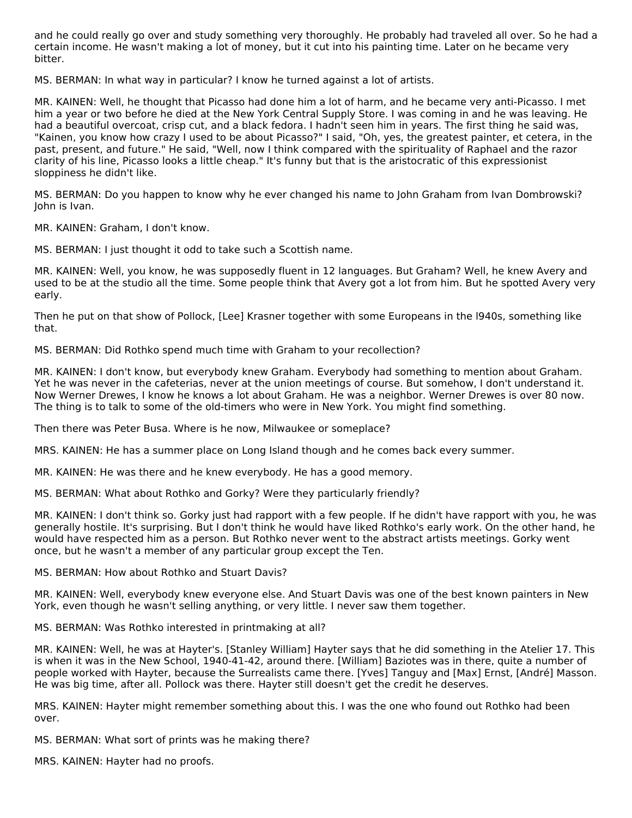and he could really go over and study something very thoroughly. He probably had traveled all over. So he had a certain income. He wasn't making a lot of money, but it cut into his painting time. Later on he became very bitter.

MS. BERMAN: In what way in particular? I know he turned against a lot of artists.

MR. KAINEN: Well, he thought that Picasso had done him a lot of harm, and he became very anti-Picasso. I met him a year or two before he died at the New York Central Supply Store. I was coming in and he was leaving. He had a beautiful overcoat, crisp cut, and a black fedora. I hadn't seen him in years. The first thing he said was, "Kainen, you know how crazy I used to be about Picasso?" I said, "Oh, yes, the greatest painter, et cetera, in the past, present, and future." He said, "Well, now I think compared with the spirituality of Raphael and the razor clarity of his line, Picasso looks a little cheap." It's funny but that is the aristocratic of this expressionist sloppiness he didn't like.

MS. BERMAN: Do you happen to know why he ever changed his name to John Graham from Ivan Dombrowski? John is Ivan.

MR. KAINEN: Graham, I don't know.

MS. BERMAN: I just thought it odd to take such a Scottish name.

MR. KAINEN: Well, you know, he was supposedly fluent in 12 languages. But Graham? Well, he knew Avery and used to be at the studio all the time. Some people think that Avery got a lot from him. But he spotted Avery very early.

Then he put on that show of Pollock, [Lee] Krasner together with some Europeans in the l940s, something like that.

MS. BERMAN: Did Rothko spend much time with Graham to your recollection?

MR. KAINEN: I don't know, but everybody knew Graham. Everybody had something to mention about Graham. Yet he was never in the cafeterias, never at the union meetings of course. But somehow, I don't understand it. Now Werner Drewes, I know he knows a lot about Graham. He was a neighbor. Werner Drewes is over 80 now. The thing is to talk to some of the old-timers who were in New York. You might find something.

Then there was Peter Busa. Where is he now, Milwaukee or someplace?

MRS. KAINEN: He has a summer place on Long Island though and he comes back every summer.

MR. KAINEN: He was there and he knew everybody. He has a good memory.

MS. BERMAN: What about Rothko and Gorky? Were they particularly friendly?

MR. KAINEN: I don't think so. Gorky just had rapport with a few people. If he didn't have rapport with you, he was generally hostile. It's surprising. But I don't think he would have liked Rothko's early work. On the other hand, he would have respected him as a person. But Rothko never went to the abstract artists meetings. Gorky went once, but he wasn't a member of any particular group except the Ten.

MS. BERMAN: How about Rothko and Stuart Davis?

MR. KAINEN: Well, everybody knew everyone else. And Stuart Davis was one of the best known painters in New York, even though he wasn't selling anything, or very little. I never saw them together.

MS. BERMAN: Was Rothko interested in printmaking at all?

MR. KAINEN: Well, he was at Hayter's. [Stanley William] Hayter says that he did something in the Atelier 17. This is when it was in the New School, 1940-41-42, around there. [William] Baziotes was in there, quite a number of people worked with Hayter, because the Surrealists came there. [Yves] Tanguy and [Max] Ernst, [André] Masson. He was big time, after all. Pollock was there. Hayter still doesn't get the credit he deserves.

MRS. KAINEN: Hayter might remember something about this. I was the one who found out Rothko had been over.

MS. BERMAN: What sort of prints was he making there?

MRS. KAINEN: Hayter had no proofs.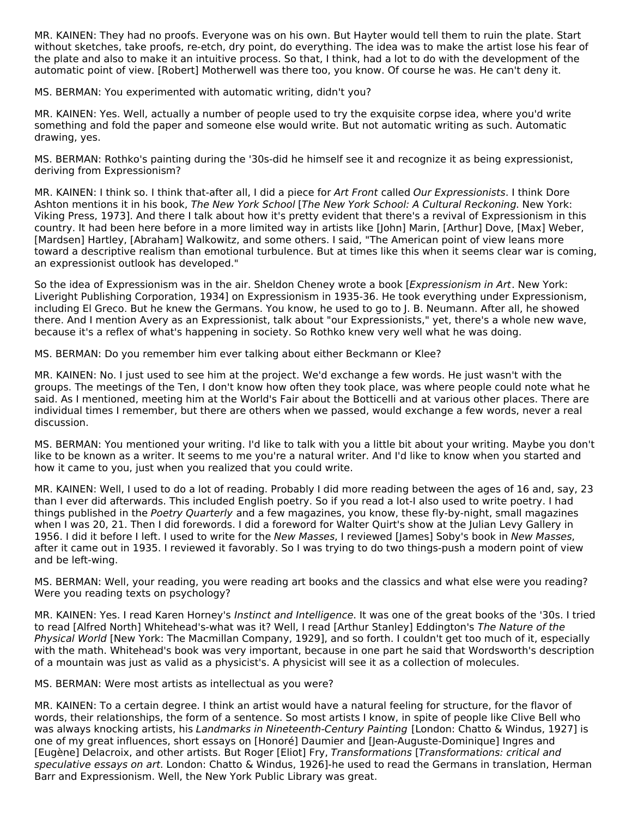MR. KAINEN: They had no proofs. Everyone was on his own. But Hayter would tell them to ruin the plate. Start without sketches, take proofs, re-etch, dry point, do everything. The idea was to make the artist lose his fear of the plate and also to make it an intuitive process. So that, I think, had a lot to do with the development of the automatic point of view. [Robert] Motherwell was there too, you know. Of course he was. He can't deny it.

MS. BERMAN: You experimented with automatic writing, didn't you?

MR. KAINEN: Yes. Well, actually a number of people used to try the exquisite corpse idea, where you'd write something and fold the paper and someone else would write. But not automatic writing as such. Automatic drawing, yes.

MS. BERMAN: Rothko's painting during the '30s-did he himself see it and recognize it as being expressionist, deriving from Expressionism?

MR. KAINEN: I think so. I think that-after all, I did a piece for Art Front called Our Expressionists. I think Dore Ashton mentions it in his book, The New York School [The New York School: A Cultural Reckoning. New York: Viking Press, 1973]. And there I talk about how it's pretty evident that there's a revival of Expressionism in this country. It had been here before in a more limited way in artists like [John] Marin, [Arthur] Dove, [Max] Weber, [Mardsen] Hartley, [Abraham] Walkowitz, and some others. I said, "The American point of view leans more toward a descriptive realism than emotional turbulence. But at times like this when it seems clear war is coming, an expressionist outlook has developed."

So the idea of Expressionism was in the air. Sheldon Cheney wrote a book [Expressionism in Art. New York: Liveright Publishing Corporation, 1934] on Expressionism in 1935-36. He took everything under Expressionism, including El Greco. But he knew the Germans. You know, he used to go to J. B. Neumann. After all, he showed there. And I mention Avery as an Expressionist, talk about "our Expressionists," yet, there's a whole new wave, because it's a reflex of what's happening in society. So Rothko knew very well what he was doing.

MS. BERMAN: Do you remember him ever talking about either Beckmann or Klee?

MR. KAINEN: No. I just used to see him at the project. We'd exchange a few words. He just wasn't with the groups. The meetings of the Ten, I don't know how often they took place, was where people could note what he said. As I mentioned, meeting him at the World's Fair about the Botticelli and at various other places. There are individual times I remember, but there are others when we passed, would exchange a few words, never a real discussion.

MS. BERMAN: You mentioned your writing. I'd like to talk with you a little bit about your writing. Maybe you don't like to be known as a writer. It seems to me you're a natural writer. And I'd like to know when you started and how it came to you, just when you realized that you could write.

MR. KAINEN: Well, I used to do a lot of reading. Probably I did more reading between the ages of 16 and, say, 23 than I ever did afterwards. This included English poetry. So if you read a lot-I also used to write poetry. I had things published in the Poetry Quarterly and a few magazines, you know, these fly-by-night, small magazines when I was 20, 21. Then I did forewords. I did a foreword for Walter Quirt's show at the Julian Levy Gallery in 1956. I did it before I left. I used to write for the New Masses, I reviewed [James] Soby's book in New Masses, after it came out in 1935. I reviewed it favorably. So I was trying to do two things-push a modern point of view and be left-wing.

MS. BERMAN: Well, your reading, you were reading art books and the classics and what else were you reading? Were you reading texts on psychology?

MR. KAINEN: Yes. I read Karen Horney's *Instinct and Intelligence*. It was one of the great books of the '30s. I tried to read [Alfred North] Whitehead's-what was it? Well, I read [Arthur Stanley] Eddington's The Nature of the Physical World [New York: The Macmillan Company, 1929], and so forth. I couldn't get too much of it, especially with the math. Whitehead's book was very important, because in one part he said that Wordsworth's description of a mountain was just as valid as a physicist's. A physicist will see it as a collection of molecules.

MS. BERMAN: Were most artists as intellectual as you were?

MR. KAINEN: To a certain degree. I think an artist would have a natural feeling for structure, for the flavor of words, their relationships, the form of a sentence. So most artists I know, in spite of people like Clive Bell who was always knocking artists, his Landmarks in Nineteenth-Century Painting [London: Chatto & Windus, 1927] is one of my great influences, short essays on [Honoré] Daumier and [Jean-Auguste-Dominique] Ingres and [Eugène] Delacroix, and other artists. But Roger [Eliot] Fry, Transformations [Transformations: critical and speculative essays on art. London: Chatto & Windus, 1926]-he used to read the Germans in translation, Herman Barr and Expressionism. Well, the New York Public Library was great.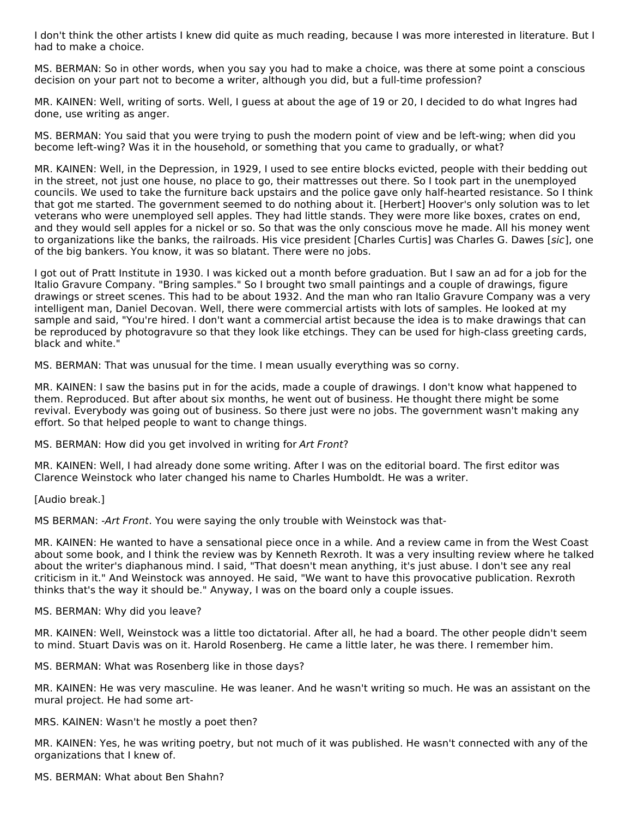I don't think the other artists I knew did quite as much reading, because I was more interested in literature. But I had to make a choice.

MS. BERMAN: So in other words, when you say you had to make a choice, was there at some point a conscious decision on your part not to become a writer, although you did, but a full-time profession?

MR. KAINEN: Well, writing of sorts. Well, I guess at about the age of 19 or 20, I decided to do what Ingres had done, use writing as anger.

MS. BERMAN: You said that you were trying to push the modern point of view and be left-wing; when did you become left-wing? Was it in the household, or something that you came to gradually, or what?

MR. KAINEN: Well, in the Depression, in 1929, I used to see entire blocks evicted, people with their bedding out in the street, not just one house, no place to go, their mattresses out there. So I took part in the unemployed councils. We used to take the furniture back upstairs and the police gave only half-hearted resistance. So I think that got me started. The government seemed to do nothing about it. [Herbert] Hoover's only solution was to let veterans who were unemployed sell apples. They had little stands. They were more like boxes, crates on end, and they would sell apples for a nickel or so. So that was the only conscious move he made. All his money went to organizations like the banks, the railroads. His vice president [Charles Curtis] was Charles G. Dawes [sic], one of the big bankers. You know, it was so blatant. There were no jobs.

I got out of Pratt Institute in 1930. I was kicked out a month before graduation. But I saw an ad for a job for the Italio Gravure Company. "Bring samples." So I brought two small paintings and a couple of drawings, figure drawings or street scenes. This had to be about 1932. And the man who ran Italio Gravure Company was a very intelligent man, Daniel Decovan. Well, there were commercial artists with lots of samples. He looked at my sample and said, "You're hired. I don't want a commercial artist because the idea is to make drawings that can be reproduced by photogravure so that they look like etchings. They can be used for high-class greeting cards, black and white."

MS. BERMAN: That was unusual for the time. I mean usually everything was so corny.

MR. KAINEN: I saw the basins put in for the acids, made a couple of drawings. I don't know what happened to them. Reproduced. But after about six months, he went out of business. He thought there might be some revival. Everybody was going out of business. So there just were no jobs. The government wasn't making any effort. So that helped people to want to change things.

MS. BERMAN: How did you get involved in writing for Art Front?

MR. KAINEN: Well, I had already done some writing. After I was on the editorial board. The first editor was Clarence Weinstock who later changed his name to Charles Humboldt. He was a writer.

[Audio break.]

MS BERMAN: - Art Front. You were saying the only trouble with Weinstock was that-

MR. KAINEN: He wanted to have a sensational piece once in a while. And a review came in from the West Coast about some book, and I think the review was by Kenneth Rexroth. It was a very insulting review where he talked about the writer's diaphanous mind. I said, "That doesn't mean anything, it's just abuse. I don't see any real criticism in it." And Weinstock was annoyed. He said, "We want to have this provocative publication. Rexroth thinks that's the way it should be." Anyway, I was on the board only a couple issues.

MS. BERMAN: Why did you leave?

MR. KAINEN: Well, Weinstock was a little too dictatorial. After all, he had a board. The other people didn't seem to mind. Stuart Davis was on it. Harold Rosenberg. He came a little later, he was there. I remember him.

MS. BERMAN: What was Rosenberg like in those days?

MR. KAINEN: He was very masculine. He was leaner. And he wasn't writing so much. He was an assistant on the mural project. He had some art-

MRS. KAINEN: Wasn't he mostly a poet then?

MR. KAINEN: Yes, he was writing poetry, but not much of it was published. He wasn't connected with any of the organizations that I knew of.

MS. BERMAN: What about Ben Shahn?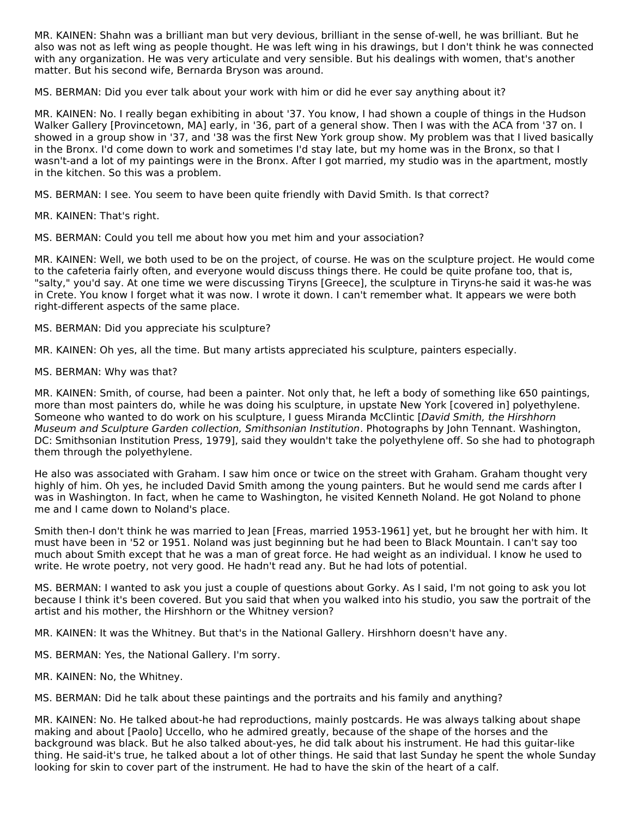MR. KAINEN: Shahn was a brilliant man but very devious, brilliant in the sense of-well, he was brilliant. But he also was not as left wing as people thought. He was left wing in his drawings, but I don't think he was connected with any organization. He was very articulate and very sensible. But his dealings with women, that's another matter. But his second wife, Bernarda Bryson was around.

MS. BERMAN: Did you ever talk about your work with him or did he ever say anything about it?

MR. KAINEN: No. I really began exhibiting in about '37. You know, I had shown a couple of things in the Hudson Walker Gallery [Provincetown, MA] early, in '36, part of a general show. Then I was with the ACA from '37 on. I showed in a group show in '37, and '38 was the first New York group show. My problem was that I lived basically in the Bronx. I'd come down to work and sometimes I'd stay late, but my home was in the Bronx, so that I wasn't-and a lot of my paintings were in the Bronx. After I got married, my studio was in the apartment, mostly in the kitchen. So this was a problem.

MS. BERMAN: I see. You seem to have been quite friendly with David Smith. Is that correct?

MR. KAINEN: That's right.

MS. BERMAN: Could you tell me about how you met him and your association?

MR. KAINEN: Well, we both used to be on the project, of course. He was on the sculpture project. He would come to the cafeteria fairly often, and everyone would discuss things there. He could be quite profane too, that is, "salty," you'd say. At one time we were discussing Tiryns [Greece], the sculpture in Tiryns-he said it was-he was in Crete. You know I forget what it was now. I wrote it down. I can't remember what. It appears we were both right-different aspects of the same place.

MS. BERMAN: Did you appreciate his sculpture?

MR. KAINEN: Oh yes, all the time. But many artists appreciated his sculpture, painters especially.

MS. BERMAN: Why was that?

MR. KAINEN: Smith, of course, had been a painter. Not only that, he left a body of something like 650 paintings, more than most painters do, while he was doing his sculpture, in upstate New York [covered in] polyethylene. Someone who wanted to do work on his sculpture, I guess Miranda McClintic *[David Smith, the Hirshhorn*] Museum and Sculpture Garden collection, Smithsonian Institution. Photographs by John Tennant. Washington, DC: Smithsonian Institution Press, 1979], said they wouldn't take the polyethylene off. So she had to photograph them through the polyethylene.

He also was associated with Graham. I saw him once or twice on the street with Graham. Graham thought very highly of him. Oh yes, he included David Smith among the young painters. But he would send me cards after I was in Washington. In fact, when he came to Washington, he visited Kenneth Noland. He got Noland to phone me and I came down to Noland's place.

Smith then-I don't think he was married to Jean [Freas, married 1953-1961] yet, but he brought her with him. It must have been in '52 or 1951. Noland was just beginning but he had been to Black Mountain. I can't say too much about Smith except that he was a man of great force. He had weight as an individual. I know he used to write. He wrote poetry, not very good. He hadn't read any. But he had lots of potential.

MS. BERMAN: I wanted to ask you just a couple of questions about Gorky. As I said, I'm not going to ask you lot because I think it's been covered. But you said that when you walked into his studio, you saw the portrait of the artist and his mother, the Hirshhorn or the Whitney version?

MR. KAINEN: It was the Whitney. But that's in the National Gallery. Hirshhorn doesn't have any.

MS. BERMAN: Yes, the National Gallery. I'm sorry.

MR. KAINEN: No, the Whitney.

MS. BERMAN: Did he talk about these paintings and the portraits and his family and anything?

MR. KAINEN: No. He talked about-he had reproductions, mainly postcards. He was always talking about shape making and about [Paolo] Uccello, who he admired greatly, because of the shape of the horses and the background was black. But he also talked about-yes, he did talk about his instrument. He had this guitar-like thing. He said-it's true, he talked about a lot of other things. He said that last Sunday he spent the whole Sunday looking for skin to cover part of the instrument. He had to have the skin of the heart of a calf.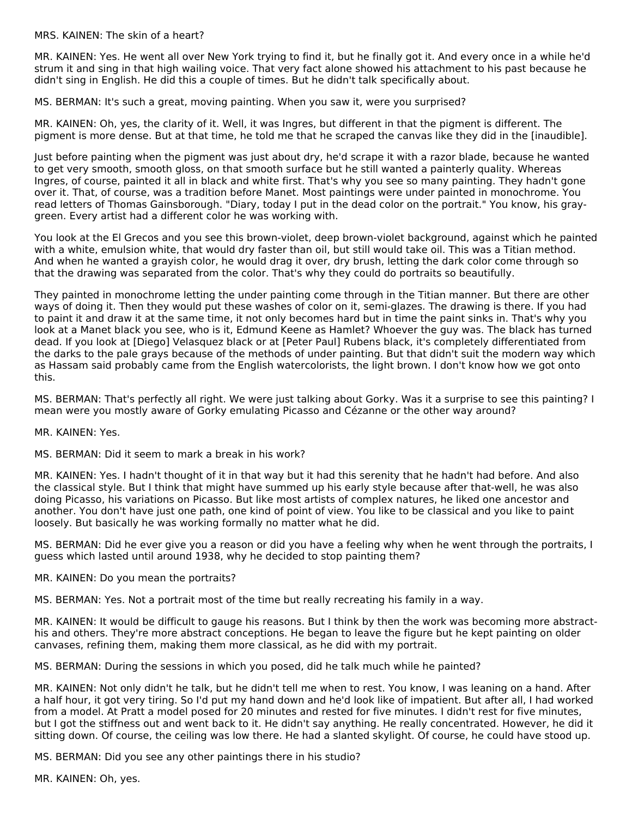MRS. KAINEN: The skin of a heart?

MR. KAINEN: Yes. He went all over New York trying to find it, but he finally got it. And every once in a while he'd strum it and sing in that high wailing voice. That very fact alone showed his attachment to his past because he didn't sing in English. He did this a couple of times. But he didn't talk specifically about.

MS. BERMAN: It's such a great, moving painting. When you saw it, were you surprised?

MR. KAINEN: Oh, yes, the clarity of it. Well, it was Ingres, but different in that the pigment is different. The pigment is more dense. But at that time, he told me that he scraped the canvas like they did in the [inaudible].

Just before painting when the pigment was just about dry, he'd scrape it with a razor blade, because he wanted to get very smooth, smooth gloss, on that smooth surface but he still wanted a painterly quality. Whereas Ingres, of course, painted it all in black and white first. That's why you see so many painting. They hadn't gone over it. That, of course, was a tradition before Manet. Most paintings were under painted in monochrome. You read letters of Thomas Gainsborough. "Diary, today I put in the dead color on the portrait." You know, his graygreen. Every artist had a different color he was working with.

You look at the El Grecos and you see this brown-violet, deep brown-violet background, against which he painted with a white, emulsion white, that would dry faster than oil, but still would take oil. This was a Titian method. And when he wanted a grayish color, he would drag it over, dry brush, letting the dark color come through so that the drawing was separated from the color. That's why they could do portraits so beautifully.

They painted in monochrome letting the under painting come through in the Titian manner. But there are other ways of doing it. Then they would put these washes of color on it, semi-glazes. The drawing is there. If you had to paint it and draw it at the same time, it not only becomes hard but in time the paint sinks in. That's why you look at a Manet black you see, who is it, Edmund Keene as Hamlet? Whoever the guy was. The black has turned dead. If you look at [Diego] Velasquez black or at [Peter Paul] Rubens black, it's completely differentiated from the darks to the pale grays because of the methods of under painting. But that didn't suit the modern way which as Hassam said probably came from the English watercolorists, the light brown. I don't know how we got onto this.

MS. BERMAN: That's perfectly all right. We were just talking about Gorky. Was it a surprise to see this painting? I mean were you mostly aware of Gorky emulating Picasso and Cézanne or the other way around?

MR. KAINEN: Yes.

MS. BERMAN: Did it seem to mark a break in his work?

MR. KAINEN: Yes. I hadn't thought of it in that way but it had this serenity that he hadn't had before. And also the classical style. But I think that might have summed up his early style because after that-well, he was also doing Picasso, his variations on Picasso. But like most artists of complex natures, he liked one ancestor and another. You don't have just one path, one kind of point of view. You like to be classical and you like to paint loosely. But basically he was working formally no matter what he did.

MS. BERMAN: Did he ever give you a reason or did you have a feeling why when he went through the portraits, I guess which lasted until around 1938, why he decided to stop painting them?

MR. KAINEN: Do you mean the portraits?

MS. BERMAN: Yes. Not a portrait most of the time but really recreating his family in a way.

MR. KAINEN: It would be difficult to gauge his reasons. But I think by then the work was becoming more abstracthis and others. They're more abstract conceptions. He began to leave the figure but he kept painting on older canvases, refining them, making them more classical, as he did with my portrait.

MS. BERMAN: During the sessions in which you posed, did he talk much while he painted?

MR. KAINEN: Not only didn't he talk, but he didn't tell me when to rest. You know, I was leaning on a hand. After a half hour, it got very tiring. So I'd put my hand down and he'd look like of impatient. But after all, I had worked from a model. At Pratt a model posed for 20 minutes and rested for five minutes. I didn't rest for five minutes, but I got the stiffness out and went back to it. He didn't say anything. He really concentrated. However, he did it sitting down. Of course, the ceiling was low there. He had a slanted skylight. Of course, he could have stood up.

MS. BERMAN: Did you see any other paintings there in his studio?

MR. KAINEN: Oh, yes.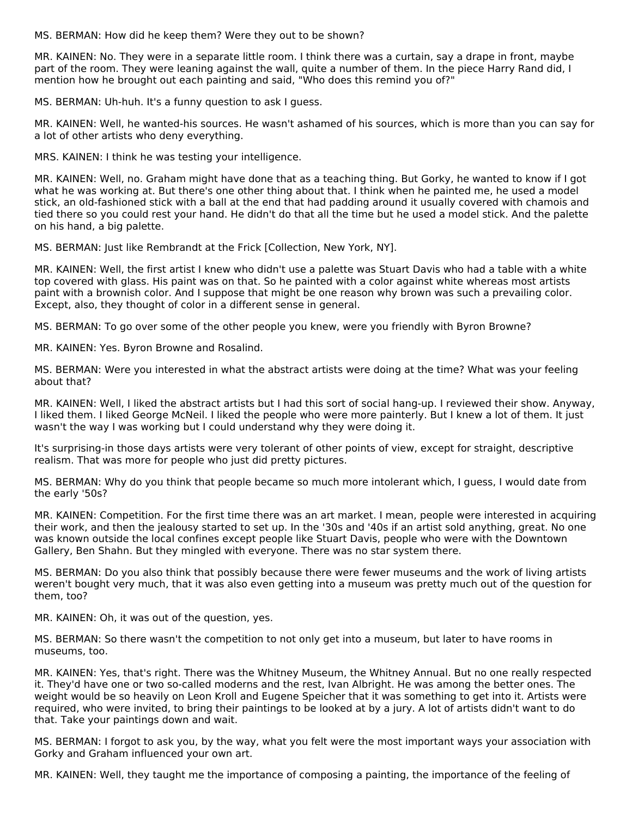MS. BERMAN: How did he keep them? Were they out to be shown?

MR. KAINEN: No. They were in a separate little room. I think there was a curtain, say a drape in front, maybe part of the room. They were leaning against the wall, quite a number of them. In the piece Harry Rand did, I mention how he brought out each painting and said, "Who does this remind you of?"

MS. BERMAN: Uh-huh. It's a funny question to ask I guess.

MR. KAINEN: Well, he wanted-his sources. He wasn't ashamed of his sources, which is more than you can say for a lot of other artists who deny everything.

MRS. KAINEN: I think he was testing your intelligence.

MR. KAINEN: Well, no. Graham might have done that as a teaching thing. But Gorky, he wanted to know if I got what he was working at. But there's one other thing about that. I think when he painted me, he used a model stick, an old-fashioned stick with a ball at the end that had padding around it usually covered with chamois and tied there so you could rest your hand. He didn't do that all the time but he used a model stick. And the palette on his hand, a big palette.

MS. BERMAN: Just like Rembrandt at the Frick [Collection, New York, NY].

MR. KAINEN: Well, the first artist I knew who didn't use a palette was Stuart Davis who had a table with a white top covered with glass. His paint was on that. So he painted with a color against white whereas most artists paint with a brownish color. And I suppose that might be one reason why brown was such a prevailing color. Except, also, they thought of color in a different sense in general.

MS. BERMAN: To go over some of the other people you knew, were you friendly with Byron Browne?

MR. KAINEN: Yes. Byron Browne and Rosalind.

MS. BERMAN: Were you interested in what the abstract artists were doing at the time? What was your feeling about that?

MR. KAINEN: Well, I liked the abstract artists but I had this sort of social hang-up. I reviewed their show. Anyway, I liked them. I liked George McNeil. I liked the people who were more painterly. But I knew a lot of them. It just wasn't the way I was working but I could understand why they were doing it.

It's surprising-in those days artists were very tolerant of other points of view, except for straight, descriptive realism. That was more for people who just did pretty pictures.

MS. BERMAN: Why do you think that people became so much more intolerant which, I guess, I would date from the early '50s?

MR. KAINEN: Competition. For the first time there was an art market. I mean, people were interested in acquiring their work, and then the jealousy started to set up. In the '30s and '40s if an artist sold anything, great. No one was known outside the local confines except people like Stuart Davis, people who were with the Downtown Gallery, Ben Shahn. But they mingled with everyone. There was no star system there.

MS. BERMAN: Do you also think that possibly because there were fewer museums and the work of living artists weren't bought very much, that it was also even getting into a museum was pretty much out of the question for them, too?

MR. KAINEN: Oh, it was out of the question, yes.

MS. BERMAN: So there wasn't the competition to not only get into a museum, but later to have rooms in museums, too.

MR. KAINEN: Yes, that's right. There was the Whitney Museum, the Whitney Annual. But no one really respected it. They'd have one or two so-called moderns and the rest, Ivan Albright. He was among the better ones. The weight would be so heavily on Leon Kroll and Eugene Speicher that it was something to get into it. Artists were required, who were invited, to bring their paintings to be looked at by a jury. A lot of artists didn't want to do that. Take your paintings down and wait.

MS. BERMAN: I forgot to ask you, by the way, what you felt were the most important ways your association with Gorky and Graham influenced your own art.

MR. KAINEN: Well, they taught me the importance of composing a painting, the importance of the feeling of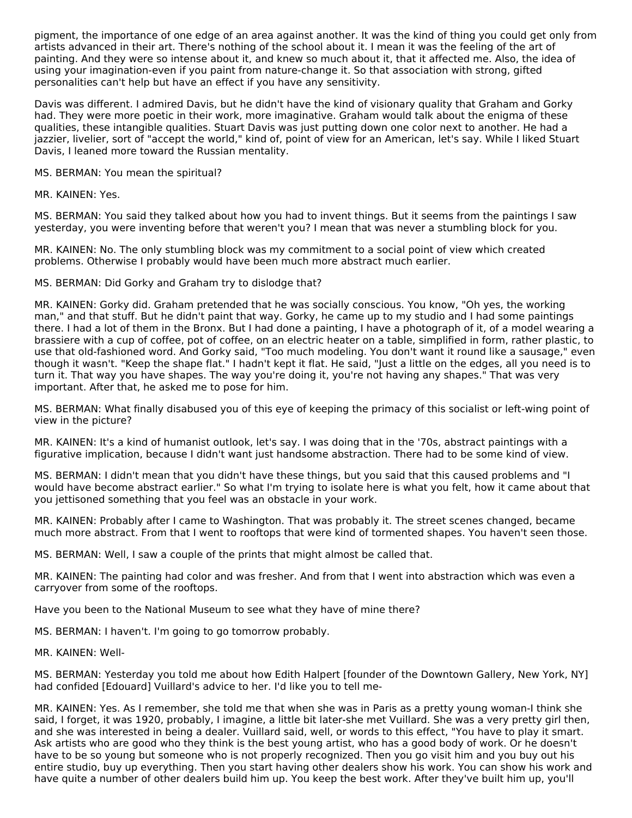pigment, the importance of one edge of an area against another. It was the kind of thing you could get only from artists advanced in their art. There's nothing of the school about it. I mean it was the feeling of the art of painting. And they were so intense about it, and knew so much about it, that it affected me. Also, the idea of using your imagination-even if you paint from nature-change it. So that association with strong, gifted personalities can't help but have an effect if you have any sensitivity.

Davis was different. I admired Davis, but he didn't have the kind of visionary quality that Graham and Gorky had. They were more poetic in their work, more imaginative. Graham would talk about the enigma of these qualities, these intangible qualities. Stuart Davis was just putting down one color next to another. He had a jazzier, livelier, sort of "accept the world," kind of, point of view for an American, let's say. While I liked Stuart Davis, I leaned more toward the Russian mentality.

MS. BERMAN: You mean the spiritual?

MR. KAINEN: Yes.

MS. BERMAN: You said they talked about how you had to invent things. But it seems from the paintings I saw yesterday, you were inventing before that weren't you? I mean that was never a stumbling block for you.

MR. KAINEN: No. The only stumbling block was my commitment to a social point of view which created problems. Otherwise I probably would have been much more abstract much earlier.

MS. BERMAN: Did Gorky and Graham try to dislodge that?

MR. KAINEN: Gorky did. Graham pretended that he was socially conscious. You know, "Oh yes, the working man," and that stuff. But he didn't paint that way. Gorky, he came up to my studio and I had some paintings there. I had a lot of them in the Bronx. But I had done a painting, I have a photograph of it, of a model wearing a brassiere with a cup of coffee, pot of coffee, on an electric heater on a table, simplified in form, rather plastic, to use that old-fashioned word. And Gorky said, "Too much modeling. You don't want it round like a sausage," even though it wasn't. "Keep the shape flat." I hadn't kept it flat. He said, "Just a little on the edges, all you need is to turn it. That way you have shapes. The way you're doing it, you're not having any shapes." That was very important. After that, he asked me to pose for him.

MS. BERMAN: What finally disabused you of this eye of keeping the primacy of this socialist or left-wing point of view in the picture?

MR. KAINEN: It's a kind of humanist outlook, let's say. I was doing that in the '70s, abstract paintings with a figurative implication, because I didn't want just handsome abstraction. There had to be some kind of view.

MS. BERMAN: I didn't mean that you didn't have these things, but you said that this caused problems and "I would have become abstract earlier." So what I'm trying to isolate here is what you felt, how it came about that you jettisoned something that you feel was an obstacle in your work.

MR. KAINEN: Probably after I came to Washington. That was probably it. The street scenes changed, became much more abstract. From that I went to rooftops that were kind of tormented shapes. You haven't seen those.

MS. BERMAN: Well, I saw a couple of the prints that might almost be called that.

MR. KAINEN: The painting had color and was fresher. And from that I went into abstraction which was even a carryover from some of the rooftops.

Have you been to the National Museum to see what they have of mine there?

MS. BERMAN: I haven't. I'm going to go tomorrow probably.

MR. KAINEN: Well-

MS. BERMAN: Yesterday you told me about how Edith Halpert [founder of the Downtown Gallery, New York, NY] had confided [Edouard] Vuillard's advice to her. I'd like you to tell me-

MR. KAINEN: Yes. As I remember, she told me that when she was in Paris as a pretty young woman-I think she said, I forget, it was 1920, probably, I imagine, a little bit later-she met Vuillard. She was a very pretty girl then, and she was interested in being a dealer. Vuillard said, well, or words to this effect, "You have to play it smart. Ask artists who are good who they think is the best young artist, who has a good body of work. Or he doesn't have to be so young but someone who is not properly recognized. Then you go visit him and you buy out his entire studio, buy up everything. Then you start having other dealers show his work. You can show his work and have quite a number of other dealers build him up. You keep the best work. After they've built him up, you'll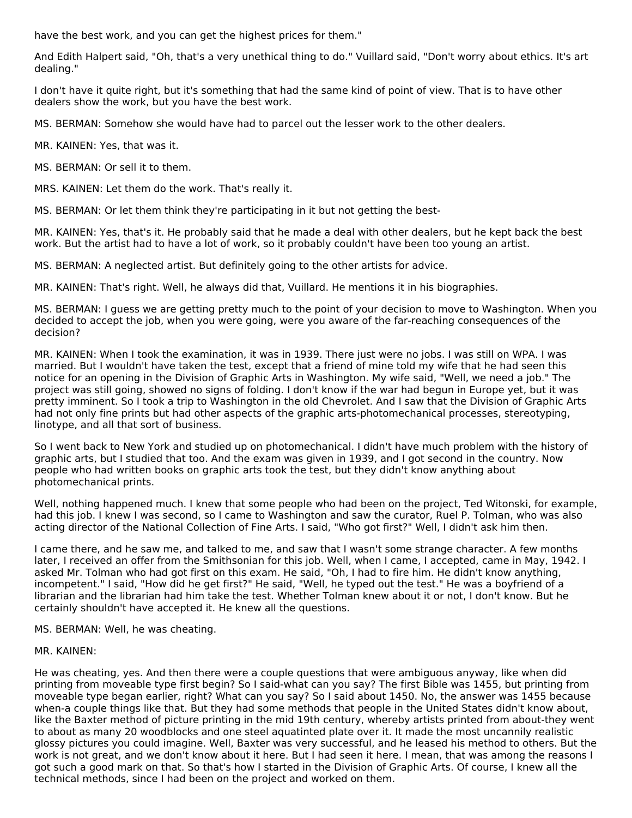have the best work, and you can get the highest prices for them."

And Edith Halpert said, "Oh, that's a very unethical thing to do." Vuillard said, "Don't worry about ethics. It's art dealing."

I don't have it quite right, but it's something that had the same kind of point of view. That is to have other dealers show the work, but you have the best work.

MS. BERMAN: Somehow she would have had to parcel out the lesser work to the other dealers.

MR. KAINEN: Yes, that was it.

MS. BERMAN: Or sell it to them.

MRS. KAINEN: Let them do the work. That's really it.

MS. BERMAN: Or let them think they're participating in it but not getting the best-

MR. KAINEN: Yes, that's it. He probably said that he made a deal with other dealers, but he kept back the best work. But the artist had to have a lot of work, so it probably couldn't have been too young an artist.

MS. BERMAN: A neglected artist. But definitely going to the other artists for advice.

MR. KAINEN: That's right. Well, he always did that, Vuillard. He mentions it in his biographies.

MS. BERMAN: I guess we are getting pretty much to the point of your decision to move to Washington. When you decided to accept the job, when you were going, were you aware of the far-reaching consequences of the decision?

MR. KAINEN: When I took the examination, it was in 1939. There just were no jobs. I was still on WPA. I was married. But I wouldn't have taken the test, except that a friend of mine told my wife that he had seen this notice for an opening in the Division of Graphic Arts in Washington. My wife said, "Well, we need a job." The project was still going, showed no signs of folding. I don't know if the war had begun in Europe yet, but it was pretty imminent. So I took a trip to Washington in the old Chevrolet. And I saw that the Division of Graphic Arts had not only fine prints but had other aspects of the graphic arts-photomechanical processes, stereotyping, linotype, and all that sort of business.

So I went back to New York and studied up on photomechanical. I didn't have much problem with the history of graphic arts, but I studied that too. And the exam was given in 1939, and I got second in the country. Now people who had written books on graphic arts took the test, but they didn't know anything about photomechanical prints.

Well, nothing happened much. I knew that some people who had been on the project, Ted Witonski, for example, had this job. I knew I was second, so I came to Washington and saw the curator, Ruel P. Tolman, who was also acting director of the National Collection of Fine Arts. I said, "Who got first?" Well, I didn't ask him then.

I came there, and he saw me, and talked to me, and saw that I wasn't some strange character. A few months later, I received an offer from the Smithsonian for this job. Well, when I came, I accepted, came in May, 1942. I asked Mr. Tolman who had got first on this exam. He said, "Oh, I had to fire him. He didn't know anything, incompetent." I said, "How did he get first?" He said, "Well, he typed out the test." He was a boyfriend of a librarian and the librarian had him take the test. Whether Tolman knew about it or not, I don't know. But he certainly shouldn't have accepted it. He knew all the questions.

MS. BERMAN: Well, he was cheating.

#### MR. KAINEN:

He was cheating, yes. And then there were a couple questions that were ambiguous anyway, like when did printing from moveable type first begin? So I said-what can you say? The first Bible was 1455, but printing from moveable type began earlier, right? What can you say? So I said about 1450. No, the answer was 1455 because when-a couple things like that. But they had some methods that people in the United States didn't know about, like the Baxter method of picture printing in the mid 19th century, whereby artists printed from about-they went to about as many 20 woodblocks and one steel aquatinted plate over it. It made the most uncannily realistic glossy pictures you could imagine. Well, Baxter was very successful, and he leased his method to others. But the work is not great, and we don't know about it here. But I had seen it here. I mean, that was among the reasons I got such a good mark on that. So that's how I started in the Division of Graphic Arts. Of course, I knew all the technical methods, since I had been on the project and worked on them.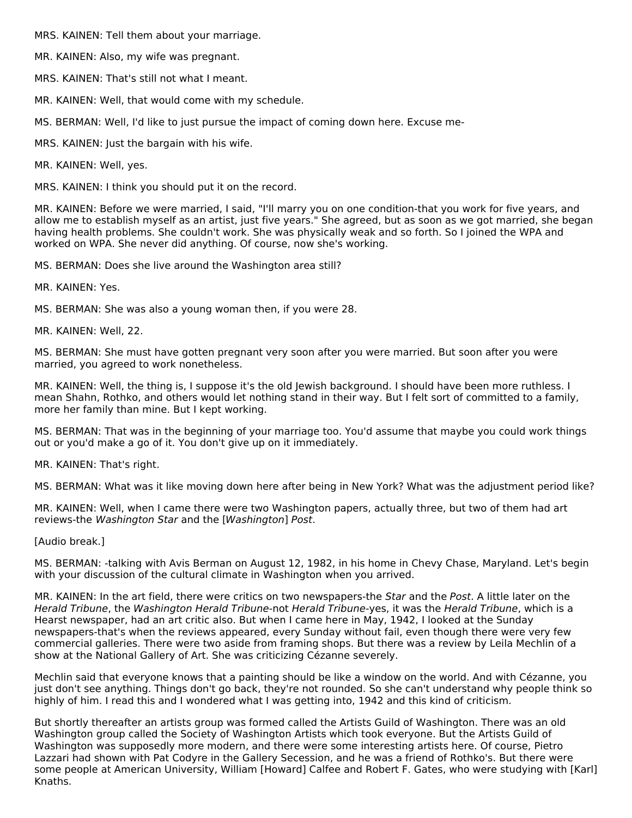MRS. KAINEN: Tell them about your marriage.

MR. KAINEN: Also, my wife was pregnant.

MRS. KAINEN: That's still not what I meant.

MR. KAINEN: Well, that would come with my schedule.

MS. BERMAN: Well, I'd like to just pursue the impact of coming down here. Excuse me-

MRS. KAINEN: Just the bargain with his wife.

MR. KAINEN: Well, yes.

MRS. KAINEN: I think you should put it on the record.

MR. KAINEN: Before we were married, I said, "I'll marry you on one condition-that you work for five years, and allow me to establish myself as an artist, just five years." She agreed, but as soon as we got married, she began having health problems. She couldn't work. She was physically weak and so forth. So I joined the WPA and worked on WPA. She never did anything. Of course, now she's working.

MS. BERMAN: Does she live around the Washington area still?

MR. KAINEN: Yes.

MS. BERMAN: She was also a young woman then, if you were 28.

MR. KAINEN: Well, 22.

MS. BERMAN: She must have gotten pregnant very soon after you were married. But soon after you were married, you agreed to work nonetheless.

MR. KAINEN: Well, the thing is, I suppose it's the old Jewish background. I should have been more ruthless. I mean Shahn, Rothko, and others would let nothing stand in their way. But I felt sort of committed to a family, more her family than mine. But I kept working.

MS. BERMAN: That was in the beginning of your marriage too. You'd assume that maybe you could work things out or you'd make a go of it. You don't give up on it immediately.

MR. KAINEN: That's right.

MS. BERMAN: What was it like moving down here after being in New York? What was the adjustment period like?

MR. KAINEN: Well, when I came there were two Washington papers, actually three, but two of them had art reviews-the Washington Star and the [Washington] Post.

[Audio break.]

MS. BERMAN: -talking with Avis Berman on August 12, 1982, in his home in Chevy Chase, Maryland. Let's begin with your discussion of the cultural climate in Washington when you arrived.

MR. KAINEN: In the art field, there were critics on two newspapers-the Star and the Post. A little later on the Herald Tribune, the Washington Herald Tribune-not Herald Tribune-yes, it was the Herald Tribune, which is a Hearst newspaper, had an art critic also. But when I came here in May, 1942, I looked at the Sunday newspapers-that's when the reviews appeared, every Sunday without fail, even though there were very few commercial galleries. There were two aside from framing shops. But there was a review by Leila Mechlin of a show at the National Gallery of Art. She was criticizing Cézanne severely.

Mechlin said that everyone knows that a painting should be like a window on the world. And with Cézanne, you just don't see anything. Things don't go back, they're not rounded. So she can't understand why people think so highly of him. I read this and I wondered what I was getting into, 1942 and this kind of criticism.

But shortly thereafter an artists group was formed called the Artists Guild of Washington. There was an old Washington group called the Society of Washington Artists which took everyone. But the Artists Guild of Washington was supposedly more modern, and there were some interesting artists here. Of course, Pietro Lazzari had shown with Pat Codyre in the Gallery Secession, and he was a friend of Rothko's. But there were some people at American University, William [Howard] Calfee and Robert F. Gates, who were studying with [Karl] Knaths.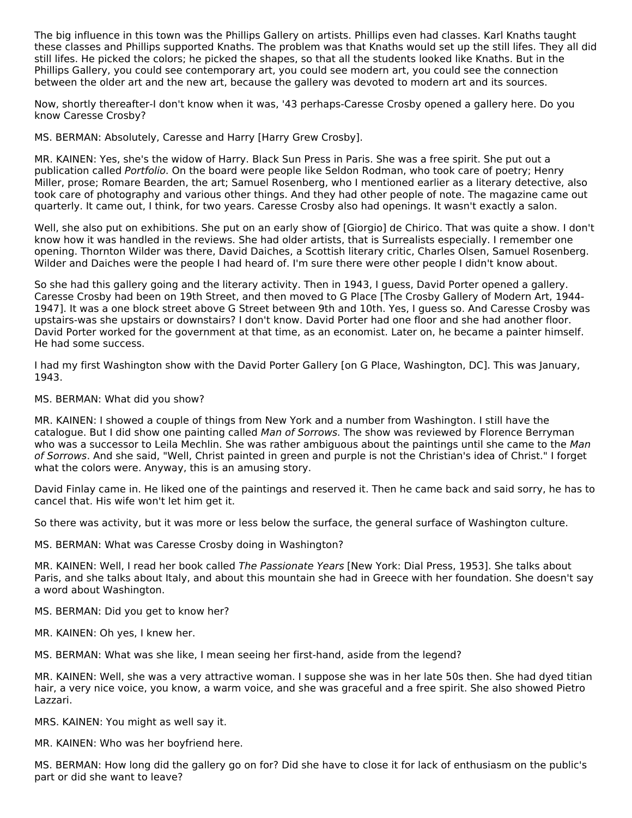The big influence in this town was the Phillips Gallery on artists. Phillips even had classes. Karl Knaths taught these classes and Phillips supported Knaths. The problem was that Knaths would set up the still lifes. They all did still lifes. He picked the colors; he picked the shapes, so that all the students looked like Knaths. But in the Phillips Gallery, you could see contemporary art, you could see modern art, you could see the connection between the older art and the new art, because the gallery was devoted to modern art and its sources.

Now, shortly thereafter-I don't know when it was, '43 perhaps-Caresse Crosby opened a gallery here. Do you know Caresse Crosby?

MS. BERMAN: Absolutely, Caresse and Harry [Harry Grew Crosby].

MR. KAINEN: Yes, she's the widow of Harry. Black Sun Press in Paris. She was a free spirit. She put out a publication called Portfolio. On the board were people like Seldon Rodman, who took care of poetry; Henry Miller, prose; Romare Bearden, the art; Samuel Rosenberg, who I mentioned earlier as a literary detective, also took care of photography and various other things. And they had other people of note. The magazine came out quarterly. It came out, I think, for two years. Caresse Crosby also had openings. It wasn't exactly a salon.

Well, she also put on exhibitions. She put on an early show of [Giorgio] de Chirico. That was quite a show. I don't know how it was handled in the reviews. She had older artists, that is Surrealists especially. I remember one opening. Thornton Wilder was there, David Daiches, a Scottish literary critic, Charles Olsen, Samuel Rosenberg. Wilder and Daiches were the people I had heard of. I'm sure there were other people I didn't know about.

So she had this gallery going and the literary activity. Then in 1943, I guess, David Porter opened a gallery. Caresse Crosby had been on 19th Street, and then moved to G Place [The Crosby Gallery of Modern Art, 1944- 1947]. It was a one block street above G Street between 9th and 10th. Yes, I guess so. And Caresse Crosby was upstairs-was she upstairs or downstairs? I don't know. David Porter had one floor and she had another floor. David Porter worked for the government at that time, as an economist. Later on, he became a painter himself. He had some success.

I had my first Washington show with the David Porter Gallery [on G Place, Washington, DC]. This was January, 1943.

MS. BERMAN: What did you show?

MR. KAINEN: I showed a couple of things from New York and a number from Washington. I still have the catalogue. But I did show one painting called Man of Sorrows. The show was reviewed by Florence Berryman who was a successor to Leila Mechlin. She was rather ambiguous about the paintings until she came to the Man of Sorrows. And she said, "Well, Christ painted in green and purple is not the Christian's idea of Christ." I forget what the colors were. Anyway, this is an amusing story.

David Finlay came in. He liked one of the paintings and reserved it. Then he came back and said sorry, he has to cancel that. His wife won't let him get it.

So there was activity, but it was more or less below the surface, the general surface of Washington culture.

MS. BERMAN: What was Caresse Crosby doing in Washington?

MR. KAINEN: Well, I read her book called The Passionate Years [New York: Dial Press, 1953]. She talks about Paris, and she talks about Italy, and about this mountain she had in Greece with her foundation. She doesn't say a word about Washington.

MS. BERMAN: Did you get to know her?

MR. KAINEN: Oh yes, I knew her.

MS. BERMAN: What was she like, I mean seeing her first-hand, aside from the legend?

MR. KAINEN: Well, she was a very attractive woman. I suppose she was in her late 50s then. She had dyed titian hair, a very nice voice, you know, a warm voice, and she was graceful and a free spirit. She also showed Pietro Lazzari.

MRS. KAINEN: You might as well say it.

MR. KAINEN: Who was her boyfriend here.

MS. BERMAN: How long did the gallery go on for? Did she have to close it for lack of enthusiasm on the public's part or did she want to leave?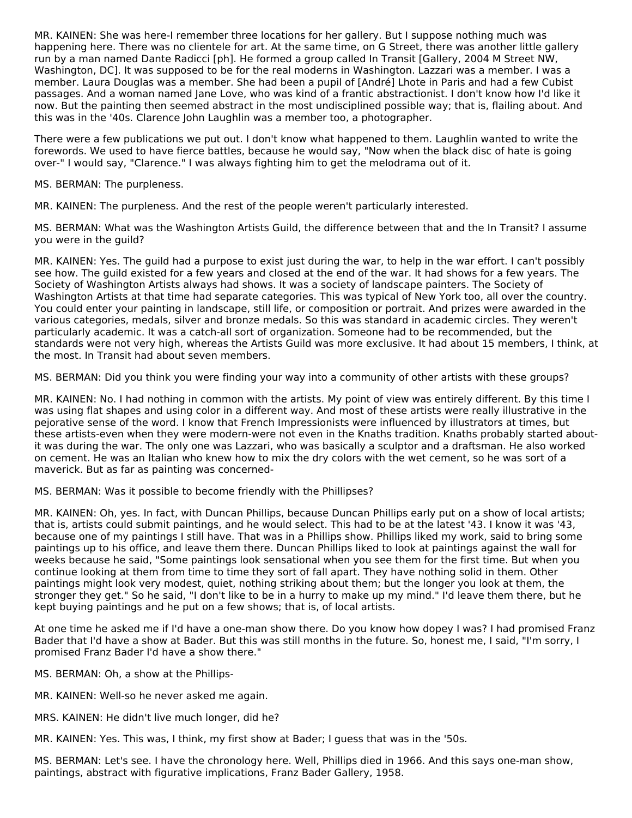MR. KAINEN: She was here-I remember three locations for her gallery. But I suppose nothing much was happening here. There was no clientele for art. At the same time, on G Street, there was another little gallery run by a man named Dante Radicci [ph]. He formed a group called In Transit [Gallery, 2004 M Street NW, Washington, DC]. It was supposed to be for the real moderns in Washington. Lazzari was a member. I was a member. Laura Douglas was a member. She had been a pupil of [André] Lhote in Paris and had a few Cubist passages. And a woman named Jane Love, who was kind of a frantic abstractionist. I don't know how I'd like it now. But the painting then seemed abstract in the most undisciplined possible way; that is, flailing about. And this was in the '40s. Clarence John Laughlin was a member too, a photographer.

There were a few publications we put out. I don't know what happened to them. Laughlin wanted to write the forewords. We used to have fierce battles, because he would say, "Now when the black disc of hate is going over-" I would say, "Clarence." I was always fighting him to get the melodrama out of it.

MS. BERMAN: The purpleness.

MR. KAINEN: The purpleness. And the rest of the people weren't particularly interested.

MS. BERMAN: What was the Washington Artists Guild, the difference between that and the In Transit? I assume you were in the guild?

MR. KAINEN: Yes. The guild had a purpose to exist just during the war, to help in the war effort. I can't possibly see how. The guild existed for a few years and closed at the end of the war. It had shows for a few years. The Society of Washington Artists always had shows. It was a society of landscape painters. The Society of Washington Artists at that time had separate categories. This was typical of New York too, all over the country. You could enter your painting in landscape, still life, or composition or portrait. And prizes were awarded in the various categories, medals, silver and bronze medals. So this was standard in academic circles. They weren't particularly academic. It was a catch-all sort of organization. Someone had to be recommended, but the standards were not very high, whereas the Artists Guild was more exclusive. It had about 15 members, I think, at the most. In Transit had about seven members.

MS. BERMAN: Did you think you were finding your way into a community of other artists with these groups?

MR. KAINEN: No. I had nothing in common with the artists. My point of view was entirely different. By this time I was using flat shapes and using color in a different way. And most of these artists were really illustrative in the pejorative sense of the word. I know that French Impressionists were influenced by illustrators at times, but these artists-even when they were modern-were not even in the Knaths tradition. Knaths probably started aboutit was during the war. The only one was Lazzari, who was basically a sculptor and a draftsman. He also worked on cement. He was an Italian who knew how to mix the dry colors with the wet cement, so he was sort of a maverick. But as far as painting was concerned-

MS. BERMAN: Was it possible to become friendly with the Phillipses?

MR. KAINEN: Oh, yes. In fact, with Duncan Phillips, because Duncan Phillips early put on a show of local artists; that is, artists could submit paintings, and he would select. This had to be at the latest '43. I know it was '43, because one of my paintings I still have. That was in a Phillips show. Phillips liked my work, said to bring some paintings up to his office, and leave them there. Duncan Phillips liked to look at paintings against the wall for weeks because he said, "Some paintings look sensational when you see them for the first time. But when you continue looking at them from time to time they sort of fall apart. They have nothing solid in them. Other paintings might look very modest, quiet, nothing striking about them; but the longer you look at them, the stronger they get." So he said, "I don't like to be in a hurry to make up my mind." I'd leave them there, but he kept buying paintings and he put on a few shows; that is, of local artists.

At one time he asked me if I'd have a one-man show there. Do you know how dopey I was? I had promised Franz Bader that I'd have a show at Bader. But this was still months in the future. So, honest me, I said, "I'm sorry, I promised Franz Bader I'd have a show there."

MS. BERMAN: Oh, a show at the Phillips-

MR. KAINEN: Well-so he never asked me again.

MRS. KAINEN: He didn't live much longer, did he?

MR. KAINEN: Yes. This was, I think, my first show at Bader; I guess that was in the '50s.

MS. BERMAN: Let's see. I have the chronology here. Well, Phillips died in 1966. And this says one-man show, paintings, abstract with figurative implications, Franz Bader Gallery, 1958.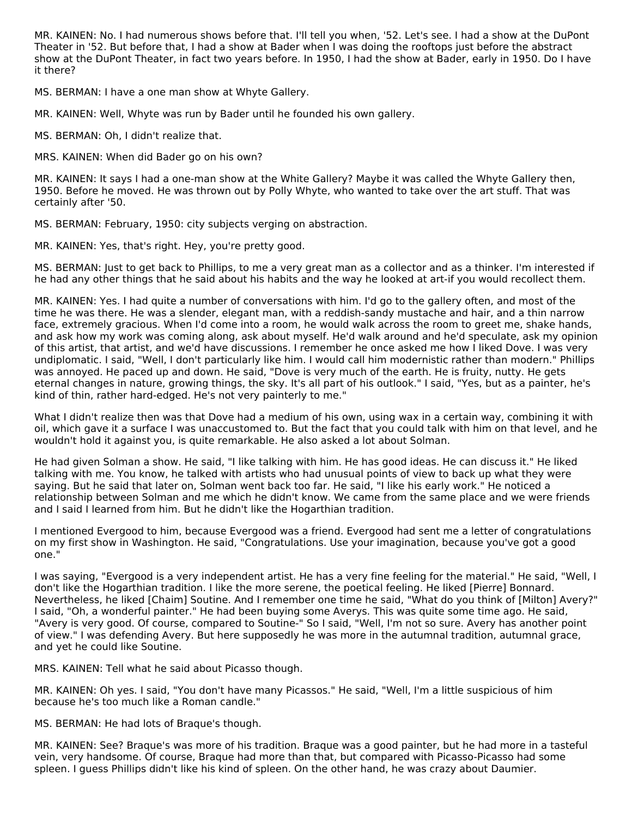MR. KAINEN: No. I had numerous shows before that. I'll tell you when, '52. Let's see. I had a show at the DuPont Theater in '52. But before that, I had a show at Bader when I was doing the rooftops just before the abstract show at the DuPont Theater, in fact two years before. In 1950, I had the show at Bader, early in 1950. Do I have it there?

MS. BERMAN: I have a one man show at Whyte Gallery.

MR. KAINEN: Well, Whyte was run by Bader until he founded his own gallery.

MS. BERMAN: Oh, I didn't realize that.

MRS. KAINEN: When did Bader go on his own?

MR. KAINEN: It says I had a one-man show at the White Gallery? Maybe it was called the Whyte Gallery then, 1950. Before he moved. He was thrown out by Polly Whyte, who wanted to take over the art stuff. That was certainly after '50.

MS. BERMAN: February, 1950: city subjects verging on abstraction.

MR. KAINEN: Yes, that's right. Hey, you're pretty good.

MS. BERMAN: Just to get back to Phillips, to me a very great man as a collector and as a thinker. I'm interested if he had any other things that he said about his habits and the way he looked at art-if you would recollect them.

MR. KAINEN: Yes. I had quite a number of conversations with him. I'd go to the gallery often, and most of the time he was there. He was a slender, elegant man, with a reddish-sandy mustache and hair, and a thin narrow face, extremely gracious. When I'd come into a room, he would walk across the room to greet me, shake hands, and ask how my work was coming along, ask about myself. He'd walk around and he'd speculate, ask my opinion of this artist, that artist, and we'd have discussions. I remember he once asked me how I liked Dove. I was very undiplomatic. I said, "Well, I don't particularly like him. I would call him modernistic rather than modern." Phillips was annoyed. He paced up and down. He said, "Dove is very much of the earth. He is fruity, nutty. He gets eternal changes in nature, growing things, the sky. It's all part of his outlook." I said, "Yes, but as a painter, he's kind of thin, rather hard-edged. He's not very painterly to me."

What I didn't realize then was that Dove had a medium of his own, using wax in a certain way, combining it with oil, which gave it a surface I was unaccustomed to. But the fact that you could talk with him on that level, and he wouldn't hold it against you, is quite remarkable. He also asked a lot about Solman.

He had given Solman a show. He said, "I like talking with him. He has good ideas. He can discuss it." He liked talking with me. You know, he talked with artists who had unusual points of view to back up what they were saying. But he said that later on, Solman went back too far. He said, "I like his early work." He noticed a relationship between Solman and me which he didn't know. We came from the same place and we were friends and I said I learned from him. But he didn't like the Hogarthian tradition.

I mentioned Evergood to him, because Evergood was a friend. Evergood had sent me a letter of congratulations on my first show in Washington. He said, "Congratulations. Use your imagination, because you've got a good one."

I was saying, "Evergood is a very independent artist. He has a very fine feeling for the material." He said, "Well, I don't like the Hogarthian tradition. I like the more serene, the poetical feeling. He liked [Pierre] Bonnard. Nevertheless, he liked [Chaim] Soutine. And I remember one time he said, "What do you think of [Milton] Avery?" I said, "Oh, a wonderful painter." He had been buying some Averys. This was quite some time ago. He said, "Avery is very good. Of course, compared to Soutine-" So I said, "Well, I'm not so sure. Avery has another point of view." I was defending Avery. But here supposedly he was more in the autumnal tradition, autumnal grace, and yet he could like Soutine.

MRS. KAINEN: Tell what he said about Picasso though.

MR. KAINEN: Oh yes. I said, "You don't have many Picassos." He said, "Well, I'm a little suspicious of him because he's too much like a Roman candle."

MS. BERMAN: He had lots of Braque's though.

MR. KAINEN: See? Braque's was more of his tradition. Braque was a good painter, but he had more in a tasteful vein, very handsome. Of course, Braque had more than that, but compared with Picasso-Picasso had some spleen. I guess Phillips didn't like his kind of spleen. On the other hand, he was crazy about Daumier.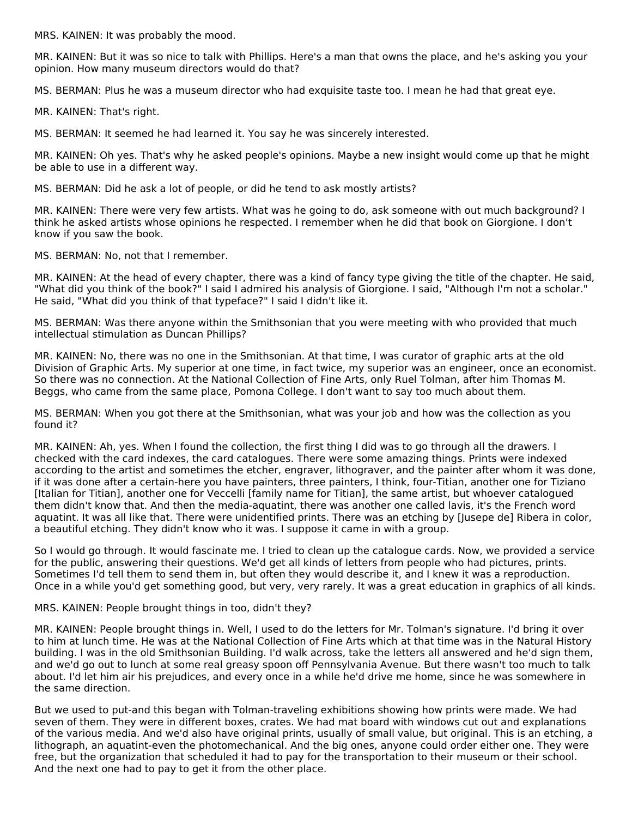MRS. KAINEN: It was probably the mood.

MR. KAINEN: But it was so nice to talk with Phillips. Here's a man that owns the place, and he's asking you your opinion. How many museum directors would do that?

MS. BERMAN: Plus he was a museum director who had exquisite taste too. I mean he had that great eye.

MR. KAINEN: That's right.

MS. BERMAN: It seemed he had learned it. You say he was sincerely interested.

MR. KAINEN: Oh yes. That's why he asked people's opinions. Maybe a new insight would come up that he might be able to use in a different way.

MS. BERMAN: Did he ask a lot of people, or did he tend to ask mostly artists?

MR. KAINEN: There were very few artists. What was he going to do, ask someone with out much background? I think he asked artists whose opinions he respected. I remember when he did that book on Giorgione. I don't know if you saw the book.

MS. BERMAN: No, not that I remember.

MR. KAINEN: At the head of every chapter, there was a kind of fancy type giving the title of the chapter. He said, "What did you think of the book?" I said I admired his analysis of Giorgione. I said, "Although I'm not a scholar." He said, "What did you think of that typeface?" I said I didn't like it.

MS. BERMAN: Was there anyone within the Smithsonian that you were meeting with who provided that much intellectual stimulation as Duncan Phillips?

MR. KAINEN: No, there was no one in the Smithsonian. At that time, I was curator of graphic arts at the old Division of Graphic Arts. My superior at one time, in fact twice, my superior was an engineer, once an economist. So there was no connection. At the National Collection of Fine Arts, only Ruel Tolman, after him Thomas M. Beggs, who came from the same place, Pomona College. I don't want to say too much about them.

MS. BERMAN: When you got there at the Smithsonian, what was your job and how was the collection as you found it?

MR. KAINEN: Ah, yes. When I found the collection, the first thing I did was to go through all the drawers. I checked with the card indexes, the card catalogues. There were some amazing things. Prints were indexed according to the artist and sometimes the etcher, engraver, lithograver, and the painter after whom it was done, if it was done after a certain-here you have painters, three painters, I think, four-Titian, another one for Tiziano [Italian for Titian], another one for Veccelli [family name for Titian], the same artist, but whoever catalogued them didn't know that. And then the media-aquatint, there was another one called lavis, it's the French word aquatint. It was all like that. There were unidentified prints. There was an etching by [Jusepe de] Ribera in color, a beautiful etching. They didn't know who it was. I suppose it came in with a group.

So I would go through. It would fascinate me. I tried to clean up the catalogue cards. Now, we provided a service for the public, answering their questions. We'd get all kinds of letters from people who had pictures, prints. Sometimes I'd tell them to send them in, but often they would describe it, and I knew it was a reproduction. Once in a while you'd get something good, but very, very rarely. It was a great education in graphics of all kinds.

MRS. KAINEN: People brought things in too, didn't they?

MR. KAINEN: People brought things in. Well, I used to do the letters for Mr. Tolman's signature. I'd bring it over to him at lunch time. He was at the National Collection of Fine Arts which at that time was in the Natural History building. I was in the old Smithsonian Building. I'd walk across, take the letters all answered and he'd sign them, and we'd go out to lunch at some real greasy spoon off Pennsylvania Avenue. But there wasn't too much to talk about. I'd let him air his prejudices, and every once in a while he'd drive me home, since he was somewhere in the same direction.

But we used to put-and this began with Tolman-traveling exhibitions showing how prints were made. We had seven of them. They were in different boxes, crates. We had mat board with windows cut out and explanations of the various media. And we'd also have original prints, usually of small value, but original. This is an etching, a lithograph, an aquatint-even the photomechanical. And the big ones, anyone could order either one. They were free, but the organization that scheduled it had to pay for the transportation to their museum or their school. And the next one had to pay to get it from the other place.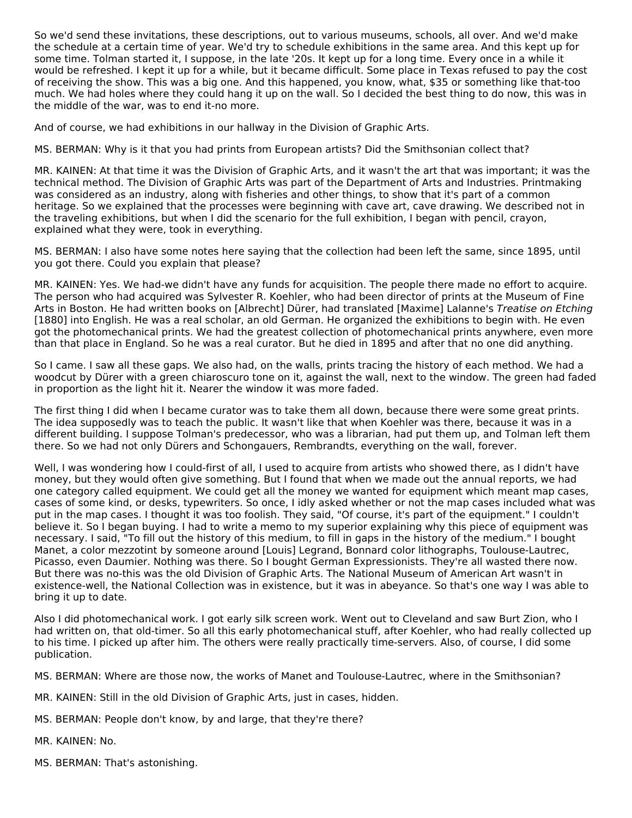So we'd send these invitations, these descriptions, out to various museums, schools, all over. And we'd make the schedule at a certain time of year. We'd try to schedule exhibitions in the same area. And this kept up for some time. Tolman started it, I suppose, in the late '20s. It kept up for a long time. Every once in a while it would be refreshed. I kept it up for a while, but it became difficult. Some place in Texas refused to pay the cost of receiving the show. This was a big one. And this happened, you know, what, \$35 or something like that-too much. We had holes where they could hang it up on the wall. So I decided the best thing to do now, this was in the middle of the war, was to end it-no more.

And of course, we had exhibitions in our hallway in the Division of Graphic Arts.

MS. BERMAN: Why is it that you had prints from European artists? Did the Smithsonian collect that?

MR. KAINEN: At that time it was the Division of Graphic Arts, and it wasn't the art that was important; it was the technical method. The Division of Graphic Arts was part of the Department of Arts and Industries. Printmaking was considered as an industry, along with fisheries and other things, to show that it's part of a common heritage. So we explained that the processes were beginning with cave art, cave drawing. We described not in the traveling exhibitions, but when I did the scenario for the full exhibition, I began with pencil, crayon, explained what they were, took in everything.

MS. BERMAN: I also have some notes here saying that the collection had been left the same, since 1895, until you got there. Could you explain that please?

MR. KAINEN: Yes. We had-we didn't have any funds for acquisition. The people there made no effort to acquire. The person who had acquired was Sylvester R. Koehler, who had been director of prints at the Museum of Fine Arts in Boston. He had written books on [Albrecht] Dürer, had translated [Maxime] Lalanne's Treatise on Etching [1880] into English. He was a real scholar, an old German. He organized the exhibitions to begin with. He even got the photomechanical prints. We had the greatest collection of photomechanical prints anywhere, even more than that place in England. So he was a real curator. But he died in 1895 and after that no one did anything.

So I came. I saw all these gaps. We also had, on the walls, prints tracing the history of each method. We had a woodcut by Dürer with a green chiaroscuro tone on it, against the wall, next to the window. The green had faded in proportion as the light hit it. Nearer the window it was more faded.

The first thing I did when I became curator was to take them all down, because there were some great prints. The idea supposedly was to teach the public. It wasn't like that when Koehler was there, because it was in a different building. I suppose Tolman's predecessor, who was a librarian, had put them up, and Tolman left them there. So we had not only Dürers and Schongauers, Rembrandts, everything on the wall, forever.

Well, I was wondering how I could-first of all, I used to acquire from artists who showed there, as I didn't have money, but they would often give something. But I found that when we made out the annual reports, we had one category called equipment. We could get all the money we wanted for equipment which meant map cases, cases of some kind, or desks, typewriters. So once, I idly asked whether or not the map cases included what was put in the map cases. I thought it was too foolish. They said, "Of course, it's part of the equipment." I couldn't believe it. So I began buying. I had to write a memo to my superior explaining why this piece of equipment was necessary. I said, "To fill out the history of this medium, to fill in gaps in the history of the medium." I bought Manet, a color mezzotint by someone around [Louis] Legrand, Bonnard color lithographs, Toulouse-Lautrec, Picasso, even Daumier. Nothing was there. So I bought German Expressionists. They're all wasted there now. But there was no-this was the old Division of Graphic Arts. The National Museum of American Art wasn't in existence-well, the National Collection was in existence, but it was in abeyance. So that's one way I was able to bring it up to date.

Also I did photomechanical work. I got early silk screen work. Went out to Cleveland and saw Burt Zion, who I had written on, that old-timer. So all this early photomechanical stuff, after Koehler, who had really collected up to his time. I picked up after him. The others were really practically time-servers. Also, of course, I did some publication.

MS. BERMAN: Where are those now, the works of Manet and Toulouse-Lautrec, where in the Smithsonian?

MR. KAINEN: Still in the old Division of Graphic Arts, just in cases, hidden.

MS. BERMAN: People don't know, by and large, that they're there?

MR. KAINEN: No.

MS. BERMAN: That's astonishing.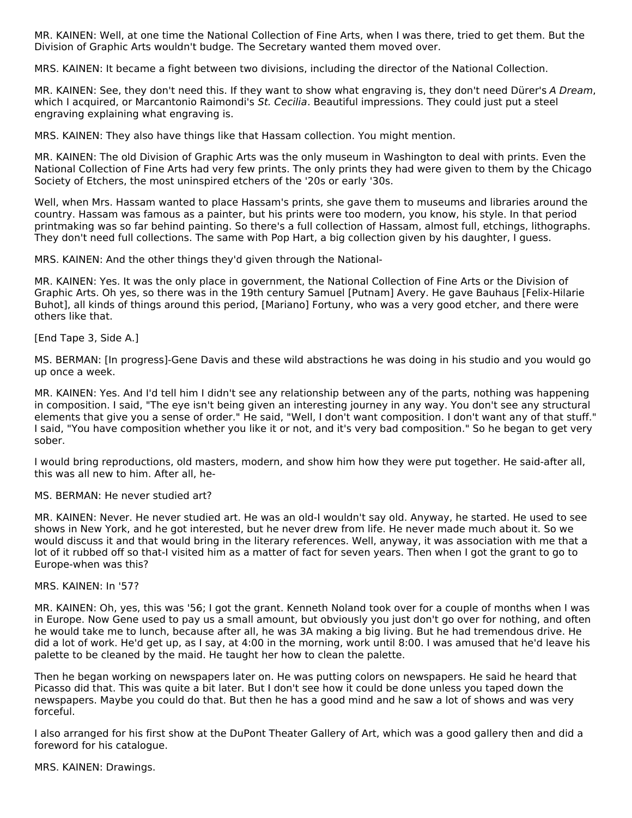MR. KAINEN: Well, at one time the National Collection of Fine Arts, when I was there, tried to get them. But the Division of Graphic Arts wouldn't budge. The Secretary wanted them moved over.

MRS. KAINEN: It became a fight between two divisions, including the director of the National Collection.

MR. KAINEN: See, they don't need this. If they want to show what engraving is, they don't need Dürer's A Dream, which I acquired, or Marcantonio Raimondi's St. Cecilia. Beautiful impressions. They could just put a steel engraving explaining what engraving is.

MRS. KAINEN: They also have things like that Hassam collection. You might mention.

MR. KAINEN: The old Division of Graphic Arts was the only museum in Washington to deal with prints. Even the National Collection of Fine Arts had very few prints. The only prints they had were given to them by the Chicago Society of Etchers, the most uninspired etchers of the '20s or early '30s.

Well, when Mrs. Hassam wanted to place Hassam's prints, she gave them to museums and libraries around the country. Hassam was famous as a painter, but his prints were too modern, you know, his style. In that period printmaking was so far behind painting. So there's a full collection of Hassam, almost full, etchings, lithographs. They don't need full collections. The same with Pop Hart, a big collection given by his daughter, I guess.

MRS. KAINEN: And the other things they'd given through the National-

MR. KAINEN: Yes. It was the only place in government, the National Collection of Fine Arts or the Division of Graphic Arts. Oh yes, so there was in the 19th century Samuel [Putnam] Avery. He gave Bauhaus [Felix-Hilarie Buhot], all kinds of things around this period, [Mariano] Fortuny, who was a very good etcher, and there were others like that.

[End Tape 3, Side A.]

MS. BERMAN: [In progress]-Gene Davis and these wild abstractions he was doing in his studio and you would go up once a week.

MR. KAINEN: Yes. And I'd tell him I didn't see any relationship between any of the parts, nothing was happening in composition. I said, "The eye isn't being given an interesting journey in any way. You don't see any structural elements that give you a sense of order." He said, "Well, I don't want composition. I don't want any of that stuff." I said, "You have composition whether you like it or not, and it's very bad composition." So he began to get very sober.

I would bring reproductions, old masters, modern, and show him how they were put together. He said-after all, this was all new to him. After all, he-

MS. BERMAN: He never studied art?

MR. KAINEN: Never. He never studied art. He was an old-I wouldn't say old. Anyway, he started. He used to see shows in New York, and he got interested, but he never drew from life. He never made much about it. So we would discuss it and that would bring in the literary references. Well, anyway, it was association with me that a lot of it rubbed off so that-I visited him as a matter of fact for seven years. Then when I got the grant to go to Europe-when was this?

#### MRS. KAINEN: In '57?

MR. KAINEN: Oh, yes, this was '56; I got the grant. Kenneth Noland took over for a couple of months when I was in Europe. Now Gene used to pay us a small amount, but obviously you just don't go over for nothing, and often he would take me to lunch, because after all, he was 3A making a big living. But he had tremendous drive. He did a lot of work. He'd get up, as I say, at 4:00 in the morning, work until 8:00. I was amused that he'd leave his palette to be cleaned by the maid. He taught her how to clean the palette.

Then he began working on newspapers later on. He was putting colors on newspapers. He said he heard that Picasso did that. This was quite a bit later. But I don't see how it could be done unless you taped down the newspapers. Maybe you could do that. But then he has a good mind and he saw a lot of shows and was very forceful.

I also arranged for his first show at the DuPont Theater Gallery of Art, which was a good gallery then and did a foreword for his catalogue.

MRS. KAINEN: Drawings.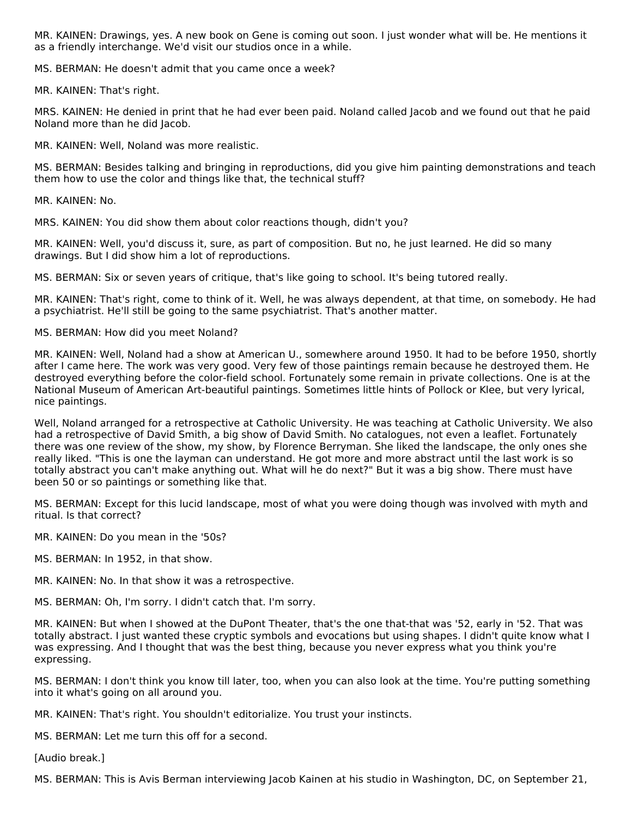MR. KAINEN: Drawings, yes. A new book on Gene is coming out soon. I just wonder what will be. He mentions it as a friendly interchange. We'd visit our studios once in a while.

MS. BERMAN: He doesn't admit that you came once a week?

MR. KAINEN: That's right.

MRS. KAINEN: He denied in print that he had ever been paid. Noland called Jacob and we found out that he paid Noland more than he did Jacob.

MR. KAINEN: Well, Noland was more realistic.

MS. BERMAN: Besides talking and bringing in reproductions, did you give him painting demonstrations and teach them how to use the color and things like that, the technical stuff?

MR. KAINEN: No.

MRS. KAINEN: You did show them about color reactions though, didn't you?

MR. KAINEN: Well, you'd discuss it, sure, as part of composition. But no, he just learned. He did so many drawings. But I did show him a lot of reproductions.

MS. BERMAN: Six or seven years of critique, that's like going to school. It's being tutored really.

MR. KAINEN: That's right, come to think of it. Well, he was always dependent, at that time, on somebody. He had a psychiatrist. He'll still be going to the same psychiatrist. That's another matter.

MS. BERMAN: How did you meet Noland?

MR. KAINEN: Well, Noland had a show at American U., somewhere around 1950. It had to be before 1950, shortly after I came here. The work was very good. Very few of those paintings remain because he destroyed them. He destroyed everything before the color-field school. Fortunately some remain in private collections. One is at the National Museum of American Art-beautiful paintings. Sometimes little hints of Pollock or Klee, but very lyrical, nice paintings.

Well, Noland arranged for a retrospective at Catholic University. He was teaching at Catholic University. We also had a retrospective of David Smith, a big show of David Smith. No catalogues, not even a leaflet. Fortunately there was one review of the show, my show, by Florence Berryman. She liked the landscape, the only ones she really liked. "This is one the layman can understand. He got more and more abstract until the last work is so totally abstract you can't make anything out. What will he do next?" But it was a big show. There must have been 50 or so paintings or something like that.

MS. BERMAN: Except for this lucid landscape, most of what you were doing though was involved with myth and ritual. Is that correct?

MR. KAINEN: Do you mean in the '50s?

MS. BERMAN: In 1952, in that show.

MR. KAINEN: No. In that show it was a retrospective.

MS. BERMAN: Oh, I'm sorry. I didn't catch that. I'm sorry.

MR. KAINEN: But when I showed at the DuPont Theater, that's the one that-that was '52, early in '52. That was totally abstract. I just wanted these cryptic symbols and evocations but using shapes. I didn't quite know what I was expressing. And I thought that was the best thing, because you never express what you think you're expressing.

MS. BERMAN: I don't think you know till later, too, when you can also look at the time. You're putting something into it what's going on all around you.

MR. KAINEN: That's right. You shouldn't editorialize. You trust your instincts.

MS. BERMAN: Let me turn this off for a second.

[Audio break.]

MS. BERMAN: This is Avis Berman interviewing Jacob Kainen at his studio in Washington, DC, on September 21,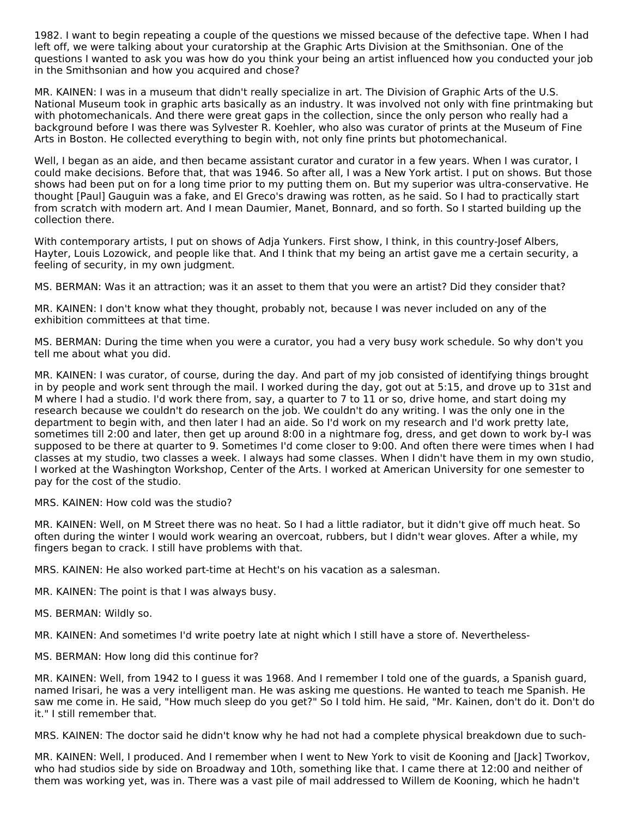1982. I want to begin repeating a couple of the questions we missed because of the defective tape. When I had left off, we were talking about your curatorship at the Graphic Arts Division at the Smithsonian. One of the questions I wanted to ask you was how do you think your being an artist influenced how you conducted your job in the Smithsonian and how you acquired and chose?

MR. KAINEN: I was in a museum that didn't really specialize in art. The Division of Graphic Arts of the U.S. National Museum took in graphic arts basically as an industry. It was involved not only with fine printmaking but with photomechanicals. And there were great gaps in the collection, since the only person who really had a background before I was there was Sylvester R. Koehler, who also was curator of prints at the Museum of Fine Arts in Boston. He collected everything to begin with, not only fine prints but photomechanical.

Well, I began as an aide, and then became assistant curator and curator in a few years. When I was curator, I could make decisions. Before that, that was 1946. So after all, I was a New York artist. I put on shows. But those shows had been put on for a long time prior to my putting them on. But my superior was ultra-conservative. He thought [Paul] Gauguin was a fake, and El Greco's drawing was rotten, as he said. So I had to practically start from scratch with modern art. And I mean Daumier, Manet, Bonnard, and so forth. So I started building up the collection there.

With contemporary artists, I put on shows of Adja Yunkers. First show, I think, in this country-Josef Albers, Hayter, Louis Lozowick, and people like that. And I think that my being an artist gave me a certain security, a feeling of security, in my own judgment.

MS. BERMAN: Was it an attraction; was it an asset to them that you were an artist? Did they consider that?

MR. KAINEN: I don't know what they thought, probably not, because I was never included on any of the exhibition committees at that time.

MS. BERMAN: During the time when you were a curator, you had a very busy work schedule. So why don't you tell me about what you did.

MR. KAINEN: I was curator, of course, during the day. And part of my job consisted of identifying things brought in by people and work sent through the mail. I worked during the day, got out at 5:15, and drove up to 31st and M where I had a studio. I'd work there from, say, a quarter to 7 to 11 or so, drive home, and start doing my research because we couldn't do research on the job. We couldn't do any writing. I was the only one in the department to begin with, and then later I had an aide. So I'd work on my research and I'd work pretty late, sometimes till 2:00 and later, then get up around 8:00 in a nightmare fog, dress, and get down to work by-I was supposed to be there at quarter to 9. Sometimes I'd come closer to 9:00. And often there were times when I had classes at my studio, two classes a week. I always had some classes. When I didn't have them in my own studio, I worked at the Washington Workshop, Center of the Arts. I worked at American University for one semester to pay for the cost of the studio.

MRS. KAINEN: How cold was the studio?

MR. KAINEN: Well, on M Street there was no heat. So I had a little radiator, but it didn't give off much heat. So often during the winter I would work wearing an overcoat, rubbers, but I didn't wear gloves. After a while, my fingers began to crack. I still have problems with that.

MRS. KAINEN: He also worked part-time at Hecht's on his vacation as a salesman.

MR. KAINEN: The point is that I was always busy.

MS. BERMAN: Wildly so.

MR. KAINEN: And sometimes I'd write poetry late at night which I still have a store of. Nevertheless-

MS. BERMAN: How long did this continue for?

MR. KAINEN: Well, from 1942 to I guess it was 1968. And I remember I told one of the guards, a Spanish guard, named Irisari, he was a very intelligent man. He was asking me questions. He wanted to teach me Spanish. He saw me come in. He said, "How much sleep do you get?" So I told him. He said, "Mr. Kainen, don't do it. Don't do it." I still remember that.

MRS. KAINEN: The doctor said he didn't know why he had not had a complete physical breakdown due to such-

MR. KAINEN: Well, I produced. And I remember when I went to New York to visit de Kooning and [Jack] Tworkov, who had studios side by side on Broadway and 10th, something like that. I came there at 12:00 and neither of them was working yet, was in. There was a vast pile of mail addressed to Willem de Kooning, which he hadn't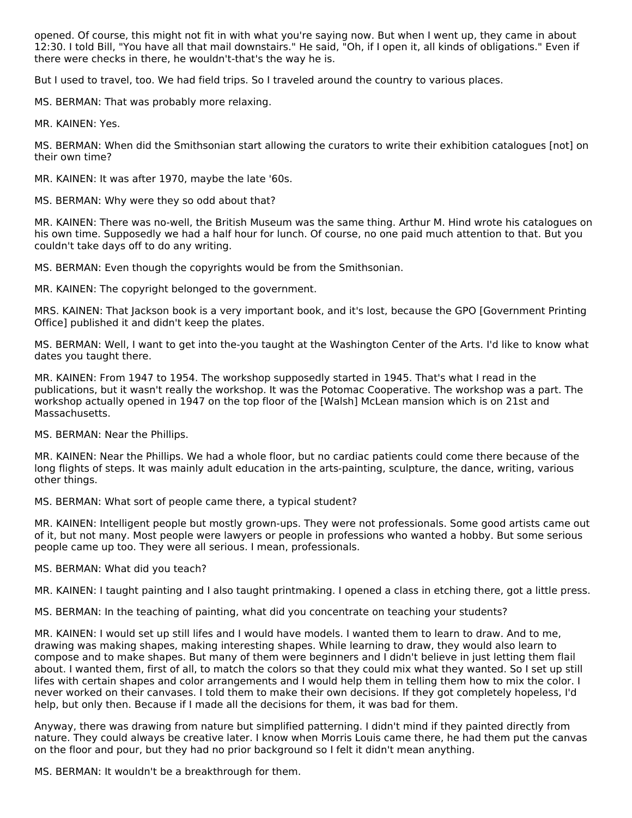opened. Of course, this might not fit in with what you're saying now. But when I went up, they came in about 12:30. I told Bill, "You have all that mail downstairs." He said, "Oh, if I open it, all kinds of obligations." Even if there were checks in there, he wouldn't-that's the way he is.

But I used to travel, too. We had field trips. So I traveled around the country to various places.

MS. BERMAN: That was probably more relaxing.

MR. KAINEN: Yes.

MS. BERMAN: When did the Smithsonian start allowing the curators to write their exhibition catalogues [not] on their own time?

MR. KAINEN: It was after 1970, maybe the late '60s.

MS. BERMAN: Why were they so odd about that?

MR. KAINEN: There was no-well, the British Museum was the same thing. Arthur M. Hind wrote his catalogues on his own time. Supposedly we had a half hour for lunch. Of course, no one paid much attention to that. But you couldn't take days off to do any writing.

MS. BERMAN: Even though the copyrights would be from the Smithsonian.

MR. KAINEN: The copyright belonged to the government.

MRS. KAINEN: That Jackson book is a very important book, and it's lost, because the GPO [Government Printing Office] published it and didn't keep the plates.

MS. BERMAN: Well, I want to get into the-you taught at the Washington Center of the Arts. I'd like to know what dates you taught there.

MR. KAINEN: From 1947 to 1954. The workshop supposedly started in 1945. That's what I read in the publications, but it wasn't really the workshop. It was the Potomac Cooperative. The workshop was a part. The workshop actually opened in 1947 on the top floor of the [Walsh] McLean mansion which is on 21st and Massachusetts.

MS. BERMAN: Near the Phillips.

MR. KAINEN: Near the Phillips. We had a whole floor, but no cardiac patients could come there because of the long flights of steps. It was mainly adult education in the arts-painting, sculpture, the dance, writing, various other things.

MS. BERMAN: What sort of people came there, a typical student?

MR. KAINEN: Intelligent people but mostly grown-ups. They were not professionals. Some good artists came out of it, but not many. Most people were lawyers or people in professions who wanted a hobby. But some serious people came up too. They were all serious. I mean, professionals.

MS. BERMAN: What did you teach?

MR. KAINEN: I taught painting and I also taught printmaking. I opened a class in etching there, got a little press.

MS. BERMAN: In the teaching of painting, what did you concentrate on teaching your students?

MR. KAINEN: I would set up still lifes and I would have models. I wanted them to learn to draw. And to me, drawing was making shapes, making interesting shapes. While learning to draw, they would also learn to compose and to make shapes. But many of them were beginners and I didn't believe in just letting them flail about. I wanted them, first of all, to match the colors so that they could mix what they wanted. So I set up still lifes with certain shapes and color arrangements and I would help them in telling them how to mix the color. I never worked on their canvases. I told them to make their own decisions. If they got completely hopeless, I'd help, but only then. Because if I made all the decisions for them, it was bad for them.

Anyway, there was drawing from nature but simplified patterning. I didn't mind if they painted directly from nature. They could always be creative later. I know when Morris Louis came there, he had them put the canvas on the floor and pour, but they had no prior background so I felt it didn't mean anything.

MS. BERMAN: It wouldn't be a breakthrough for them.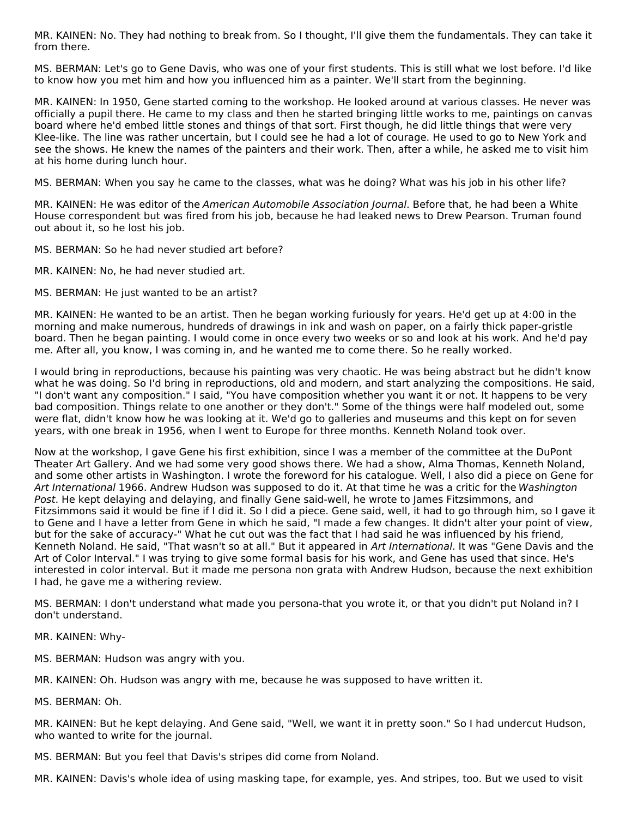MR. KAINEN: No. They had nothing to break from. So I thought, I'll give them the fundamentals. They can take it from there.

MS. BERMAN: Let's go to Gene Davis, who was one of your first students. This is still what we lost before. I'd like to know how you met him and how you influenced him as a painter. We'll start from the beginning.

MR. KAINEN: In 1950, Gene started coming to the workshop. He looked around at various classes. He never was officially a pupil there. He came to my class and then he started bringing little works to me, paintings on canvas board where he'd embed little stones and things of that sort. First though, he did little things that were very Klee-like. The line was rather uncertain, but I could see he had a lot of courage. He used to go to New York and see the shows. He knew the names of the painters and their work. Then, after a while, he asked me to visit him at his home during lunch hour.

MS. BERMAN: When you say he came to the classes, what was he doing? What was his job in his other life?

MR. KAINEN: He was editor of the American Automobile Association Journal. Before that, he had been a White House correspondent but was fired from his job, because he had leaked news to Drew Pearson. Truman found out about it, so he lost his job.

MS. BERMAN: So he had never studied art before?

MR. KAINEN: No, he had never studied art.

MS. BERMAN: He just wanted to be an artist?

MR. KAINEN: He wanted to be an artist. Then he began working furiously for years. He'd get up at 4:00 in the morning and make numerous, hundreds of drawings in ink and wash on paper, on a fairly thick paper-gristle board. Then he began painting. I would come in once every two weeks or so and look at his work. And he'd pay me. After all, you know, I was coming in, and he wanted me to come there. So he really worked.

I would bring in reproductions, because his painting was very chaotic. He was being abstract but he didn't know what he was doing. So I'd bring in reproductions, old and modern, and start analyzing the compositions. He said, "I don't want any composition." I said, "You have composition whether you want it or not. It happens to be very bad composition. Things relate to one another or they don't." Some of the things were half modeled out, some were flat, didn't know how he was looking at it. We'd go to galleries and museums and this kept on for seven years, with one break in 1956, when I went to Europe for three months. Kenneth Noland took over.

Now at the workshop, I gave Gene his first exhibition, since I was a member of the committee at the DuPont Theater Art Gallery. And we had some very good shows there. We had a show, Alma Thomas, Kenneth Noland, and some other artists in Washington. I wrote the foreword for his catalogue. Well, I also did a piece on Gene for Art International 1966. Andrew Hudson was supposed to do it. At that time he was a critic for the Washington Post. He kept delaying and delaying, and finally Gene said-well, he wrote to James Fitzsimmons, and Fitzsimmons said it would be fine if I did it. So I did a piece. Gene said, well, it had to go through him, so I gave it to Gene and I have a letter from Gene in which he said, "I made a few changes. It didn't alter your point of view, but for the sake of accuracy-" What he cut out was the fact that I had said he was influenced by his friend, Kenneth Noland. He said, "That wasn't so at all." But it appeared in Art International. It was "Gene Davis and the Art of Color Interval." I was trying to give some formal basis for his work, and Gene has used that since. He's interested in color interval. But it made me persona non grata with Andrew Hudson, because the next exhibition I had, he gave me a withering review.

MS. BERMAN: I don't understand what made you persona-that you wrote it, or that you didn't put Noland in? I don't understand.

MR. KAINEN: Why-

MS. BERMAN: Hudson was angry with you.

MR. KAINEN: Oh. Hudson was angry with me, because he was supposed to have written it.

MS. BERMAN: Oh.

MR. KAINEN: But he kept delaying. And Gene said, "Well, we want it in pretty soon." So I had undercut Hudson, who wanted to write for the journal.

MS. BERMAN: But you feel that Davis's stripes did come from Noland.

MR. KAINEN: Davis's whole idea of using masking tape, for example, yes. And stripes, too. But we used to visit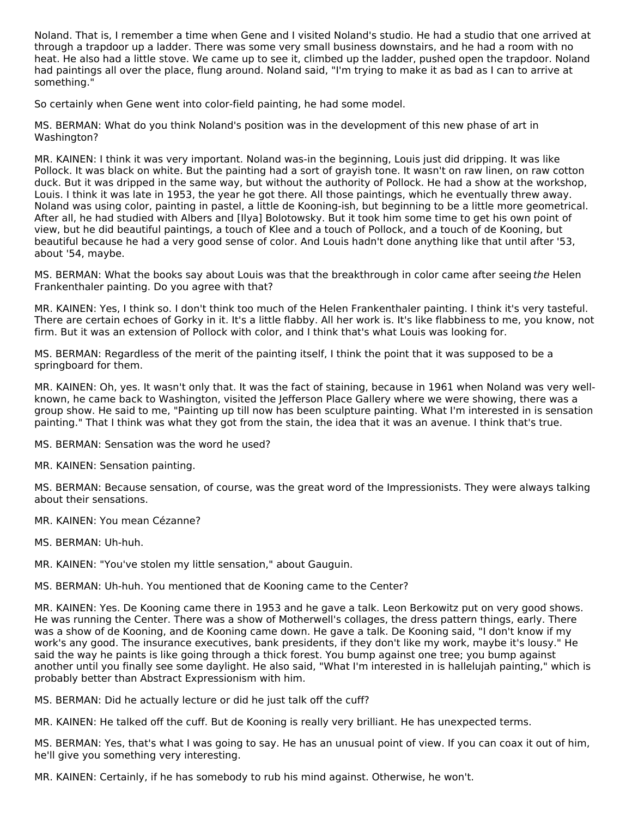Noland. That is, I remember a time when Gene and I visited Noland's studio. He had a studio that one arrived at through a trapdoor up a ladder. There was some very small business downstairs, and he had a room with no heat. He also had a little stove. We came up to see it, climbed up the ladder, pushed open the trapdoor. Noland had paintings all over the place, flung around. Noland said, "I'm trying to make it as bad as I can to arrive at something."

So certainly when Gene went into color-field painting, he had some model.

MS. BERMAN: What do you think Noland's position was in the development of this new phase of art in Washington?

MR. KAINEN: I think it was very important. Noland was-in the beginning, Louis just did dripping. It was like Pollock. It was black on white. But the painting had a sort of grayish tone. It wasn't on raw linen, on raw cotton duck. But it was dripped in the same way, but without the authority of Pollock. He had a show at the workshop, Louis. I think it was late in 1953, the year he got there. All those paintings, which he eventually threw away. Noland was using color, painting in pastel, a little de Kooning-ish, but beginning to be a little more geometrical. After all, he had studied with Albers and [Ilya] Bolotowsky. But it took him some time to get his own point of view, but he did beautiful paintings, a touch of Klee and a touch of Pollock, and a touch of de Kooning, but beautiful because he had a very good sense of color. And Louis hadn't done anything like that until after '53, about '54, maybe.

MS. BERMAN: What the books say about Louis was that the breakthrough in color came after seeing the Helen Frankenthaler painting. Do you agree with that?

MR. KAINEN: Yes, I think so. I don't think too much of the Helen Frankenthaler painting. I think it's very tasteful. There are certain echoes of Gorky in it. It's a little flabby. All her work is. It's like flabbiness to me, you know, not firm. But it was an extension of Pollock with color, and I think that's what Louis was looking for.

MS. BERMAN: Regardless of the merit of the painting itself, I think the point that it was supposed to be a springboard for them.

MR. KAINEN: Oh, yes. It wasn't only that. It was the fact of staining, because in 1961 when Noland was very wellknown, he came back to Washington, visited the Jefferson Place Gallery where we were showing, there was a group show. He said to me, "Painting up till now has been sculpture painting. What I'm interested in is sensation painting." That I think was what they got from the stain, the idea that it was an avenue. I think that's true.

MS. BERMAN: Sensation was the word he used?

MR. KAINEN: Sensation painting.

MS. BERMAN: Because sensation, of course, was the great word of the Impressionists. They were always talking about their sensations.

MR. KAINEN: You mean Cézanne?

MS. BERMAN: Uh-huh.

MR. KAINEN: "You've stolen my little sensation," about Gauguin.

MS. BERMAN: Uh-huh. You mentioned that de Kooning came to the Center?

MR. KAINEN: Yes. De Kooning came there in 1953 and he gave a talk. Leon Berkowitz put on very good shows. He was running the Center. There was a show of Motherwell's collages, the dress pattern things, early. There was a show of de Kooning, and de Kooning came down. He gave a talk. De Kooning said, "I don't know if my work's any good. The insurance executives, bank presidents, if they don't like my work, maybe it's lousy." He said the way he paints is like going through a thick forest. You bump against one tree; you bump against another until you finally see some daylight. He also said, "What I'm interested in is hallelujah painting," which is probably better than Abstract Expressionism with him.

MS. BERMAN: Did he actually lecture or did he just talk off the cuff?

MR. KAINEN: He talked off the cuff. But de Kooning is really very brilliant. He has unexpected terms.

MS. BERMAN: Yes, that's what I was going to say. He has an unusual point of view. If you can coax it out of him, he'll give you something very interesting.

MR. KAINEN: Certainly, if he has somebody to rub his mind against. Otherwise, he won't.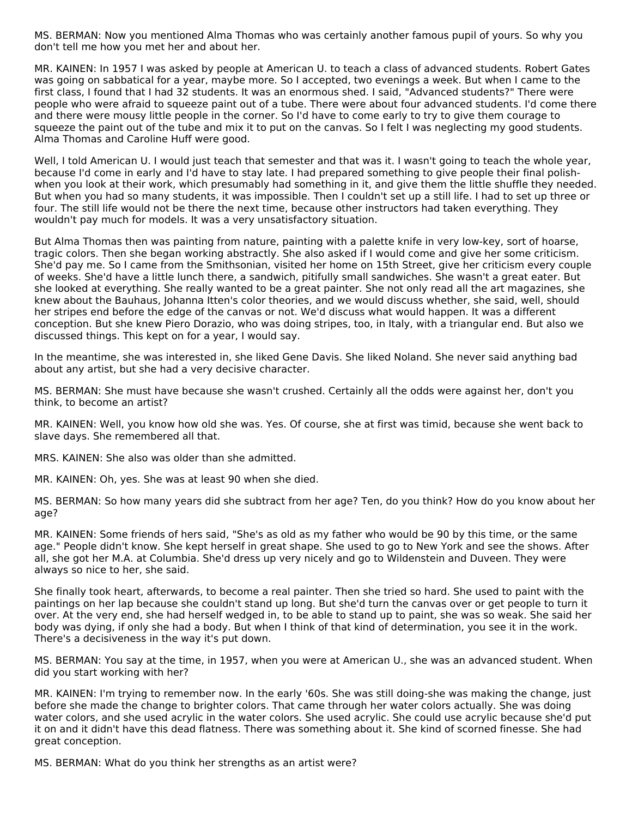MS. BERMAN: Now you mentioned Alma Thomas who was certainly another famous pupil of yours. So why you don't tell me how you met her and about her.

MR. KAINEN: In 1957 I was asked by people at American U. to teach a class of advanced students. Robert Gates was going on sabbatical for a year, maybe more. So I accepted, two evenings a week. But when I came to the first class, I found that I had 32 students. It was an enormous shed. I said, "Advanced students?" There were people who were afraid to squeeze paint out of a tube. There were about four advanced students. I'd come there and there were mousy little people in the corner. So I'd have to come early to try to give them courage to squeeze the paint out of the tube and mix it to put on the canvas. So I felt I was neglecting my good students. Alma Thomas and Caroline Huff were good.

Well, I told American U. I would just teach that semester and that was it. I wasn't going to teach the whole year, because I'd come in early and I'd have to stay late. I had prepared something to give people their final polishwhen you look at their work, which presumably had something in it, and give them the little shuffle they needed. But when you had so many students, it was impossible. Then I couldn't set up a still life. I had to set up three or four. The still life would not be there the next time, because other instructors had taken everything. They wouldn't pay much for models. It was a very unsatisfactory situation.

But Alma Thomas then was painting from nature, painting with a palette knife in very low-key, sort of hoarse, tragic colors. Then she began working abstractly. She also asked if I would come and give her some criticism. She'd pay me. So I came from the Smithsonian, visited her home on 15th Street, give her criticism every couple of weeks. She'd have a little lunch there, a sandwich, pitifully small sandwiches. She wasn't a great eater. But she looked at everything. She really wanted to be a great painter. She not only read all the art magazines, she knew about the Bauhaus, Johanna Itten's color theories, and we would discuss whether, she said, well, should her stripes end before the edge of the canvas or not. We'd discuss what would happen. It was a different conception. But she knew Piero Dorazio, who was doing stripes, too, in Italy, with a triangular end. But also we discussed things. This kept on for a year, I would say.

In the meantime, she was interested in, she liked Gene Davis. She liked Noland. She never said anything bad about any artist, but she had a very decisive character.

MS. BERMAN: She must have because she wasn't crushed. Certainly all the odds were against her, don't you think, to become an artist?

MR. KAINEN: Well, you know how old she was. Yes. Of course, she at first was timid, because she went back to slave days. She remembered all that.

MRS. KAINEN: She also was older than she admitted.

MR. KAINEN: Oh, yes. She was at least 90 when she died.

MS. BERMAN: So how many years did she subtract from her age? Ten, do you think? How do you know about her age?

MR. KAINEN: Some friends of hers said, "She's as old as my father who would be 90 by this time, or the same age." People didn't know. She kept herself in great shape. She used to go to New York and see the shows. After all, she got her M.A. at Columbia. She'd dress up very nicely and go to Wildenstein and Duveen. They were always so nice to her, she said.

She finally took heart, afterwards, to become a real painter. Then she tried so hard. She used to paint with the paintings on her lap because she couldn't stand up long. But she'd turn the canvas over or get people to turn it over. At the very end, she had herself wedged in, to be able to stand up to paint, she was so weak. She said her body was dying, if only she had a body. But when I think of that kind of determination, you see it in the work. There's a decisiveness in the way it's put down.

MS. BERMAN: You say at the time, in 1957, when you were at American U., she was an advanced student. When did you start working with her?

MR. KAINEN: I'm trying to remember now. In the early '60s. She was still doing-she was making the change, just before she made the change to brighter colors. That came through her water colors actually. She was doing water colors, and she used acrylic in the water colors. She used acrylic. She could use acrylic because she'd put it on and it didn't have this dead flatness. There was something about it. She kind of scorned finesse. She had great conception.

MS. BERMAN: What do you think her strengths as an artist were?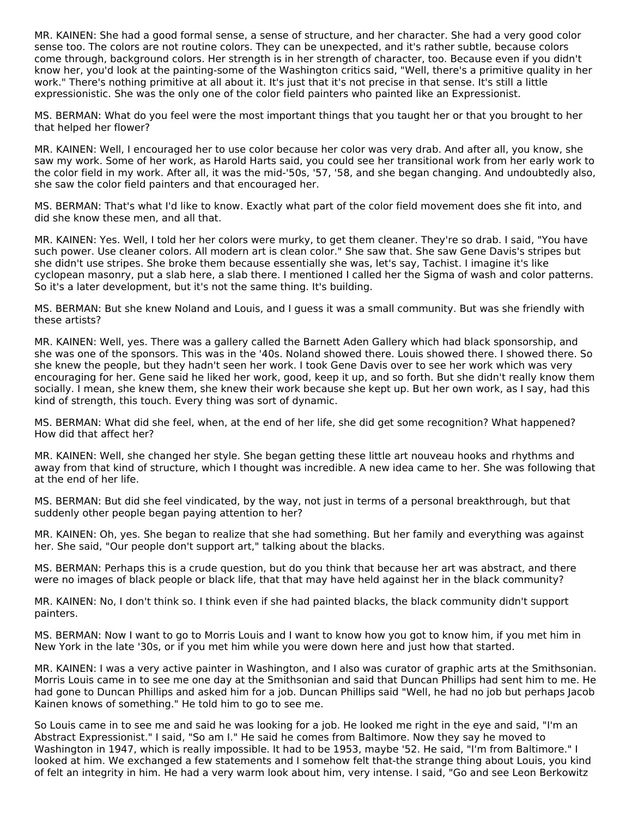MR. KAINEN: She had a good formal sense, a sense of structure, and her character. She had a very good color sense too. The colors are not routine colors. They can be unexpected, and it's rather subtle, because colors come through, background colors. Her strength is in her strength of character, too. Because even if you didn't know her, you'd look at the painting-some of the Washington critics said, "Well, there's a primitive quality in her work." There's nothing primitive at all about it. It's just that it's not precise in that sense. It's still a little expressionistic. She was the only one of the color field painters who painted like an Expressionist.

MS. BERMAN: What do you feel were the most important things that you taught her or that you brought to her that helped her flower?

MR. KAINEN: Well, I encouraged her to use color because her color was very drab. And after all, you know, she saw my work. Some of her work, as Harold Harts said, you could see her transitional work from her early work to the color field in my work. After all, it was the mid-'50s, '57, '58, and she began changing. And undoubtedly also, she saw the color field painters and that encouraged her.

MS. BERMAN: That's what I'd like to know. Exactly what part of the color field movement does she fit into, and did she know these men, and all that.

MR. KAINEN: Yes. Well, I told her her colors were murky, to get them cleaner. They're so drab. I said, "You have such power. Use cleaner colors. All modern art is clean color." She saw that. She saw Gene Davis's stripes but she didn't use stripes. She broke them because essentially she was, let's say, Tachist. I imagine it's like cyclopean masonry, put a slab here, a slab there. I mentioned I called her the Sigma of wash and color patterns. So it's a later development, but it's not the same thing. It's building.

MS. BERMAN: But she knew Noland and Louis, and I guess it was a small community. But was she friendly with these artists?

MR. KAINEN: Well, yes. There was a gallery called the Barnett Aden Gallery which had black sponsorship, and she was one of the sponsors. This was in the '40s. Noland showed there. Louis showed there. I showed there. So she knew the people, but they hadn't seen her work. I took Gene Davis over to see her work which was very encouraging for her. Gene said he liked her work, good, keep it up, and so forth. But she didn't really know them socially. I mean, she knew them, she knew their work because she kept up. But her own work, as I say, had this kind of strength, this touch. Every thing was sort of dynamic.

MS. BERMAN: What did she feel, when, at the end of her life, she did get some recognition? What happened? How did that affect her?

MR. KAINEN: Well, she changed her style. She began getting these little art nouveau hooks and rhythms and away from that kind of structure, which I thought was incredible. A new idea came to her. She was following that at the end of her life.

MS. BERMAN: But did she feel vindicated, by the way, not just in terms of a personal breakthrough, but that suddenly other people began paying attention to her?

MR. KAINEN: Oh, yes. She began to realize that she had something. But her family and everything was against her. She said, "Our people don't support art," talking about the blacks.

MS. BERMAN: Perhaps this is a crude question, but do you think that because her art was abstract, and there were no images of black people or black life, that that may have held against her in the black community?

MR. KAINEN: No, I don't think so. I think even if she had painted blacks, the black community didn't support painters.

MS. BERMAN: Now I want to go to Morris Louis and I want to know how you got to know him, if you met him in New York in the late '30s, or if you met him while you were down here and just how that started.

MR. KAINEN: I was a very active painter in Washington, and I also was curator of graphic arts at the Smithsonian. Morris Louis came in to see me one day at the Smithsonian and said that Duncan Phillips had sent him to me. He had gone to Duncan Phillips and asked him for a job. Duncan Phillips said "Well, he had no job but perhaps Jacob Kainen knows of something." He told him to go to see me.

So Louis came in to see me and said he was looking for a job. He looked me right in the eye and said, "I'm an Abstract Expressionist." I said, "So am I." He said he comes from Baltimore. Now they say he moved to Washington in 1947, which is really impossible. It had to be 1953, maybe '52. He said, "I'm from Baltimore." I looked at him. We exchanged a few statements and I somehow felt that-the strange thing about Louis, you kind of felt an integrity in him. He had a very warm look about him, very intense. I said, "Go and see Leon Berkowitz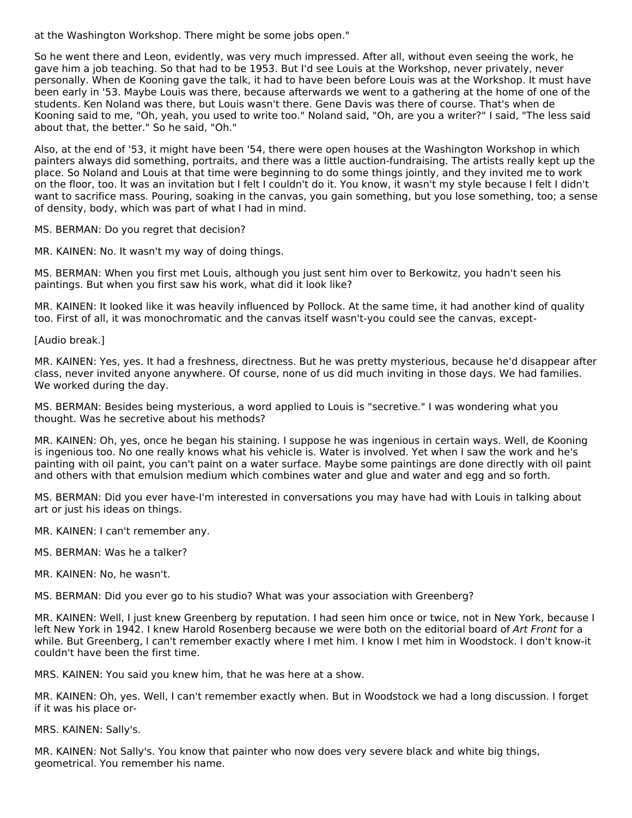at the Washington Workshop. There might be some jobs open."

So he went there and Leon, evidently, was very much impressed. After all, without even seeing the work, he gave him a job teaching. So that had to be 1953. But I'd see Louis at the Workshop, never privately, never personally. When de Kooning gave the talk, it had to have been before Louis was at the Workshop. It must have been early in '53. Maybe Louis was there, because afterwards we went to a gathering at the home of one of the students. Ken Noland was there, but Louis wasn't there. Gene Davis was there of course. That's when de Kooning said to me, "Oh, yeah, you used to write too." Noland said, "Oh, are you a writer?" I said, "The less said about that, the better." So he said, "Oh."

Also, at the end of '53, it might have been '54, there were open houses at the Washington Workshop in which painters always did something, portraits, and there was a little auction-fundraising. The artists really kept up the place. So Noland and Louis at that time were beginning to do some things jointly, and they invited me to work on the floor, too. It was an invitation but I felt I couldn't do it. You know, it wasn't my style because I felt I didn't want to sacrifice mass. Pouring, soaking in the canvas, you gain something, but you lose something, too; a sense of density, body, which was part of what I had in mind.

MS. BERMAN: Do you regret that decision?

MR. KAINEN: No. It wasn't my way of doing things.

MS. BERMAN: When you first met Louis, although you just sent him over to Berkowitz, you hadn't seen his paintings. But when you first saw his work, what did it look like?

MR. KAINEN: It looked like it was heavily influenced by Pollock. At the same time, it had another kind of quality too. First of all, it was monochromatic and the canvas itself wasn't-you could see the canvas, except-

[Audio break.]

MR. KAINEN: Yes, yes. It had a freshness, directness. But he was pretty mysterious, because he'd disappear after class, never invited anyone anywhere. Of course, none of us did much inviting in those days. We had families. We worked during the day.

MS. BERMAN: Besides being mysterious, a word applied to Louis is "secretive." I was wondering what you thought. Was he secretive about his methods?

MR. KAINEN: Oh, yes, once he began his staining. I suppose he was ingenious in certain ways. Well, de Kooning is ingenious too. No one really knows what his vehicle is. Water is involved. Yet when I saw the work and he's painting with oil paint, you can't paint on a water surface. Maybe some paintings are done directly with oil paint and others with that emulsion medium which combines water and glue and water and egg and so forth.

MS. BERMAN: Did you ever have-I'm interested in conversations you may have had with Louis in talking about art or just his ideas on things.

MR. KAINEN: I can't remember any.

MS. BERMAN: Was he a talker?

MR. KAINEN: No, he wasn't.

MS. BERMAN: Did you ever go to his studio? What was your association with Greenberg?

MR. KAINEN: Well, I just knew Greenberg by reputation. I had seen him once or twice, not in New York, because I left New York in 1942. I knew Harold Rosenberg because we were both on the editorial board of Art Front for a while. But Greenberg, I can't remember exactly where I met him. I know I met him in Woodstock. I don't know-it couldn't have been the first time.

MRS. KAINEN: You said you knew him, that he was here at a show.

MR. KAINEN: Oh, yes. Well, I can't remember exactly when. But in Woodstock we had a long discussion. I forget if it was his place or-

MRS. KAINEN: Sally's.

MR. KAINEN: Not Sally's. You know that painter who now does very severe black and white big things, geometrical. You remember his name.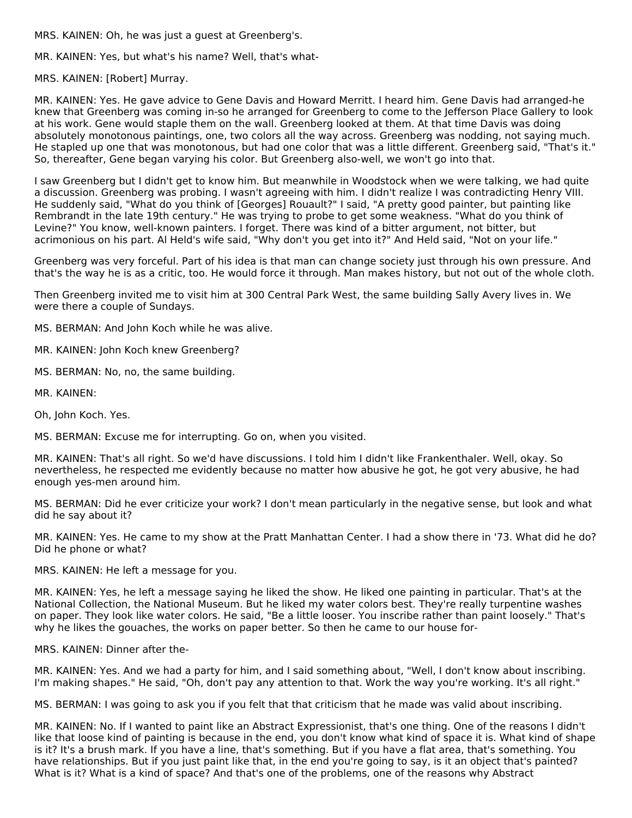MRS. KAINEN: Oh, he was just a guest at Greenberg's.

MR. KAINEN: Yes, but what's his name? Well, that's what-

MRS. KAINEN: [Robert] Murray.

MR. KAINEN: Yes. He gave advice to Gene Davis and Howard Merritt. I heard him. Gene Davis had arranged-he knew that Greenberg was coming in-so he arranged for Greenberg to come to the Jefferson Place Gallery to look at his work. Gene would staple them on the wall. Greenberg looked at them. At that time Davis was doing absolutely monotonous paintings, one, two colors all the way across. Greenberg was nodding, not saying much. He stapled up one that was monotonous, but had one color that was a little different. Greenberg said, "That's it." So, thereafter, Gene began varying his color. But Greenberg also-well, we won't go into that.

I saw Greenberg but I didn't get to know him. But meanwhile in Woodstock when we were talking, we had quite a discussion. Greenberg was probing. I wasn't agreeing with him. I didn't realize I was contradicting Henry VIII. He suddenly said, "What do you think of [Georges] Rouault?" I said, "A pretty good painter, but painting like Rembrandt in the late 19th century." He was trying to probe to get some weakness. "What do you think of Levine?" You know, well-known painters. I forget. There was kind of a bitter argument, not bitter, but acrimonious on his part. Al Held's wife said, "Why don't you get into it?" And Held said, "Not on your life."

Greenberg was very forceful. Part of his idea is that man can change society just through his own pressure. And that's the way he is as a critic, too. He would force it through. Man makes history, but not out of the whole cloth.

Then Greenberg invited me to visit him at 300 Central Park West, the same building Sally Avery lives in. We were there a couple of Sundays.

MS. BERMAN: And John Koch while he was alive.

MR. KAINEN: John Koch knew Greenberg?

MS. BERMAN: No, no, the same building.

MR. KAINEN:

Oh, John Koch. Yes.

MS. BERMAN: Excuse me for interrupting. Go on, when you visited.

MR. KAINEN: That's all right. So we'd have discussions. I told him I didn't like Frankenthaler. Well, okay. So nevertheless, he respected me evidently because no matter how abusive he got, he got very abusive, he had enough yes-men around him.

MS. BERMAN: Did he ever criticize your work? I don't mean particularly in the negative sense, but look and what did he say about it?

MR. KAINEN: Yes. He came to my show at the Pratt Manhattan Center. I had a show there in '73. What did he do? Did he phone or what?

MRS. KAINEN: He left a message for you.

MR. KAINEN: Yes, he left a message saying he liked the show. He liked one painting in particular. That's at the National Collection, the National Museum. But he liked my water colors best. They're really turpentine washes on paper. They look like water colors. He said, "Be a little looser. You inscribe rather than paint loosely." That's why he likes the gouaches, the works on paper better. So then he came to our house for-

MRS. KAINEN: Dinner after the-

MR. KAINEN: Yes. And we had a party for him, and I said something about, "Well, I don't know about inscribing. I'm making shapes." He said, "Oh, don't pay any attention to that. Work the way you're working. It's all right."

MS. BERMAN: I was going to ask you if you felt that that criticism that he made was valid about inscribing.

MR. KAINEN: No. If I wanted to paint like an Abstract Expressionist, that's one thing. One of the reasons I didn't like that loose kind of painting is because in the end, you don't know what kind of space it is. What kind of shape is it? It's a brush mark. If you have a line, that's something. But if you have a flat area, that's something. You have relationships. But if you just paint like that, in the end you're going to say, is it an object that's painted? What is it? What is a kind of space? And that's one of the problems, one of the reasons why Abstract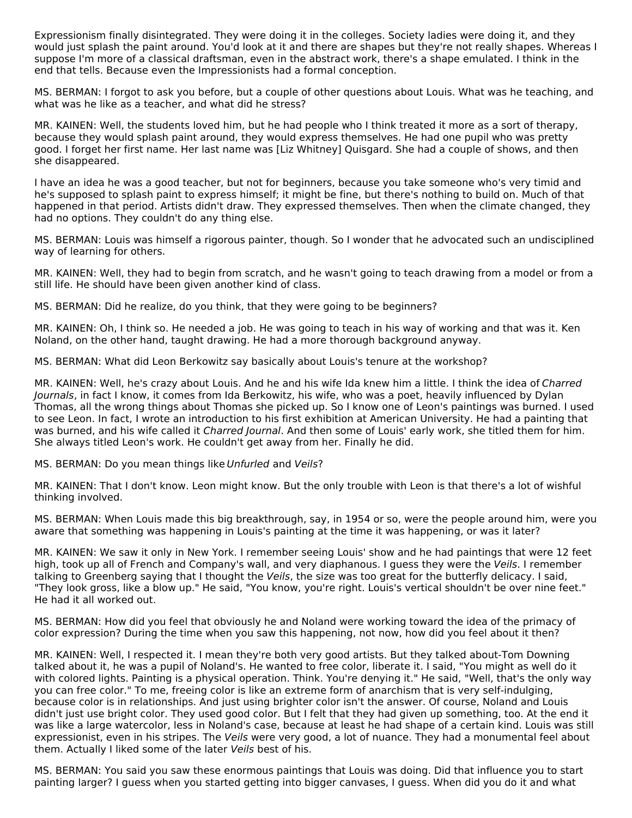Expressionism finally disintegrated. They were doing it in the colleges. Society ladies were doing it, and they would just splash the paint around. You'd look at it and there are shapes but they're not really shapes. Whereas I suppose I'm more of a classical draftsman, even in the abstract work, there's a shape emulated. I think in the end that tells. Because even the Impressionists had a formal conception.

MS. BERMAN: I forgot to ask you before, but a couple of other questions about Louis. What was he teaching, and what was he like as a teacher, and what did he stress?

MR. KAINEN: Well, the students loved him, but he had people who I think treated it more as a sort of therapy, because they would splash paint around, they would express themselves. He had one pupil who was pretty good. I forget her first name. Her last name was [Liz Whitney] Quisgard. She had a couple of shows, and then she disappeared.

I have an idea he was a good teacher, but not for beginners, because you take someone who's very timid and he's supposed to splash paint to express himself; it might be fine, but there's nothing to build on. Much of that happened in that period. Artists didn't draw. They expressed themselves. Then when the climate changed, they had no options. They couldn't do any thing else.

MS. BERMAN: Louis was himself a rigorous painter, though. So I wonder that he advocated such an undisciplined way of learning for others.

MR. KAINEN: Well, they had to begin from scratch, and he wasn't going to teach drawing from a model or from a still life. He should have been given another kind of class.

MS. BERMAN: Did he realize, do you think, that they were going to be beginners?

MR. KAINEN: Oh, I think so. He needed a job. He was going to teach in his way of working and that was it. Ken Noland, on the other hand, taught drawing. He had a more thorough background anyway.

MS. BERMAN: What did Leon Berkowitz say basically about Louis's tenure at the workshop?

MR. KAINEN: Well, he's crazy about Louis. And he and his wife Ida knew him a little. I think the idea of Charred Journals, in fact I know, it comes from Ida Berkowitz, his wife, who was a poet, heavily influenced by Dylan Thomas, all the wrong things about Thomas she picked up. So I know one of Leon's paintings was burned. I used to see Leon. In fact, I wrote an introduction to his first exhibition at American University. He had a painting that was burned, and his wife called it *Charred Journal*. And then some of Louis' early work, she titled them for him. She always titled Leon's work. He couldn't get away from her. Finally he did.

#### MS. BERMAN: Do you mean things like Unfurled and Veils?

MR. KAINEN: That I don't know. Leon might know. But the only trouble with Leon is that there's a lot of wishful thinking involved.

MS. BERMAN: When Louis made this big breakthrough, say, in 1954 or so, were the people around him, were you aware that something was happening in Louis's painting at the time it was happening, or was it later?

MR. KAINEN: We saw it only in New York. I remember seeing Louis' show and he had paintings that were 12 feet high, took up all of French and Company's wall, and very diaphanous. I guess they were the Veils. I remember talking to Greenberg saying that I thought the Veils, the size was too great for the butterfly delicacy. I said, "They look gross, like a blow up." He said, "You know, you're right. Louis's vertical shouldn't be over nine feet." He had it all worked out.

MS. BERMAN: How did you feel that obviously he and Noland were working toward the idea of the primacy of color expression? During the time when you saw this happening, not now, how did you feel about it then?

MR. KAINEN: Well, I respected it. I mean they're both very good artists. But they talked about-Tom Downing talked about it, he was a pupil of Noland's. He wanted to free color, liberate it. I said, "You might as well do it with colored lights. Painting is a physical operation. Think. You're denying it." He said, "Well, that's the only way you can free color." To me, freeing color is like an extreme form of anarchism that is very self-indulging, because color is in relationships. And just using brighter color isn't the answer. Of course, Noland and Louis didn't just use bright color. They used good color. But I felt that they had given up something, too. At the end it was like a large watercolor, less in Noland's case, because at least he had shape of a certain kind. Louis was still expressionist, even in his stripes. The Veils were very good, a lot of nuance. They had a monumental feel about them. Actually I liked some of the later Veils best of his.

MS. BERMAN: You said you saw these enormous paintings that Louis was doing. Did that influence you to start painting larger? I guess when you started getting into bigger canvases, I guess. When did you do it and what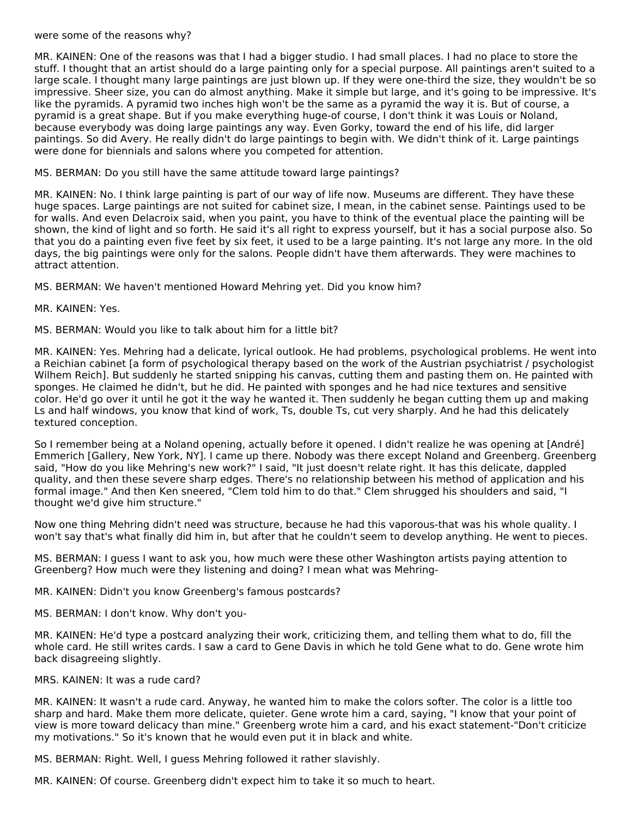#### were some of the reasons why?

MR. KAINEN: One of the reasons was that I had a bigger studio. I had small places. I had no place to store the stuff. I thought that an artist should do a large painting only for a special purpose. All paintings aren't suited to a large scale. I thought many large paintings are just blown up. If they were one-third the size, they wouldn't be so impressive. Sheer size, you can do almost anything. Make it simple but large, and it's going to be impressive. It's like the pyramids. A pyramid two inches high won't be the same as a pyramid the way it is. But of course, a pyramid is a great shape. But if you make everything huge-of course, I don't think it was Louis or Noland, because everybody was doing large paintings any way. Even Gorky, toward the end of his life, did larger paintings. So did Avery. He really didn't do large paintings to begin with. We didn't think of it. Large paintings were done for biennials and salons where you competed for attention.

MS. BERMAN: Do you still have the same attitude toward large paintings?

MR. KAINEN: No. I think large painting is part of our way of life now. Museums are different. They have these huge spaces. Large paintings are not suited for cabinet size, I mean, in the cabinet sense. Paintings used to be for walls. And even Delacroix said, when you paint, you have to think of the eventual place the painting will be shown, the kind of light and so forth. He said it's all right to express yourself, but it has a social purpose also. So that you do a painting even five feet by six feet, it used to be a large painting. It's not large any more. In the old days, the big paintings were only for the salons. People didn't have them afterwards. They were machines to attract attention.

MS. BERMAN: We haven't mentioned Howard Mehring yet. Did you know him?

MR. KAINEN: Yes.

MS. BERMAN: Would you like to talk about him for a little bit?

MR. KAINEN: Yes. Mehring had a delicate, lyrical outlook. He had problems, psychological problems. He went into a Reichian cabinet [a form of psychological therapy based on the work of the Austrian psychiatrist / psychologist Wilhem Reich]. But suddenly he started snipping his canvas, cutting them and pasting them on. He painted with sponges. He claimed he didn't, but he did. He painted with sponges and he had nice textures and sensitive color. He'd go over it until he got it the way he wanted it. Then suddenly he began cutting them up and making Ls and half windows, you know that kind of work, Ts, double Ts, cut very sharply. And he had this delicately textured conception.

So I remember being at a Noland opening, actually before it opened. I didn't realize he was opening at [André] Emmerich [Gallery, New York, NY]. I came up there. Nobody was there except Noland and Greenberg. Greenberg said, "How do you like Mehring's new work?" I said, "It just doesn't relate right. It has this delicate, dappled quality, and then these severe sharp edges. There's no relationship between his method of application and his formal image." And then Ken sneered, "Clem told him to do that." Clem shrugged his shoulders and said, "I thought we'd give him structure."

Now one thing Mehring didn't need was structure, because he had this vaporous-that was his whole quality. I won't say that's what finally did him in, but after that he couldn't seem to develop anything. He went to pieces.

MS. BERMAN: I guess I want to ask you, how much were these other Washington artists paying attention to Greenberg? How much were they listening and doing? I mean what was Mehring-

MR. KAINEN: Didn't you know Greenberg's famous postcards?

MS. BERMAN: I don't know. Why don't you-

MR. KAINEN: He'd type a postcard analyzing their work, criticizing them, and telling them what to do, fill the whole card. He still writes cards. I saw a card to Gene Davis in which he told Gene what to do. Gene wrote him back disagreeing slightly.

MRS. KAINEN: It was a rude card?

MR. KAINEN: It wasn't a rude card. Anyway, he wanted him to make the colors softer. The color is a little too sharp and hard. Make them more delicate, quieter. Gene wrote him a card, saying, "I know that your point of view is more toward delicacy than mine." Greenberg wrote him a card, and his exact statement-"Don't criticize my motivations." So it's known that he would even put it in black and white.

MS. BERMAN: Right. Well, I guess Mehring followed it rather slavishly.

MR. KAINEN: Of course. Greenberg didn't expect him to take it so much to heart.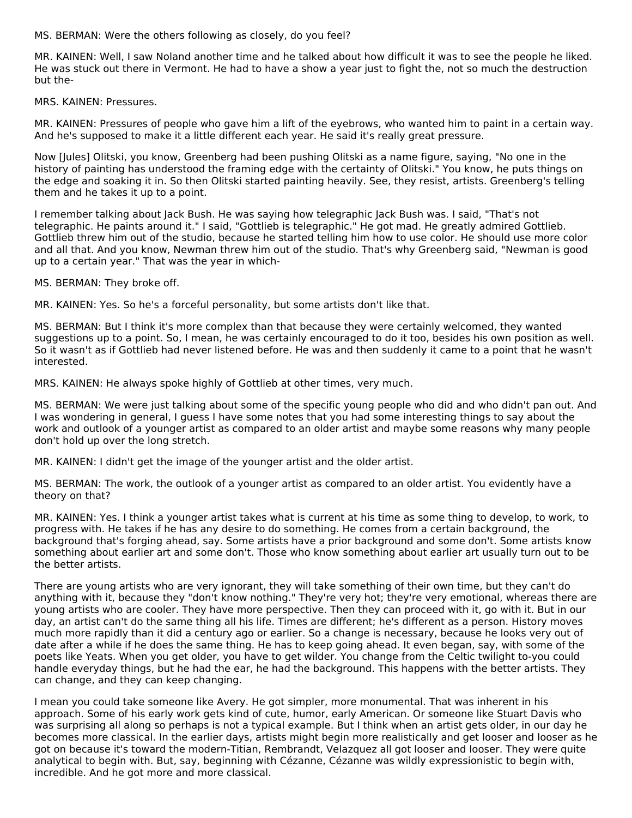MS. BERMAN: Were the others following as closely, do you feel?

MR. KAINEN: Well, I saw Noland another time and he talked about how difficult it was to see the people he liked. He was stuck out there in Vermont. He had to have a show a year just to fight the, not so much the destruction but the-

MRS. KAINEN: Pressures.

MR. KAINEN: Pressures of people who gave him a lift of the eyebrows, who wanted him to paint in a certain way. And he's supposed to make it a little different each year. He said it's really great pressure.

Now [Jules] Olitski, you know, Greenberg had been pushing Olitski as a name figure, saying, "No one in the history of painting has understood the framing edge with the certainty of Olitski." You know, he puts things on the edge and soaking it in. So then Olitski started painting heavily. See, they resist, artists. Greenberg's telling them and he takes it up to a point.

I remember talking about Jack Bush. He was saying how telegraphic Jack Bush was. I said, "That's not telegraphic. He paints around it." I said, "Gottlieb is telegraphic." He got mad. He greatly admired Gottlieb. Gottlieb threw him out of the studio, because he started telling him how to use color. He should use more color and all that. And you know, Newman threw him out of the studio. That's why Greenberg said, "Newman is good up to a certain year." That was the year in which-

MS. BERMAN: They broke off.

MR. KAINEN: Yes. So he's a forceful personality, but some artists don't like that.

MS. BERMAN: But I think it's more complex than that because they were certainly welcomed, they wanted suggestions up to a point. So, I mean, he was certainly encouraged to do it too, besides his own position as well. So it wasn't as if Gottlieb had never listened before. He was and then suddenly it came to a point that he wasn't interested.

MRS. KAINEN: He always spoke highly of Gottlieb at other times, very much.

MS. BERMAN: We were just talking about some of the specific young people who did and who didn't pan out. And I was wondering in general, I guess I have some notes that you had some interesting things to say about the work and outlook of a younger artist as compared to an older artist and maybe some reasons why many people don't hold up over the long stretch.

MR. KAINEN: I didn't get the image of the younger artist and the older artist.

MS. BERMAN: The work, the outlook of a younger artist as compared to an older artist. You evidently have a theory on that?

MR. KAINEN: Yes. I think a younger artist takes what is current at his time as some thing to develop, to work, to progress with. He takes if he has any desire to do something. He comes from a certain background, the background that's forging ahead, say. Some artists have a prior background and some don't. Some artists know something about earlier art and some don't. Those who know something about earlier art usually turn out to be the better artists.

There are young artists who are very ignorant, they will take something of their own time, but they can't do anything with it, because they "don't know nothing." They're very hot; they're very emotional, whereas there are young artists who are cooler. They have more perspective. Then they can proceed with it, go with it. But in our day, an artist can't do the same thing all his life. Times are different; he's different as a person. History moves much more rapidly than it did a century ago or earlier. So a change is necessary, because he looks very out of date after a while if he does the same thing. He has to keep going ahead. It even began, say, with some of the poets like Yeats. When you get older, you have to get wilder. You change from the Celtic twilight to-you could handle everyday things, but he had the ear, he had the background. This happens with the better artists. They can change, and they can keep changing.

I mean you could take someone like Avery. He got simpler, more monumental. That was inherent in his approach. Some of his early work gets kind of cute, humor, early American. Or someone like Stuart Davis who was surprising all along so perhaps is not a typical example. But I think when an artist gets older, in our day he becomes more classical. In the earlier days, artists might begin more realistically and get looser and looser as he got on because it's toward the modern-Titian, Rembrandt, Velazquez all got looser and looser. They were quite analytical to begin with. But, say, beginning with Cézanne, Cézanne was wildly expressionistic to begin with, incredible. And he got more and more classical.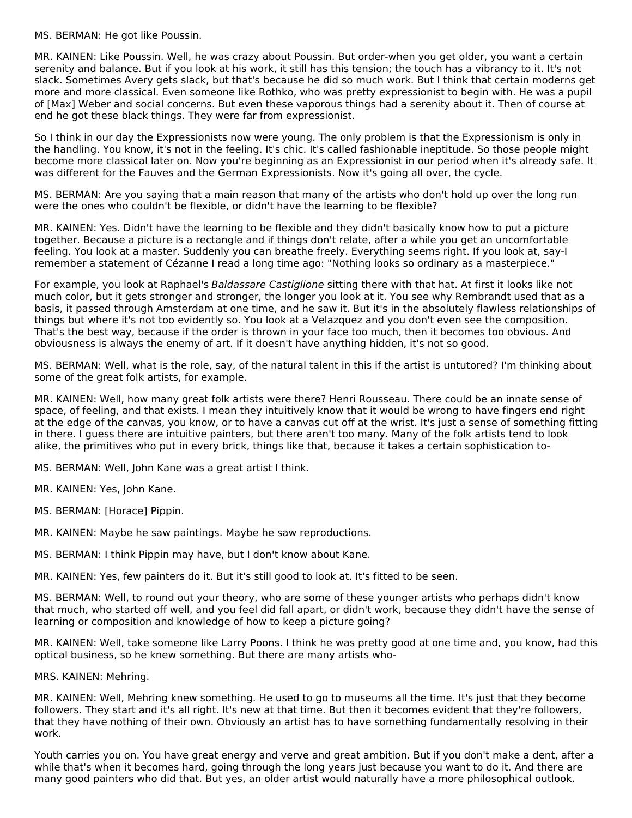MS. BERMAN: He got like Poussin.

MR. KAINEN: Like Poussin. Well, he was crazy about Poussin. But order-when you get older, you want a certain serenity and balance. But if you look at his work, it still has this tension; the touch has a vibrancy to it. It's not slack. Sometimes Avery gets slack, but that's because he did so much work. But I think that certain moderns get more and more classical. Even someone like Rothko, who was pretty expressionist to begin with. He was a pupil of [Max] Weber and social concerns. But even these vaporous things had a serenity about it. Then of course at end he got these black things. They were far from expressionist.

So I think in our day the Expressionists now were young. The only problem is that the Expressionism is only in the handling. You know, it's not in the feeling. It's chic. It's called fashionable ineptitude. So those people might become more classical later on. Now you're beginning as an Expressionist in our period when it's already safe. It was different for the Fauves and the German Expressionists. Now it's going all over, the cycle.

MS. BERMAN: Are you saying that a main reason that many of the artists who don't hold up over the long run were the ones who couldn't be flexible, or didn't have the learning to be flexible?

MR. KAINEN: Yes. Didn't have the learning to be flexible and they didn't basically know how to put a picture together. Because a picture is a rectangle and if things don't relate, after a while you get an uncomfortable feeling. You look at a master. Suddenly you can breathe freely. Everything seems right. If you look at, say-I remember a statement of Cézanne I read a long time ago: "Nothing looks so ordinary as a masterpiece."

For example, you look at Raphael's Baldassare Castiglione sitting there with that hat. At first it looks like not much color, but it gets stronger and stronger, the longer you look at it. You see why Rembrandt used that as a basis, it passed through Amsterdam at one time, and he saw it. But it's in the absolutely flawless relationships of things but where it's not too evidently so. You look at a Velazquez and you don't even see the composition. That's the best way, because if the order is thrown in your face too much, then it becomes too obvious. And obviousness is always the enemy of art. If it doesn't have anything hidden, it's not so good.

MS. BERMAN: Well, what is the role, say, of the natural talent in this if the artist is untutored? I'm thinking about some of the great folk artists, for example.

MR. KAINEN: Well, how many great folk artists were there? Henri Rousseau. There could be an innate sense of space, of feeling, and that exists. I mean they intuitively know that it would be wrong to have fingers end right at the edge of the canvas, you know, or to have a canvas cut off at the wrist. It's just a sense of something fitting in there. I guess there are intuitive painters, but there aren't too many. Many of the folk artists tend to look alike, the primitives who put in every brick, things like that, because it takes a certain sophistication to-

MS. BERMAN: Well, John Kane was a great artist I think.

MR. KAINEN: Yes, John Kane.

MS. BERMAN: [Horace] Pippin.

MR. KAINEN: Maybe he saw paintings. Maybe he saw reproductions.

MS. BERMAN: I think Pippin may have, but I don't know about Kane.

MR. KAINEN: Yes, few painters do it. But it's still good to look at. It's fitted to be seen.

MS. BERMAN: Well, to round out your theory, who are some of these younger artists who perhaps didn't know that much, who started off well, and you feel did fall apart, or didn't work, because they didn't have the sense of learning or composition and knowledge of how to keep a picture going?

MR. KAINEN: Well, take someone like Larry Poons. I think he was pretty good at one time and, you know, had this optical business, so he knew something. But there are many artists who-

MRS. KAINEN: Mehring.

MR. KAINEN: Well, Mehring knew something. He used to go to museums all the time. It's just that they become followers. They start and it's all right. It's new at that time. But then it becomes evident that they're followers, that they have nothing of their own. Obviously an artist has to have something fundamentally resolving in their work.

Youth carries you on. You have great energy and verve and great ambition. But if you don't make a dent, after a while that's when it becomes hard, going through the long years just because you want to do it. And there are many good painters who did that. But yes, an older artist would naturally have a more philosophical outlook.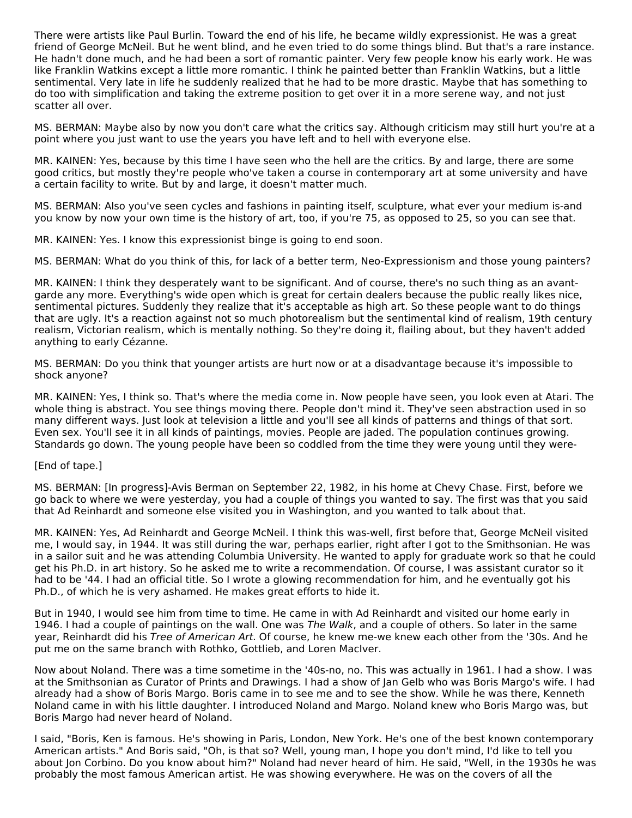There were artists like Paul Burlin. Toward the end of his life, he became wildly expressionist. He was a great friend of George McNeil. But he went blind, and he even tried to do some things blind. But that's a rare instance. He hadn't done much, and he had been a sort of romantic painter. Very few people know his early work. He was like Franklin Watkins except a little more romantic. I think he painted better than Franklin Watkins, but a little sentimental. Very late in life he suddenly realized that he had to be more drastic. Maybe that has something to do too with simplification and taking the extreme position to get over it in a more serene way, and not just scatter all over.

MS. BERMAN: Maybe also by now you don't care what the critics say. Although criticism may still hurt you're at a point where you just want to use the years you have left and to hell with everyone else.

MR. KAINEN: Yes, because by this time I have seen who the hell are the critics. By and large, there are some good critics, but mostly they're people who've taken a course in contemporary art at some university and have a certain facility to write. But by and large, it doesn't matter much.

MS. BERMAN: Also you've seen cycles and fashions in painting itself, sculpture, what ever your medium is-and you know by now your own time is the history of art, too, if you're 75, as opposed to 25, so you can see that.

MR. KAINEN: Yes. I know this expressionist binge is going to end soon.

MS. BERMAN: What do you think of this, for lack of a better term, Neo-Expressionism and those young painters?

MR. KAINEN: I think they desperately want to be significant. And of course, there's no such thing as an avantgarde any more. Everything's wide open which is great for certain dealers because the public really likes nice, sentimental pictures. Suddenly they realize that it's acceptable as high art. So these people want to do things that are ugly. It's a reaction against not so much photorealism but the sentimental kind of realism, 19th century realism, Victorian realism, which is mentally nothing. So they're doing it, flailing about, but they haven't added anything to early Cézanne.

MS. BERMAN: Do you think that younger artists are hurt now or at a disadvantage because it's impossible to shock anyone?

MR. KAINEN: Yes, I think so. That's where the media come in. Now people have seen, you look even at Atari. The whole thing is abstract. You see things moving there. People don't mind it. They've seen abstraction used in so many different ways. Just look at television a little and you'll see all kinds of patterns and things of that sort. Even sex. You'll see it in all kinds of paintings, movies. People are jaded. The population continues growing. Standards go down. The young people have been so coddled from the time they were young until they were-

#### [End of tape.]

MS. BERMAN: [In progress]-Avis Berman on September 22, 1982, in his home at Chevy Chase. First, before we go back to where we were yesterday, you had a couple of things you wanted to say. The first was that you said that Ad Reinhardt and someone else visited you in Washington, and you wanted to talk about that.

MR. KAINEN: Yes, Ad Reinhardt and George McNeil. I think this was-well, first before that, George McNeil visited me, I would say, in 1944. It was still during the war, perhaps earlier, right after I got to the Smithsonian. He was in a sailor suit and he was attending Columbia University. He wanted to apply for graduate work so that he could get his Ph.D. in art history. So he asked me to write a recommendation. Of course, I was assistant curator so it had to be '44. I had an official title. So I wrote a glowing recommendation for him, and he eventually got his Ph.D., of which he is very ashamed. He makes great efforts to hide it.

But in 1940, I would see him from time to time. He came in with Ad Reinhardt and visited our home early in 1946. I had a couple of paintings on the wall. One was The Walk, and a couple of others. So later in the same year, Reinhardt did his Tree of American Art. Of course, he knew me-we knew each other from the '30s. And he put me on the same branch with Rothko, Gottlieb, and Loren MacIver.

Now about Noland. There was a time sometime in the '40s-no, no. This was actually in 1961. I had a show. I was at the Smithsonian as Curator of Prints and Drawings. I had a show of Jan Gelb who was Boris Margo's wife. I had already had a show of Boris Margo. Boris came in to see me and to see the show. While he was there, Kenneth Noland came in with his little daughter. I introduced Noland and Margo. Noland knew who Boris Margo was, but Boris Margo had never heard of Noland.

I said, "Boris, Ken is famous. He's showing in Paris, London, New York. He's one of the best known contemporary American artists." And Boris said, "Oh, is that so? Well, young man, I hope you don't mind, I'd like to tell you about Jon Corbino. Do you know about him?" Noland had never heard of him. He said, "Well, in the 1930s he was probably the most famous American artist. He was showing everywhere. He was on the covers of all the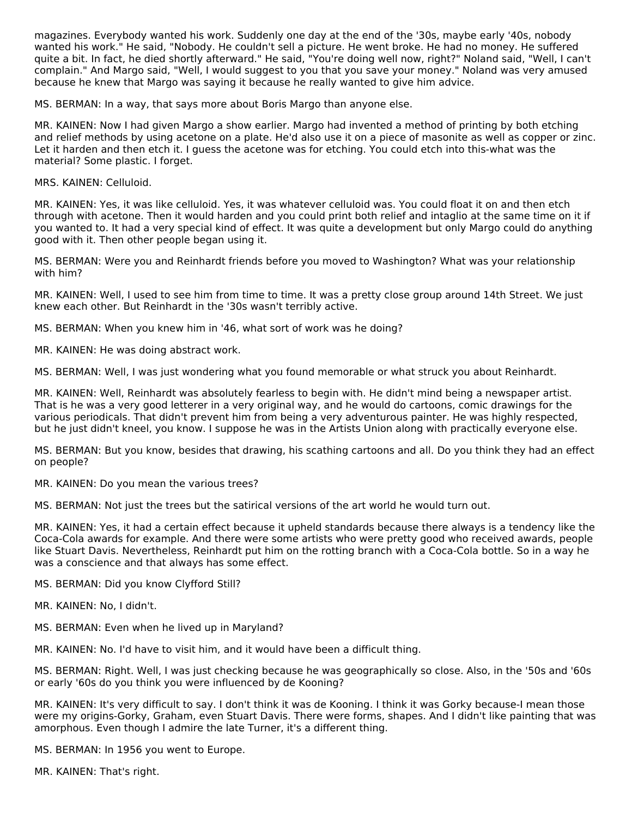magazines. Everybody wanted his work. Suddenly one day at the end of the '30s, maybe early '40s, nobody wanted his work." He said, "Nobody. He couldn't sell a picture. He went broke. He had no money. He suffered quite a bit. In fact, he died shortly afterward." He said, "You're doing well now, right?" Noland said, "Well, I can't complain." And Margo said, "Well, I would suggest to you that you save your money." Noland was very amused because he knew that Margo was saying it because he really wanted to give him advice.

MS. BERMAN: In a way, that says more about Boris Margo than anyone else.

MR. KAINEN: Now I had given Margo a show earlier. Margo had invented a method of printing by both etching and relief methods by using acetone on a plate. He'd also use it on a piece of masonite as well as copper or zinc. Let it harden and then etch it. I guess the acetone was for etching. You could etch into this-what was the material? Some plastic. I forget.

MRS. KAINEN: Celluloid.

MR. KAINEN: Yes, it was like celluloid. Yes, it was whatever celluloid was. You could float it on and then etch through with acetone. Then it would harden and you could print both relief and intaglio at the same time on it if you wanted to. It had a very special kind of effect. It was quite a development but only Margo could do anything good with it. Then other people began using it.

MS. BERMAN: Were you and Reinhardt friends before you moved to Washington? What was your relationship with him?

MR. KAINEN: Well, I used to see him from time to time. It was a pretty close group around 14th Street. We just knew each other. But Reinhardt in the '30s wasn't terribly active.

MS. BERMAN: When you knew him in '46, what sort of work was he doing?

MR. KAINEN: He was doing abstract work.

MS. BERMAN: Well, I was just wondering what you found memorable or what struck you about Reinhardt.

MR. KAINEN: Well, Reinhardt was absolutely fearless to begin with. He didn't mind being a newspaper artist. That is he was a very good letterer in a very original way, and he would do cartoons, comic drawings for the various periodicals. That didn't prevent him from being a very adventurous painter. He was highly respected, but he just didn't kneel, you know. I suppose he was in the Artists Union along with practically everyone else.

MS. BERMAN: But you know, besides that drawing, his scathing cartoons and all. Do you think they had an effect on people?

MR. KAINEN: Do you mean the various trees?

MS. BERMAN: Not just the trees but the satirical versions of the art world he would turn out.

MR. KAINEN: Yes, it had a certain effect because it upheld standards because there always is a tendency like the Coca-Cola awards for example. And there were some artists who were pretty good who received awards, people like Stuart Davis. Nevertheless, Reinhardt put him on the rotting branch with a Coca-Cola bottle. So in a way he was a conscience and that always has some effect.

MS. BERMAN: Did you know Clyfford Still?

MR. KAINEN: No, I didn't.

MS. BERMAN: Even when he lived up in Maryland?

MR. KAINEN: No. I'd have to visit him, and it would have been a difficult thing.

MS. BERMAN: Right. Well, I was just checking because he was geographically so close. Also, in the '50s and '60s or early '60s do you think you were influenced by de Kooning?

MR. KAINEN: It's very difficult to say. I don't think it was de Kooning. I think it was Gorky because-I mean those were my origins-Gorky, Graham, even Stuart Davis. There were forms, shapes. And I didn't like painting that was amorphous. Even though I admire the late Turner, it's a different thing.

MS. BERMAN: In 1956 you went to Europe.

MR. KAINEN: That's right.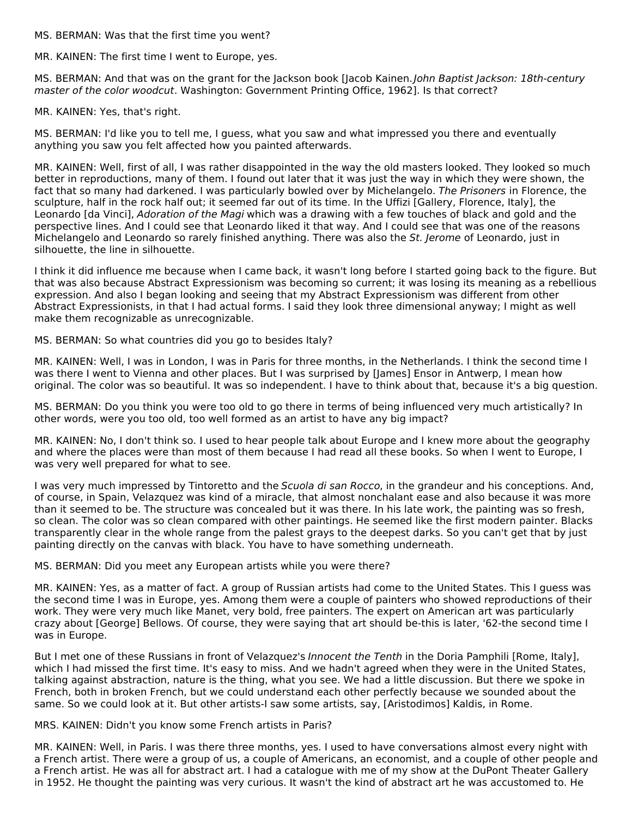MS. BERMAN: Was that the first time you went?

MR. KAINEN: The first time I went to Europe, yes.

MS. BERMAN: And that was on the grant for the Jackson book [Jacob Kainen. John Baptist Jackson: 18th-century master of the color woodcut. Washington: Government Printing Office, 1962]. Is that correct?

MR. KAINEN: Yes, that's right.

MS. BERMAN: I'd like you to tell me, I guess, what you saw and what impressed you there and eventually anything you saw you felt affected how you painted afterwards.

MR. KAINEN: Well, first of all, I was rather disappointed in the way the old masters looked. They looked so much better in reproductions, many of them. I found out later that it was just the way in which they were shown, the fact that so many had darkened. I was particularly bowled over by Michelangelo. The Prisoners in Florence, the sculpture, half in the rock half out; it seemed far out of its time. In the Uffizi [Gallery, Florence, Italy], the Leonardo [da Vinci], Adoration of the Magi which was a drawing with a few touches of black and gold and the perspective lines. And I could see that Leonardo liked it that way. And I could see that was one of the reasons Michelangelo and Leonardo so rarely finished anything. There was also the St. Jerome of Leonardo, just in silhouette, the line in silhouette.

I think it did influence me because when I came back, it wasn't long before I started going back to the figure. But that was also because Abstract Expressionism was becoming so current; it was losing its meaning as a rebellious expression. And also I began looking and seeing that my Abstract Expressionism was different from other Abstract Expressionists, in that I had actual forms. I said they look three dimensional anyway; I might as well make them recognizable as unrecognizable.

MS. BERMAN: So what countries did you go to besides Italy?

MR. KAINEN: Well, I was in London, I was in Paris for three months, in the Netherlands. I think the second time I was there I went to Vienna and other places. But I was surprised by [James] Ensor in Antwerp, I mean how original. The color was so beautiful. It was so independent. I have to think about that, because it's a big question.

MS. BERMAN: Do you think you were too old to go there in terms of being influenced very much artistically? In other words, were you too old, too well formed as an artist to have any big impact?

MR. KAINEN: No, I don't think so. I used to hear people talk about Europe and I knew more about the geography and where the places were than most of them because I had read all these books. So when I went to Europe, I was very well prepared for what to see.

I was very much impressed by Tintoretto and the Scuola di san Rocco, in the grandeur and his conceptions. And, of course, in Spain, Velazquez was kind of a miracle, that almost nonchalant ease and also because it was more than it seemed to be. The structure was concealed but it was there. In his late work, the painting was so fresh, so clean. The color was so clean compared with other paintings. He seemed like the first modern painter. Blacks transparently clear in the whole range from the palest grays to the deepest darks. So you can't get that by just painting directly on the canvas with black. You have to have something underneath.

MS. BERMAN: Did you meet any European artists while you were there?

MR. KAINEN: Yes, as a matter of fact. A group of Russian artists had come to the United States. This I guess was the second time I was in Europe, yes. Among them were a couple of painters who showed reproductions of their work. They were very much like Manet, very bold, free painters. The expert on American art was particularly crazy about [George] Bellows. Of course, they were saying that art should be-this is later, '62-the second time I was in Europe.

But I met one of these Russians in front of Velazquez's *Innocent the Tenth* in the Doria Pamphili [Rome, Italy], which I had missed the first time. It's easy to miss. And we hadn't agreed when they were in the United States, talking against abstraction, nature is the thing, what you see. We had a little discussion. But there we spoke in French, both in broken French, but we could understand each other perfectly because we sounded about the same. So we could look at it. But other artists-I saw some artists, say, [Aristodimos] Kaldis, in Rome.

MRS. KAINEN: Didn't you know some French artists in Paris?

MR. KAINEN: Well, in Paris. I was there three months, yes. I used to have conversations almost every night with a French artist. There were a group of us, a couple of Americans, an economist, and a couple of other people and a French artist. He was all for abstract art. I had a catalogue with me of my show at the DuPont Theater Gallery in 1952. He thought the painting was very curious. It wasn't the kind of abstract art he was accustomed to. He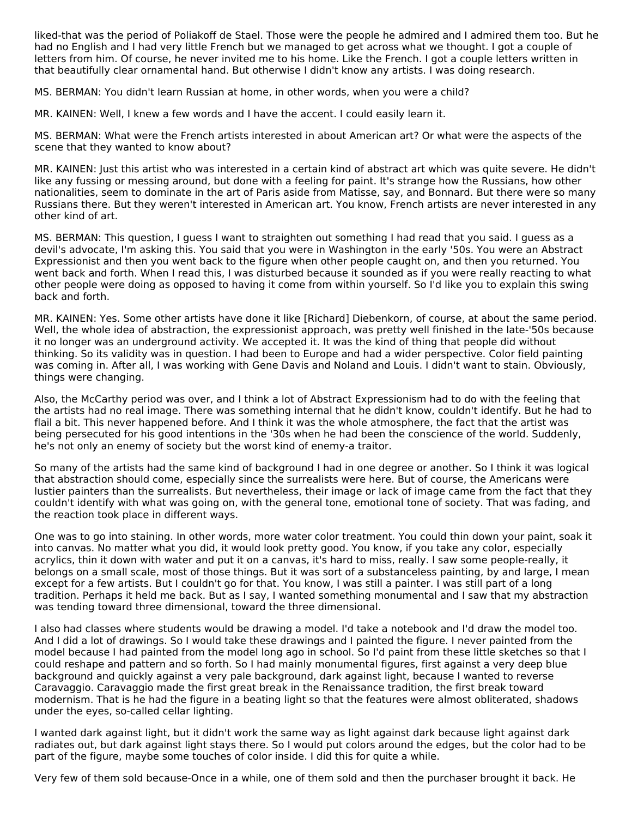liked-that was the period of Poliakoff de Stael. Those were the people he admired and I admired them too. But he had no English and I had very little French but we managed to get across what we thought. I got a couple of letters from him. Of course, he never invited me to his home. Like the French. I got a couple letters written in that beautifully clear ornamental hand. But otherwise I didn't know any artists. I was doing research.

MS. BERMAN: You didn't learn Russian at home, in other words, when you were a child?

MR. KAINEN: Well, I knew a few words and I have the accent. I could easily learn it.

MS. BERMAN: What were the French artists interested in about American art? Or what were the aspects of the scene that they wanted to know about?

MR. KAINEN: Just this artist who was interested in a certain kind of abstract art which was quite severe. He didn't like any fussing or messing around, but done with a feeling for paint. It's strange how the Russians, how other nationalities, seem to dominate in the art of Paris aside from Matisse, say, and Bonnard. But there were so many Russians there. But they weren't interested in American art. You know, French artists are never interested in any other kind of art.

MS. BERMAN: This question, I guess I want to straighten out something I had read that you said. I guess as a devil's advocate, I'm asking this. You said that you were in Washington in the early '50s. You were an Abstract Expressionist and then you went back to the figure when other people caught on, and then you returned. You went back and forth. When I read this, I was disturbed because it sounded as if you were really reacting to what other people were doing as opposed to having it come from within yourself. So I'd like you to explain this swing back and forth.

MR. KAINEN: Yes. Some other artists have done it like [Richard] Diebenkorn, of course, at about the same period. Well, the whole idea of abstraction, the expressionist approach, was pretty well finished in the late-'50s because it no longer was an underground activity. We accepted it. It was the kind of thing that people did without thinking. So its validity was in question. I had been to Europe and had a wider perspective. Color field painting was coming in. After all, I was working with Gene Davis and Noland and Louis. I didn't want to stain. Obviously, things were changing.

Also, the McCarthy period was over, and I think a lot of Abstract Expressionism had to do with the feeling that the artists had no real image. There was something internal that he didn't know, couldn't identify. But he had to flail a bit. This never happened before. And I think it was the whole atmosphere, the fact that the artist was being persecuted for his good intentions in the '30s when he had been the conscience of the world. Suddenly, he's not only an enemy of society but the worst kind of enemy-a traitor.

So many of the artists had the same kind of background I had in one degree or another. So I think it was logical that abstraction should come, especially since the surrealists were here. But of course, the Americans were lustier painters than the surrealists. But nevertheless, their image or lack of image came from the fact that they couldn't identify with what was going on, with the general tone, emotional tone of society. That was fading, and the reaction took place in different ways.

One was to go into staining. In other words, more water color treatment. You could thin down your paint, soak it into canvas. No matter what you did, it would look pretty good. You know, if you take any color, especially acrylics, thin it down with water and put it on a canvas, it's hard to miss, really. I saw some people-really, it belongs on a small scale, most of those things. But it was sort of a substanceless painting, by and large, I mean except for a few artists. But I couldn't go for that. You know, I was still a painter. I was still part of a long tradition. Perhaps it held me back. But as I say, I wanted something monumental and I saw that my abstraction was tending toward three dimensional, toward the three dimensional.

I also had classes where students would be drawing a model. I'd take a notebook and I'd draw the model too. And I did a lot of drawings. So I would take these drawings and I painted the figure. I never painted from the model because I had painted from the model long ago in school. So I'd paint from these little sketches so that I could reshape and pattern and so forth. So I had mainly monumental figures, first against a very deep blue background and quickly against a very pale background, dark against light, because I wanted to reverse Caravaggio. Caravaggio made the first great break in the Renaissance tradition, the first break toward modernism. That is he had the figure in a beating light so that the features were almost obliterated, shadows under the eyes, so-called cellar lighting.

I wanted dark against light, but it didn't work the same way as light against dark because light against dark radiates out, but dark against light stays there. So I would put colors around the edges, but the color had to be part of the figure, maybe some touches of color inside. I did this for quite a while.

Very few of them sold because-Once in a while, one of them sold and then the purchaser brought it back. He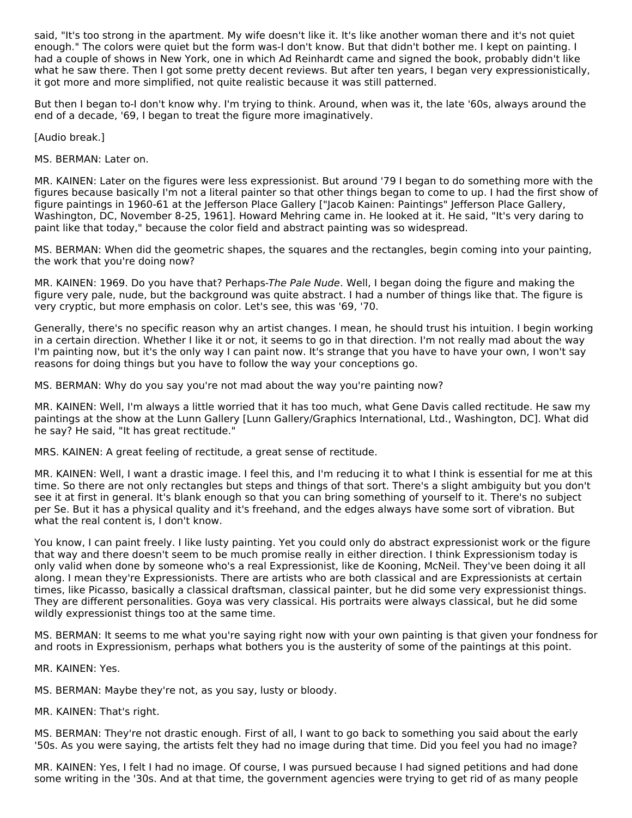said, "It's too strong in the apartment. My wife doesn't like it. It's like another woman there and it's not quiet enough." The colors were quiet but the form was-I don't know. But that didn't bother me. I kept on painting. I had a couple of shows in New York, one in which Ad Reinhardt came and signed the book, probably didn't like what he saw there. Then I got some pretty decent reviews. But after ten years, I began very expressionistically, it got more and more simplified, not quite realistic because it was still patterned.

But then I began to-I don't know why. I'm trying to think. Around, when was it, the late '60s, always around the end of a decade, '69, I began to treat the figure more imaginatively.

[Audio break.]

MS. BERMAN: Later on.

MR. KAINEN: Later on the figures were less expressionist. But around '79 I began to do something more with the figures because basically I'm not a literal painter so that other things began to come to up. I had the first show of figure paintings in 1960-61 at the Jefferson Place Gallery ["Jacob Kainen: Paintings" Jefferson Place Gallery, Washington, DC, November 8-25, 1961]. Howard Mehring came in. He looked at it. He said, "It's very daring to paint like that today," because the color field and abstract painting was so widespread.

MS. BERMAN: When did the geometric shapes, the squares and the rectangles, begin coming into your painting, the work that you're doing now?

MR. KAINEN: 1969. Do you have that? Perhaps-The Pale Nude. Well, I began doing the figure and making the figure very pale, nude, but the background was quite abstract. I had a number of things like that. The figure is very cryptic, but more emphasis on color. Let's see, this was '69, '70.

Generally, there's no specific reason why an artist changes. I mean, he should trust his intuition. I begin working in a certain direction. Whether I like it or not, it seems to go in that direction. I'm not really mad about the way I'm painting now, but it's the only way I can paint now. It's strange that you have to have your own, I won't say reasons for doing things but you have to follow the way your conceptions go.

MS. BERMAN: Why do you say you're not mad about the way you're painting now?

MR. KAINEN: Well, I'm always a little worried that it has too much, what Gene Davis called rectitude. He saw my paintings at the show at the Lunn Gallery [Lunn Gallery/Graphics International, Ltd., Washington, DC]. What did he say? He said, "It has great rectitude."

MRS. KAINEN: A great feeling of rectitude, a great sense of rectitude.

MR. KAINEN: Well, I want a drastic image. I feel this, and I'm reducing it to what I think is essential for me at this time. So there are not only rectangles but steps and things of that sort. There's a slight ambiguity but you don't see it at first in general. It's blank enough so that you can bring something of yourself to it. There's no subject per Se. But it has a physical quality and it's freehand, and the edges always have some sort of vibration. But what the real content is, I don't know.

You know, I can paint freely. I like lusty painting. Yet you could only do abstract expressionist work or the figure that way and there doesn't seem to be much promise really in either direction. I think Expressionism today is only valid when done by someone who's a real Expressionist, like de Kooning, McNeil. They've been doing it all along. I mean they're Expressionists. There are artists who are both classical and are Expressionists at certain times, like Picasso, basically a classical draftsman, classical painter, but he did some very expressionist things. They are different personalities. Goya was very classical. His portraits were always classical, but he did some wildly expressionist things too at the same time.

MS. BERMAN: It seems to me what you're saying right now with your own painting is that given your fondness for and roots in Expressionism, perhaps what bothers you is the austerity of some of the paintings at this point.

MR. KAINEN: Yes.

MS. BERMAN: Maybe they're not, as you say, lusty or bloody.

MR. KAINEN: That's right.

MS. BERMAN: They're not drastic enough. First of all, I want to go back to something you said about the early '50s. As you were saying, the artists felt they had no image during that time. Did you feel you had no image?

MR. KAINEN: Yes, I felt I had no image. Of course, I was pursued because I had signed petitions and had done some writing in the '30s. And at that time, the government agencies were trying to get rid of as many people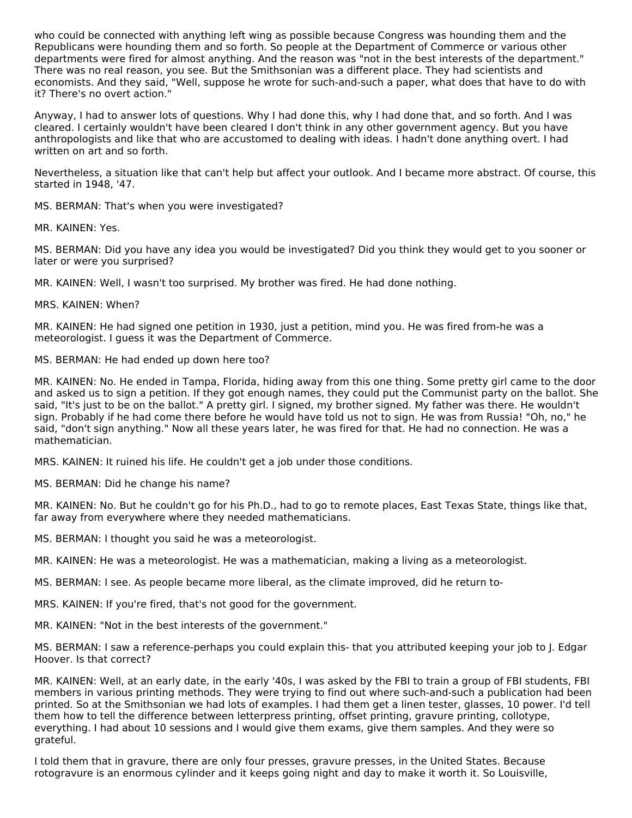who could be connected with anything left wing as possible because Congress was hounding them and the Republicans were hounding them and so forth. So people at the Department of Commerce or various other departments were fired for almost anything. And the reason was "not in the best interests of the department." There was no real reason, you see. But the Smithsonian was a different place. They had scientists and economists. And they said, "Well, suppose he wrote for such-and-such a paper, what does that have to do with it? There's no overt action."

Anyway, I had to answer lots of questions. Why I had done this, why I had done that, and so forth. And I was cleared. I certainly wouldn't have been cleared I don't think in any other government agency. But you have anthropologists and like that who are accustomed to dealing with ideas. I hadn't done anything overt. I had written on art and so forth.

Nevertheless, a situation like that can't help but affect your outlook. And I became more abstract. Of course, this started in 1948, '47.

MS. BERMAN: That's when you were investigated?

MR. KAINEN: Yes.

MS. BERMAN: Did you have any idea you would be investigated? Did you think they would get to you sooner or later or were you surprised?

MR. KAINEN: Well, I wasn't too surprised. My brother was fired. He had done nothing.

#### MRS. KAINEN: When?

MR. KAINEN: He had signed one petition in 1930, just a petition, mind you. He was fired from-he was a meteorologist. I guess it was the Department of Commerce.

MS. BERMAN: He had ended up down here too?

MR. KAINEN: No. He ended in Tampa, Florida, hiding away from this one thing. Some pretty girl came to the door and asked us to sign a petition. If they got enough names, they could put the Communist party on the ballot. She said, "It's just to be on the ballot." A pretty girl. I signed, my brother signed. My father was there. He wouldn't sign. Probably if he had come there before he would have told us not to sign. He was from Russia! "Oh, no," he said, "don't sign anything." Now all these years later, he was fired for that. He had no connection. He was a mathematician.

MRS. KAINEN: It ruined his life. He couldn't get a job under those conditions.

MS. BERMAN: Did he change his name?

MR. KAINEN: No. But he couldn't go for his Ph.D., had to go to remote places, East Texas State, things like that, far away from everywhere where they needed mathematicians.

MS. BERMAN: I thought you said he was a meteorologist.

MR. KAINEN: He was a meteorologist. He was a mathematician, making a living as a meteorologist.

MS. BERMAN: I see. As people became more liberal, as the climate improved, did he return to-

MRS. KAINEN: If you're fired, that's not good for the government.

MR. KAINEN: "Not in the best interests of the government."

MS. BERMAN: I saw a reference-perhaps you could explain this- that you attributed keeping your job to J. Edgar Hoover. Is that correct?

MR. KAINEN: Well, at an early date, in the early '40s, I was asked by the FBI to train a group of FBI students, FBI members in various printing methods. They were trying to find out where such-and-such a publication had been printed. So at the Smithsonian we had lots of examples. I had them get a linen tester, glasses, 10 power. I'd tell them how to tell the difference between letterpress printing, offset printing, gravure printing, collotype, everything. I had about 10 sessions and I would give them exams, give them samples. And they were so grateful.

I told them that in gravure, there are only four presses, gravure presses, in the United States. Because rotogravure is an enormous cylinder and it keeps going night and day to make it worth it. So Louisville,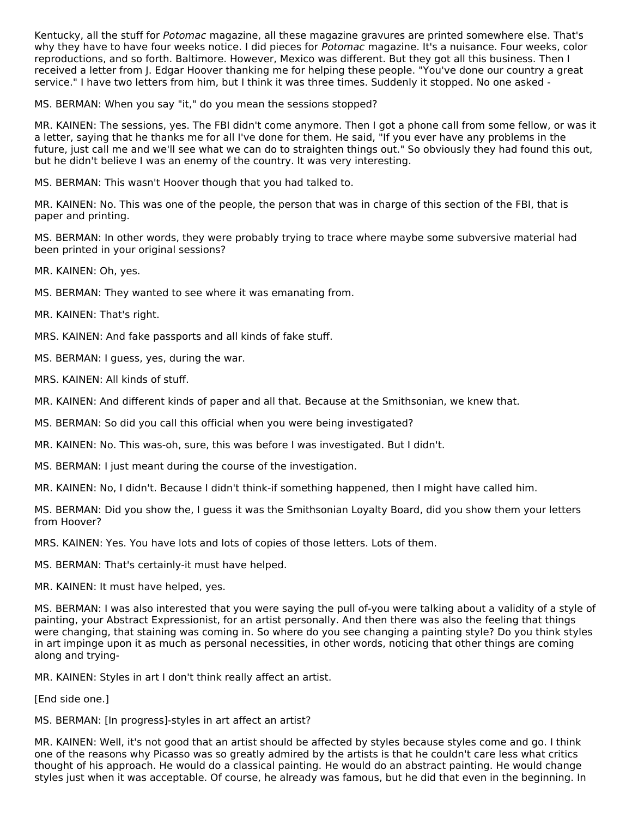Kentucky, all the stuff for Potomac magazine, all these magazine gravures are printed somewhere else. That's why they have to have four weeks notice. I did pieces for Potomac magazine. It's a nuisance. Four weeks, color reproductions, and so forth. Baltimore. However, Mexico was different. But they got all this business. Then I received a letter from J. Edgar Hoover thanking me for helping these people. "You've done our country a great service." I have two letters from him, but I think it was three times. Suddenly it stopped. No one asked -

MS. BERMAN: When you say "it," do you mean the sessions stopped?

MR. KAINEN: The sessions, yes. The FBI didn't come anymore. Then I got a phone call from some fellow, or was it a letter, saying that he thanks me for all I've done for them. He said, "If you ever have any problems in the future, just call me and we'll see what we can do to straighten things out." So obviously they had found this out, but he didn't believe I was an enemy of the country. It was very interesting.

MS. BERMAN: This wasn't Hoover though that you had talked to.

MR. KAINEN: No. This was one of the people, the person that was in charge of this section of the FBI, that is paper and printing.

MS. BERMAN: In other words, they were probably trying to trace where maybe some subversive material had been printed in your original sessions?

MR. KAINEN: Oh, yes.

MS. BERMAN: They wanted to see where it was emanating from.

MR. KAINEN: That's right.

MRS. KAINEN: And fake passports and all kinds of fake stuff.

MS. BERMAN: I guess, yes, during the war.

MRS. KAINEN: All kinds of stuff.

MR. KAINEN: And different kinds of paper and all that. Because at the Smithsonian, we knew that.

MS. BERMAN: So did you call this official when you were being investigated?

MR. KAINEN: No. This was-oh, sure, this was before I was investigated. But I didn't.

MS. BERMAN: I just meant during the course of the investigation.

MR. KAINEN: No, I didn't. Because I didn't think-if something happened, then I might have called him.

MS. BERMAN: Did you show the, I guess it was the Smithsonian Loyalty Board, did you show them your letters from Hoover?

MRS. KAINEN: Yes. You have lots and lots of copies of those letters. Lots of them.

MS. BERMAN: That's certainly-it must have helped.

MR. KAINEN: It must have helped, yes.

MS. BERMAN: I was also interested that you were saying the pull of-you were talking about a validity of a style of painting, your Abstract Expressionist, for an artist personally. And then there was also the feeling that things were changing, that staining was coming in. So where do you see changing a painting style? Do you think styles in art impinge upon it as much as personal necessities, in other words, noticing that other things are coming along and trying-

MR. KAINEN: Styles in art I don't think really affect an artist.

[End side one.]

MS. BERMAN: [In progress]-styles in art affect an artist?

MR. KAINEN: Well, it's not good that an artist should be affected by styles because styles come and go. I think one of the reasons why Picasso was so greatly admired by the artists is that he couldn't care less what critics thought of his approach. He would do a classical painting. He would do an abstract painting. He would change styles just when it was acceptable. Of course, he already was famous, but he did that even in the beginning. In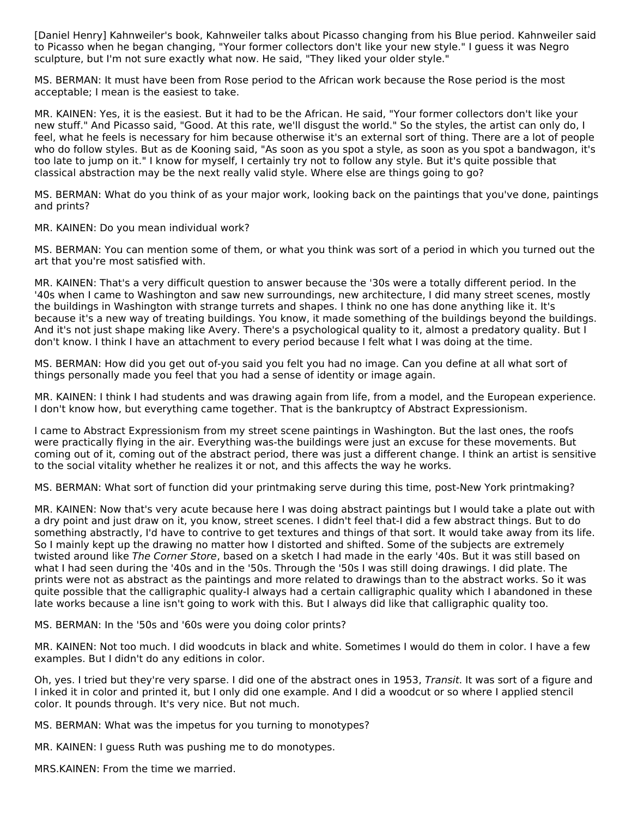[Daniel Henry] Kahnweiler's book, Kahnweiler talks about Picasso changing from his Blue period. Kahnweiler said to Picasso when he began changing, "Your former collectors don't like your new style." I guess it was Negro sculpture, but I'm not sure exactly what now. He said, "They liked your older style."

MS. BERMAN: It must have been from Rose period to the African work because the Rose period is the most acceptable; I mean is the easiest to take.

MR. KAINEN: Yes, it is the easiest. But it had to be the African. He said, "Your former collectors don't like your new stuff." And Picasso said, "Good. At this rate, we'll disgust the world." So the styles, the artist can only do, I feel, what he feels is necessary for him because otherwise it's an external sort of thing. There are a lot of people who do follow styles. But as de Kooning said, "As soon as you spot a style, as soon as you spot a bandwagon, it's too late to jump on it." I know for myself, I certainly try not to follow any style. But it's quite possible that classical abstraction may be the next really valid style. Where else are things going to go?

MS. BERMAN: What do you think of as your major work, looking back on the paintings that you've done, paintings and prints?

MR. KAINEN: Do you mean individual work?

MS. BERMAN: You can mention some of them, or what you think was sort of a period in which you turned out the art that you're most satisfied with.

MR. KAINEN: That's a very difficult question to answer because the '30s were a totally different period. In the '40s when I came to Washington and saw new surroundings, new architecture, I did many street scenes, mostly the buildings in Washington with strange turrets and shapes. I think no one has done anything like it. It's because it's a new way of treating buildings. You know, it made something of the buildings beyond the buildings. And it's not just shape making like Avery. There's a psychological quality to it, almost a predatory quality. But I don't know. I think I have an attachment to every period because I felt what I was doing at the time.

MS. BERMAN: How did you get out of-you said you felt you had no image. Can you define at all what sort of things personally made you feel that you had a sense of identity or image again.

MR. KAINEN: I think I had students and was drawing again from life, from a model, and the European experience. I don't know how, but everything came together. That is the bankruptcy of Abstract Expressionism.

I came to Abstract Expressionism from my street scene paintings in Washington. But the last ones, the roofs were practically flying in the air. Everything was-the buildings were just an excuse for these movements. But coming out of it, coming out of the abstract period, there was just a different change. I think an artist is sensitive to the social vitality whether he realizes it or not, and this affects the way he works.

MS. BERMAN: What sort of function did your printmaking serve during this time, post-New York printmaking?

MR. KAINEN: Now that's very acute because here I was doing abstract paintings but I would take a plate out with a dry point and just draw on it, you know, street scenes. I didn't feel that-I did a few abstract things. But to do something abstractly, I'd have to contrive to get textures and things of that sort. It would take away from its life. So I mainly kept up the drawing no matter how I distorted and shifted. Some of the subjects are extremely twisted around like The Corner Store, based on a sketch I had made in the early '40s. But it was still based on what I had seen during the '40s and in the '50s. Through the '50s I was still doing drawings. I did plate. The prints were not as abstract as the paintings and more related to drawings than to the abstract works. So it was quite possible that the calligraphic quality-I always had a certain calligraphic quality which I abandoned in these late works because a line isn't going to work with this. But I always did like that calligraphic quality too.

MS. BERMAN: In the '50s and '60s were you doing color prints?

MR. KAINEN: Not too much. I did woodcuts in black and white. Sometimes I would do them in color. I have a few examples. But I didn't do any editions in color.

Oh, yes. I tried but they're very sparse. I did one of the abstract ones in 1953, Transit. It was sort of a figure and I inked it in color and printed it, but I only did one example. And I did a woodcut or so where I applied stencil color. It pounds through. It's very nice. But not much.

MS. BERMAN: What was the impetus for you turning to monotypes?

MR. KAINEN: I guess Ruth was pushing me to do monotypes.

MRS.KAINEN: From the time we married.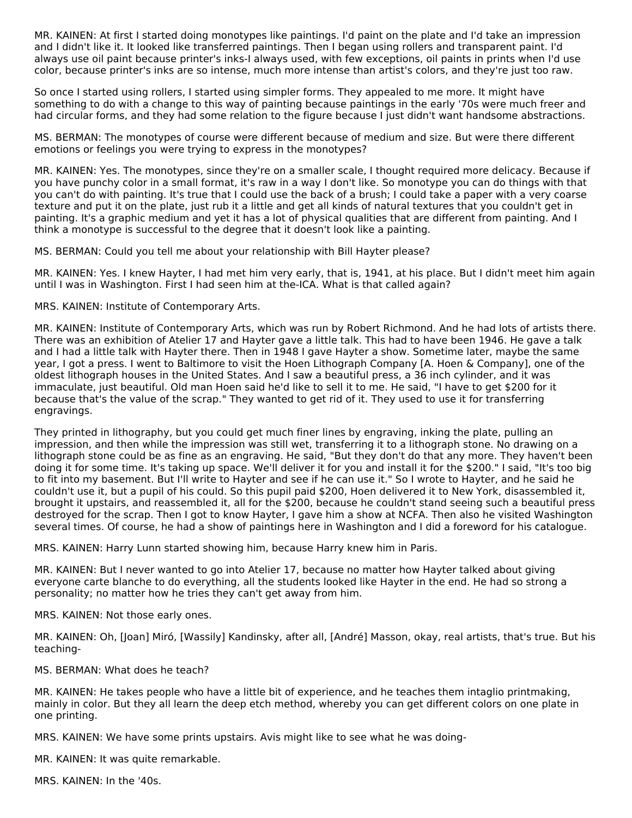MR. KAINEN: At first I started doing monotypes like paintings. I'd paint on the plate and I'd take an impression and I didn't like it. It looked like transferred paintings. Then I began using rollers and transparent paint. I'd always use oil paint because printer's inks-I always used, with few exceptions, oil paints in prints when I'd use color, because printer's inks are so intense, much more intense than artist's colors, and they're just too raw.

So once I started using rollers, I started using simpler forms. They appealed to me more. It might have something to do with a change to this way of painting because paintings in the early '70s were much freer and had circular forms, and they had some relation to the figure because I just didn't want handsome abstractions.

MS. BERMAN: The monotypes of course were different because of medium and size. But were there different emotions or feelings you were trying to express in the monotypes?

MR. KAINEN: Yes. The monotypes, since they're on a smaller scale, I thought required more delicacy. Because if you have punchy color in a small format, it's raw in a way I don't like. So monotype you can do things with that you can't do with painting. It's true that I could use the back of a brush; I could take a paper with a very coarse texture and put it on the plate, just rub it a little and get all kinds of natural textures that you couldn't get in painting. It's a graphic medium and yet it has a lot of physical qualities that are different from painting. And I think a monotype is successful to the degree that it doesn't look like a painting.

MS. BERMAN: Could you tell me about your relationship with Bill Hayter please?

MR. KAINEN: Yes. I knew Hayter, I had met him very early, that is, 1941, at his place. But I didn't meet him again until I was in Washington. First I had seen him at the-ICA. What is that called again?

MRS. KAINEN: Institute of Contemporary Arts.

MR. KAINEN: Institute of Contemporary Arts, which was run by Robert Richmond. And he had lots of artists there. There was an exhibition of Atelier 17 and Hayter gave a little talk. This had to have been 1946. He gave a talk and I had a little talk with Hayter there. Then in 1948 I gave Hayter a show. Sometime later, maybe the same year, I got a press. I went to Baltimore to visit the Hoen Lithograph Company [A. Hoen & Company], one of the oldest lithograph houses in the United States. And I saw a beautiful press, a 36 inch cylinder, and it was immaculate, just beautiful. Old man Hoen said he'd like to sell it to me. He said, "I have to get \$200 for it because that's the value of the scrap." They wanted to get rid of it. They used to use it for transferring engravings.

They printed in lithography, but you could get much finer lines by engraving, inking the plate, pulling an impression, and then while the impression was still wet, transferring it to a lithograph stone. No drawing on a lithograph stone could be as fine as an engraving. He said, "But they don't do that any more. They haven't been doing it for some time. It's taking up space. We'll deliver it for you and install it for the \$200." I said, "It's too big to fit into my basement. But I'll write to Hayter and see if he can use it." So I wrote to Hayter, and he said he couldn't use it, but a pupil of his could. So this pupil paid \$200, Hoen delivered it to New York, disassembled it, brought it upstairs, and reassembled it, all for the \$200, because he couldn't stand seeing such a beautiful press destroyed for the scrap. Then I got to know Hayter, I gave him a show at NCFA. Then also he visited Washington several times. Of course, he had a show of paintings here in Washington and I did a foreword for his catalogue.

MRS. KAINEN: Harry Lunn started showing him, because Harry knew him in Paris.

MR. KAINEN: But I never wanted to go into Atelier 17, because no matter how Hayter talked about giving everyone carte blanche to do everything, all the students looked like Hayter in the end. He had so strong a personality; no matter how he tries they can't get away from him.

MRS. KAINEN: Not those early ones.

MR. KAINEN: Oh, [Joan] Miró, [Wassily] Kandinsky, after all, [André] Masson, okay, real artists, that's true. But his teaching-

MS. BERMAN: What does he teach?

MR. KAINEN: He takes people who have a little bit of experience, and he teaches them intaglio printmaking, mainly in color. But they all learn the deep etch method, whereby you can get different colors on one plate in one printing.

MRS. KAINEN: We have some prints upstairs. Avis might like to see what he was doing-

MR. KAINEN: It was quite remarkable.

MRS. KAINEN: In the '40s.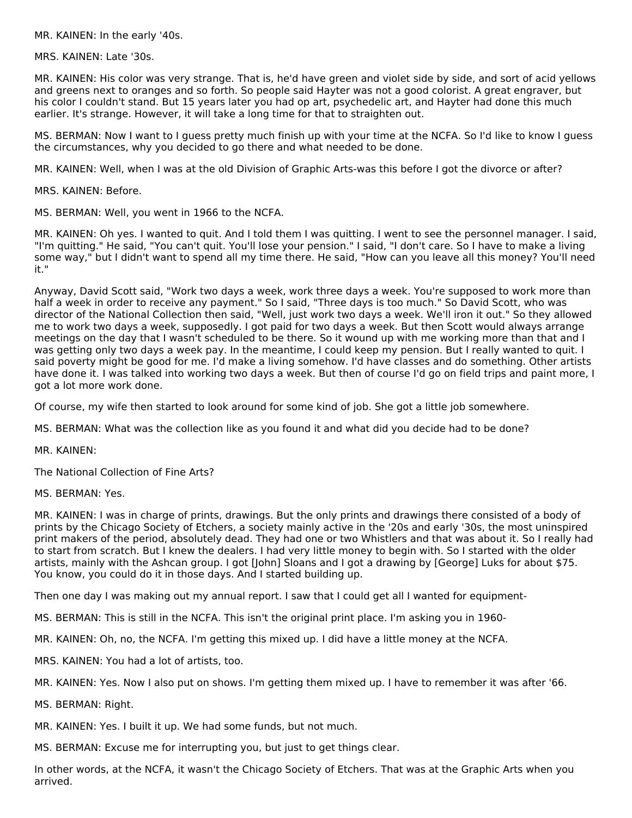MR. KAINEN: In the early '40s.

MRS. KAINEN: Late '30s.

MR. KAINEN: His color was very strange. That is, he'd have green and violet side by side, and sort of acid yellows and greens next to oranges and so forth. So people said Hayter was not a good colorist. A great engraver, but his color I couldn't stand. But 15 years later you had op art, psychedelic art, and Hayter had done this much earlier. It's strange. However, it will take a long time for that to straighten out.

MS. BERMAN: Now I want to I guess pretty much finish up with your time at the NCFA. So I'd like to know I guess the circumstances, why you decided to go there and what needed to be done.

MR. KAINEN: Well, when I was at the old Division of Graphic Arts-was this before I got the divorce or after?

MRS. KAINEN: Before.

MS. BERMAN: Well, you went in 1966 to the NCFA.

MR. KAINEN: Oh yes. I wanted to quit. And I told them I was quitting. I went to see the personnel manager. I said, "I'm quitting." He said, "You can't quit. You'll lose your pension." I said, "I don't care. So I have to make a living some way," but I didn't want to spend all my time there. He said, "How can you leave all this money? You'll need it."

Anyway, David Scott said, "Work two days a week, work three days a week. You're supposed to work more than half a week in order to receive any payment." So I said, "Three days is too much." So David Scott, who was director of the National Collection then said, "Well, just work two days a week. We'll iron it out." So they allowed me to work two days a week, supposedly. I got paid for two days a week. But then Scott would always arrange meetings on the day that I wasn't scheduled to be there. So it wound up with me working more than that and I was getting only two days a week pay. In the meantime, I could keep my pension. But I really wanted to quit. I said poverty might be good for me. I'd make a living somehow. I'd have classes and do something. Other artists have done it. I was talked into working two days a week. But then of course I'd go on field trips and paint more, I got a lot more work done.

Of course, my wife then started to look around for some kind of job. She got a little job somewhere.

MS. BERMAN: What was the collection like as you found it and what did you decide had to be done?

MR. KAINEN:

The National Collection of Fine Arts?

MS. BERMAN: Yes.

MR. KAINEN: I was in charge of prints, drawings. But the only prints and drawings there consisted of a body of prints by the Chicago Society of Etchers, a society mainly active in the '20s and early '30s, the most uninspired print makers of the period, absolutely dead. They had one or two Whistlers and that was about it. So I really had to start from scratch. But I knew the dealers. I had very little money to begin with. So I started with the older artists, mainly with the Ashcan group. I got [John] Sloans and I got a drawing by [George] Luks for about \$75. You know, you could do it in those days. And I started building up.

Then one day I was making out my annual report. I saw that I could get all I wanted for equipment-

MS. BERMAN: This is still in the NCFA. This isn't the original print place. I'm asking you in 1960-

MR. KAINEN: Oh, no, the NCFA. I'm getting this mixed up. I did have a little money at the NCFA.

MRS. KAINEN: You had a lot of artists, too.

MR. KAINEN: Yes. Now I also put on shows. I'm getting them mixed up. I have to remember it was after '66.

MS. BERMAN: Right.

MR. KAINEN: Yes. I built it up. We had some funds, but not much.

MS. BERMAN: Excuse me for interrupting you, but just to get things clear.

In other words, at the NCFA, it wasn't the Chicago Society of Etchers. That was at the Graphic Arts when you arrived.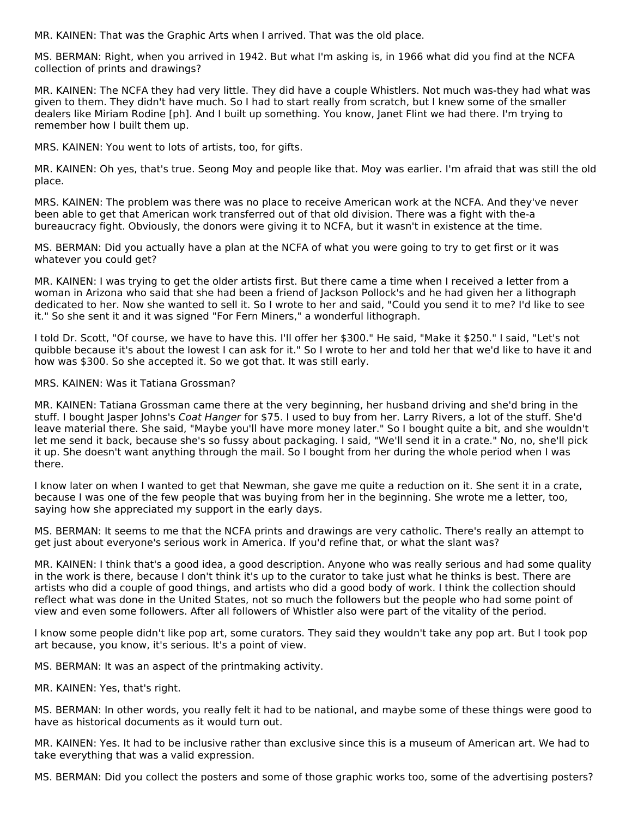MR. KAINEN: That was the Graphic Arts when I arrived. That was the old place.

MS. BERMAN: Right, when you arrived in 1942. But what I'm asking is, in 1966 what did you find at the NCFA collection of prints and drawings?

MR. KAINEN: The NCFA they had very little. They did have a couple Whistlers. Not much was-they had what was given to them. They didn't have much. So I had to start really from scratch, but I knew some of the smaller dealers like Miriam Rodine [ph]. And I built up something. You know, Janet Flint we had there. I'm trying to remember how I built them up.

MRS. KAINEN: You went to lots of artists, too, for gifts.

MR. KAINEN: Oh yes, that's true. Seong Moy and people like that. Moy was earlier. I'm afraid that was still the old place.

MRS. KAINEN: The problem was there was no place to receive American work at the NCFA. And they've never been able to get that American work transferred out of that old division. There was a fight with the-a bureaucracy fight. Obviously, the donors were giving it to NCFA, but it wasn't in existence at the time.

MS. BERMAN: Did you actually have a plan at the NCFA of what you were going to try to get first or it was whatever you could get?

MR. KAINEN: I was trying to get the older artists first. But there came a time when I received a letter from a woman in Arizona who said that she had been a friend of Jackson Pollock's and he had given her a lithograph dedicated to her. Now she wanted to sell it. So I wrote to her and said, "Could you send it to me? I'd like to see it." So she sent it and it was signed "For Fern Miners," a wonderful lithograph.

I told Dr. Scott, "Of course, we have to have this. I'll offer her \$300." He said, "Make it \$250." I said, "Let's not quibble because it's about the lowest I can ask for it." So I wrote to her and told her that we'd like to have it and how was \$300. So she accepted it. So we got that. It was still early.

#### MRS. KAINEN: Was it Tatiana Grossman?

MR. KAINEN: Tatiana Grossman came there at the very beginning, her husband driving and she'd bring in the stuff. I bought Jasper Johns's Coat Hanger for \$75. I used to buy from her. Larry Rivers, a lot of the stuff. She'd leave material there. She said, "Maybe you'll have more money later." So I bought quite a bit, and she wouldn't let me send it back, because she's so fussy about packaging. I said, "We'll send it in a crate." No, no, she'll pick it up. She doesn't want anything through the mail. So I bought from her during the whole period when I was there.

I know later on when I wanted to get that Newman, she gave me quite a reduction on it. She sent it in a crate, because I was one of the few people that was buying from her in the beginning. She wrote me a letter, too, saying how she appreciated my support in the early days.

MS. BERMAN: It seems to me that the NCFA prints and drawings are very catholic. There's really an attempt to get just about everyone's serious work in America. If you'd refine that, or what the slant was?

MR. KAINEN: I think that's a good idea, a good description. Anyone who was really serious and had some quality in the work is there, because I don't think it's up to the curator to take just what he thinks is best. There are artists who did a couple of good things, and artists who did a good body of work. I think the collection should reflect what was done in the United States, not so much the followers but the people who had some point of view and even some followers. After all followers of Whistler also were part of the vitality of the period.

I know some people didn't like pop art, some curators. They said they wouldn't take any pop art. But I took pop art because, you know, it's serious. It's a point of view.

MS. BERMAN: It was an aspect of the printmaking activity.

MR. KAINEN: Yes, that's right.

MS. BERMAN: In other words, you really felt it had to be national, and maybe some of these things were good to have as historical documents as it would turn out.

MR. KAINEN: Yes. It had to be inclusive rather than exclusive since this is a museum of American art. We had to take everything that was a valid expression.

MS. BERMAN: Did you collect the posters and some of those graphic works too, some of the advertising posters?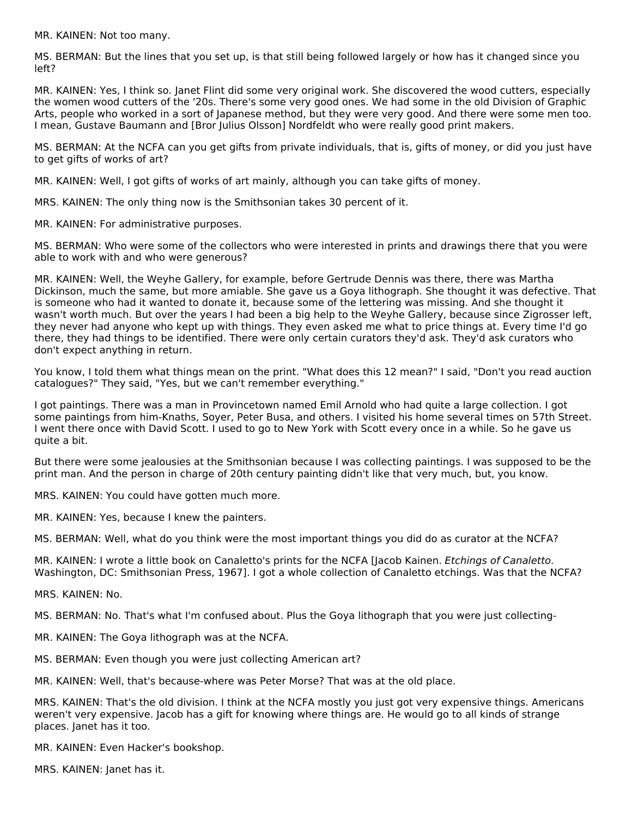MR. KAINEN: Not too many.

MS. BERMAN: But the lines that you set up, is that still being followed largely or how has it changed since you left?

MR. KAINEN: Yes, I think so. Janet Flint did some very original work. She discovered the wood cutters, especially the women wood cutters of the '20s. There's some very good ones. We had some in the old Division of Graphic Arts, people who worked in a sort of Japanese method, but they were very good. And there were some men too. I mean, Gustave Baumann and [Bror Julius Olsson] Nordfeldt who were really good print makers.

MS. BERMAN: At the NCFA can you get gifts from private individuals, that is, gifts of money, or did you just have to get gifts of works of art?

MR. KAINEN: Well, I got gifts of works of art mainly, although you can take gifts of money.

MRS. KAINEN: The only thing now is the Smithsonian takes 30 percent of it.

MR. KAINEN: For administrative purposes.

MS. BERMAN: Who were some of the collectors who were interested in prints and drawings there that you were able to work with and who were generous?

MR. KAINEN: Well, the Weyhe Gallery, for example, before Gertrude Dennis was there, there was Martha Dickinson, much the same, but more amiable. She gave us a Goya lithograph. She thought it was defective. That is someone who had it wanted to donate it, because some of the lettering was missing. And she thought it wasn't worth much. But over the years I had been a big help to the Weyhe Gallery, because since Zigrosser left, they never had anyone who kept up with things. They even asked me what to price things at. Every time I'd go there, they had things to be identified. There were only certain curators they'd ask. They'd ask curators who don't expect anything in return.

You know, I told them what things mean on the print. "What does this 12 mean?" I said, "Don't you read auction catalogues?" They said, "Yes, but we can't remember everything."

I got paintings. There was a man in Provincetown named Emil Arnold who had quite a large collection. I got some paintings from him-Knaths, Soyer, Peter Busa, and others. I visited his home several times on 57th Street. I went there once with David Scott. I used to go to New York with Scott every once in a while. So he gave us quite a bit.

But there were some jealousies at the Smithsonian because I was collecting paintings. I was supposed to be the print man. And the person in charge of 20th century painting didn't like that very much, but, you know.

MRS. KAINEN: You could have gotten much more.

MR. KAINEN: Yes, because I knew the painters.

MS. BERMAN: Well, what do you think were the most important things you did do as curator at the NCFA?

MR. KAINEN: I wrote a little book on Canaletto's prints for the NCFA [Jacob Kainen. Etchings of Canaletto. Washington, DC: Smithsonian Press, 1967]. I got a whole collection of Canaletto etchings. Was that the NCFA?

MRS. KAINEN: No.

MS. BERMAN: No. That's what I'm confused about. Plus the Goya lithograph that you were just collecting-

MR. KAINEN: The Goya lithograph was at the NCFA.

MS. BERMAN: Even though you were just collecting American art?

MR. KAINEN: Well, that's because-where was Peter Morse? That was at the old place.

MRS. KAINEN: That's the old division. I think at the NCFA mostly you just got very expensive things. Americans weren't very expensive. Jacob has a gift for knowing where things are. He would go to all kinds of strange places. Janet has it too.

MR. KAINEN: Even Hacker's bookshop.

MRS. KAINEN: Janet has it.